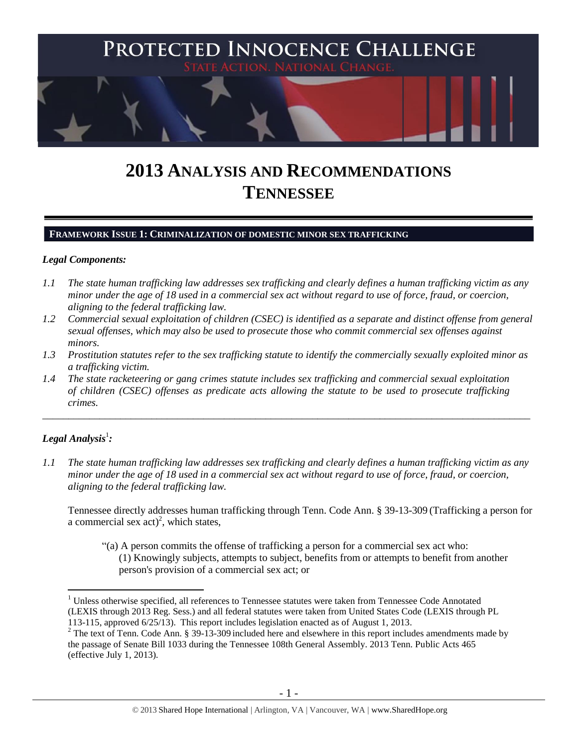

# **2013 ANALYSIS AND RECOMMENDATIONS TENNESSEE**

#### **FRAMEWORK ISSUE 1: CRIMINALIZATION OF DOMESTIC MINOR SEX TRAFFICKING**

#### *Legal Components:*

- *1.1 The state human trafficking law addresses sex trafficking and clearly defines a human trafficking victim as any minor under the age of 18 used in a commercial sex act without regard to use of force, fraud, or coercion, aligning to the federal trafficking law.*
- *1.2 Commercial sexual exploitation of children (CSEC) is identified as a separate and distinct offense from general sexual offenses, which may also be used to prosecute those who commit commercial sex offenses against minors.*
- *1.3 Prostitution statutes refer to the sex trafficking statute to identify the commercially sexually exploited minor as a trafficking victim.*

\_\_\_\_\_\_\_\_\_\_\_\_\_\_\_\_\_\_\_\_\_\_\_\_\_\_\_\_\_\_\_\_\_\_\_\_\_\_\_\_\_\_\_\_\_\_\_\_\_\_\_\_\_\_\_\_\_\_\_\_\_\_\_\_\_\_\_\_\_\_\_\_\_\_\_\_\_\_\_\_\_\_\_\_\_\_\_\_\_\_\_\_\_\_

*1.4 The state racketeering or gang crimes statute includes sex trafficking and commercial sexual exploitation of children (CSEC) offenses as predicate acts allowing the statute to be used to prosecute trafficking crimes.* 

# $\bm{L}$ egal Analysis $^1$ :

 $\overline{a}$ 

*1.1 The state human trafficking law addresses sex trafficking and clearly defines a human trafficking victim as any minor under the age of 18 used in a commercial sex act without regard to use of force, fraud, or coercion, aligning to the federal trafficking law.* 

Tennessee directly addresses human trafficking through Tenn. Code Ann. § 39-13-309 (Trafficking a person for a commercial sex  $act)^2$ , which states,

<span id="page-0-0"></span>"(a) A person commits the offense of trafficking a person for a commercial sex act who: (1) Knowingly subjects, attempts to subject, benefits from or attempts to benefit from another person's provision of a commercial sex act; or

<sup>&</sup>lt;sup>1</sup> Unless otherwise specified, all references to Tennessee statutes were taken from Tennessee Code Annotated (LEXIS through 2013 Reg. Sess.) and all federal statutes were taken from United States Code (LEXIS through PL 113-115, approved 6/25/13). This report includes legislation enacted as of August 1, 2013.

 $2$  The text of Tenn. Code Ann. § 39-13-309 included here and elsewhere in this report includes amendments made by the passage of Senate Bill 1033 during the Tennessee 108th General Assembly. 2013 Tenn. Public Acts 465 (effective July 1, 2013).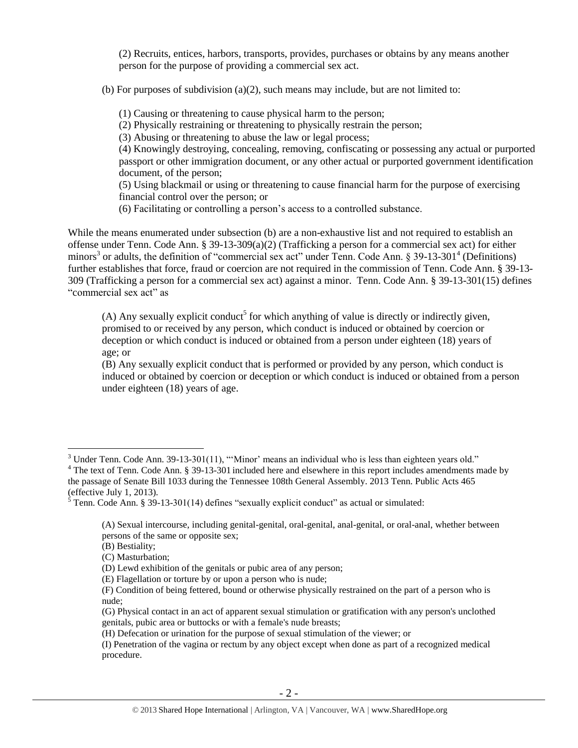(2) Recruits, entices, harbors, transports, provides, purchases or obtains by any means another person for the purpose of providing a commercial sex act.

(b) For purposes of subdivision (a)(2), such means may include, but are not limited to:

(1) Causing or threatening to cause physical harm to the person;

(2) Physically restraining or threatening to physically restrain the person;

(3) Abusing or threatening to abuse the law or legal process;

(4) Knowingly destroying, concealing, removing, confiscating or possessing any actual or purported passport or other immigration document, or any other actual or purported government identification document, of the person;

(5) Using blackmail or using or threatening to cause financial harm for the purpose of exercising financial control over the person; or

<span id="page-1-0"></span>(6) Facilitating or controlling a person's access to a controlled substance.

While the means enumerated under subsection (b) are a non-exhaustive list and not required to establish an offense under Tenn. Code Ann. § 39-13-309(a)(2) (Trafficking a person for a commercial sex act) for either minors<sup>3</sup> or adults, the definition of "commercial sex act" under Tenn. Code Ann. § 39-13-301<sup>4</sup> (Definitions) further establishes that force, fraud or coercion are not required in the commission of Tenn. Code Ann. § 39-13- 309 (Trafficking a person for a commercial sex act) against a minor. Tenn. Code Ann. § 39-13-301(15) defines "commercial sex act" as

<span id="page-1-1"></span> $(A)$  Any sexually explicit conduct<sup>5</sup> for which anything of value is directly or indirectly given, promised to or received by any person, which conduct is induced or obtained by coercion or deception or which conduct is induced or obtained from a person under eighteen (18) years of age; or

(B) Any sexually explicit conduct that is performed or provided by any person, which conduct is induced or obtained by coercion or deception or which conduct is induced or obtained from a person under eighteen (18) years of age.

 $3$  Under Tenn. Code Ann. 39-13-301(11), "'Minor' means an individual who is less than eighteen years old."

<sup>&</sup>lt;sup>4</sup> The text of Tenn. Code Ann. § 39-13-301 included here and elsewhere in this report includes amendments made by the passage of Senate Bill 1033 during the Tennessee 108th General Assembly. 2013 Tenn. Public Acts 465 (effective July 1, 2013).

 $\frac{5}{5}$  Tenn. Code Ann. § 39-13-301(14) defines "sexually explicit conduct" as actual or simulated:

<sup>(</sup>A) Sexual intercourse, including genital-genital, oral-genital, anal-genital, or oral-anal, whether between persons of the same or opposite sex;

<sup>(</sup>B) Bestiality;

<sup>(</sup>C) Masturbation;

<sup>(</sup>D) Lewd exhibition of the genitals or pubic area of any person;

<sup>(</sup>E) Flagellation or torture by or upon a person who is nude;

<sup>(</sup>F) Condition of being fettered, bound or otherwise physically restrained on the part of a person who is nude;

<sup>(</sup>G) Physical contact in an act of apparent sexual stimulation or gratification with any person's unclothed genitals, pubic area or buttocks or with a female's nude breasts;

<sup>(</sup>H) Defecation or urination for the purpose of sexual stimulation of the viewer; or

<sup>(</sup>I) Penetration of the vagina or rectum by any object except when done as part of a recognized medical procedure.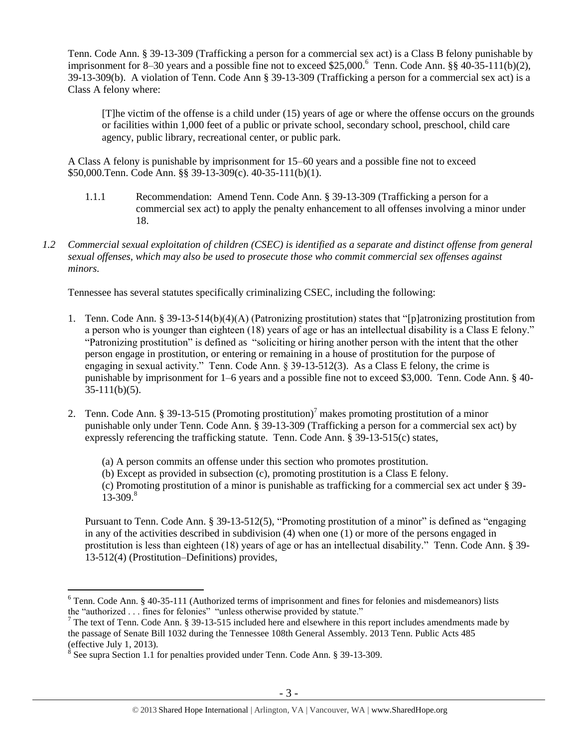Tenn. Code Ann. § 39-13-309 (Trafficking a person for a commercial sex act) is a Class B felony punishable by imprisonment for 8–30 years and a possible fine not to exceed \$25,000.<sup>6</sup> Tenn. Code Ann. §§ 40-35-111(b)(2), 39-13-309(b). A violation of Tenn. Code Ann § 39-13-309 (Trafficking a person for a commercial sex act) is a Class A felony where:

[T]he victim of the offense is a child under (15) years of age or where the offense occurs on the grounds or facilities within 1,000 feet of a public or private school, secondary school, preschool, child care agency, public library, recreational center, or public park.

A Class A felony is punishable by imprisonment for 15–60 years and a possible fine not to exceed \$50,000.Tenn. Code Ann. §§ 39-13-309(c). 40-35-111(b)(1).

- 1.1.1 Recommendation: Amend Tenn. Code Ann. § 39-13-309 (Trafficking a person for a commercial sex act) to apply the penalty enhancement to all offenses involving a minor under 18.
- *1.2 Commercial sexual exploitation of children (CSEC) is identified as a separate and distinct offense from general sexual offenses, which may also be used to prosecute those who commit commercial sex offenses against minors.*

Tennessee has several statutes specifically criminalizing CSEC, including the following:

- 1. Tenn. Code Ann. § 39-13-514(b)(4)(A) (Patronizing prostitution) states that "[p]atronizing prostitution from a person who is younger than eighteen (18) years of age or has an intellectual disability is a Class E felony." "Patronizing prostitution" is defined as "soliciting or hiring another person with the intent that the other person engage in prostitution, or entering or remaining in a house of prostitution for the purpose of engaging in sexual activity." Tenn. Code Ann. § 39-13-512(3). As a Class E felony, the crime is punishable by imprisonment for 1–6 years and a possible fine not to exceed \$3,000. Tenn. Code Ann. § 40-  $35-111(b)(5)$ .
- 2. Tenn. Code Ann. § 39-13-515 (Promoting prostitution)<sup>7</sup> makes promoting prostitution of a minor punishable only under Tenn. Code Ann. § 39-13-309 (Trafficking a person for a commercial sex act) by expressly referencing the trafficking statute. Tenn. Code Ann. § 39-13-515(c) states,
	- (a) A person commits an offense under this section who promotes prostitution.
	- (b) Except as provided in subsection (c), promoting prostitution is a Class E felony.

<span id="page-2-0"></span>(c) Promoting prostitution of a minor is punishable as trafficking for a commercial sex act under § 39-  $13 - 309.8$ 

Pursuant to Tenn. Code Ann. § 39-13-512(5), "Promoting prostitution of a minor" is defined as "engaging in any of the activities described in subdivision (4) when one (1) or more of the persons engaged in prostitution is less than eighteen (18) years of age or has an intellectual disability." Tenn. Code Ann. § 39- 13-512(4) (Prostitution–Definitions) provides,

<sup>6</sup> Tenn. Code Ann. § 40-35-111 (Authorized terms of imprisonment and fines for felonies and misdemeanors) lists the "authorized . . . fines for felonies" "unless otherwise provided by statute."

 $7$  The text of Tenn. Code Ann. § 39-13-515 included here and elsewhere in this report includes amendments made by the passage of Senate Bill 1032 during the Tennessee 108th General Assembly. 2013 Tenn. Public Acts 485 (effective July 1, 2013).

 $8$  See supra Section 1.1 for penalties provided under Tenn. Code Ann. § 39-13-309.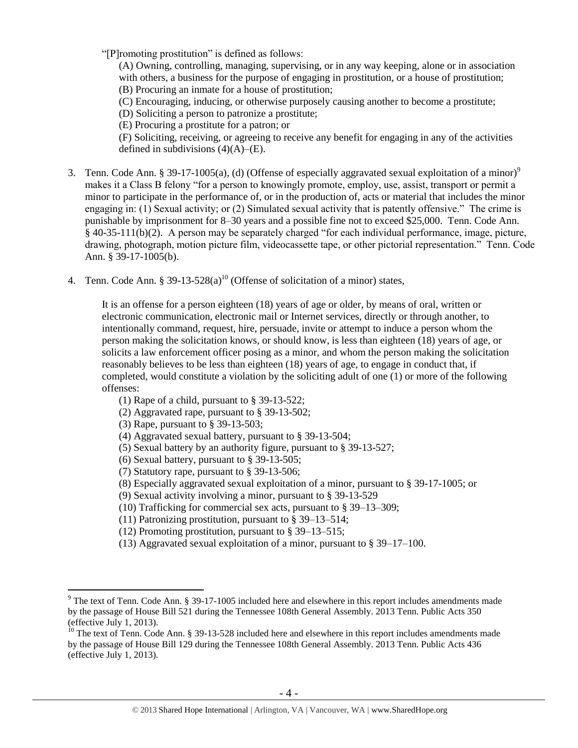"[P]romoting prostitution" is defined as follows:

(A) Owning, controlling, managing, supervising, or in any way keeping, alone or in association with others, a business for the purpose of engaging in prostitution, or a house of prostitution; (B) Procuring an inmate for a house of prostitution;

(C) Encouraging, inducing, or otherwise purposely causing another to become a prostitute;

(D) Soliciting a person to patronize a prostitute;

(E) Procuring a prostitute for a patron; or

<span id="page-3-0"></span>(F) Soliciting, receiving, or agreeing to receive any benefit for engaging in any of the activities defined in subdivisions  $(4)(A)$ – $(E)$ .

- 3. Tenn. Code Ann. § 39-17-1005(a), (d) (Offense of especially aggravated sexual exploitation of a minor)<sup>9</sup> makes it a Class B felony "for a person to knowingly promote, employ, use, assist, transport or permit a minor to participate in the performance of, or in the production of, acts or material that includes the minor engaging in: (1) Sexual activity; or (2) Simulated sexual activity that is patently offensive." The crime is punishable by imprisonment for 8–30 years and a possible fine not to exceed \$25,000. Tenn. Code Ann. § 40-35-111(b)(2). A person may be separately charged "for each individual performance, image, picture, drawing, photograph, motion picture film, videocassette tape, or other pictorial representation." Tenn. Code Ann. § 39-17-1005(b).
- 4. Tenn. Code Ann. § 39-13-528(a)<sup>10</sup> (Offense of solicitation of a minor) states,

It is an offense for a person eighteen (18) years of age or older, by means of oral, written or electronic communication, electronic mail or Internet services, directly or through another, to intentionally command, request, hire, persuade, invite or attempt to induce a person whom the person making the solicitation knows, or should know, is less than eighteen (18) years of age, or solicits a law enforcement officer posing as a minor, and whom the person making the solicitation reasonably believes to be less than eighteen (18) years of age, to engage in conduct that, if completed, would constitute a violation by the soliciting adult of one (1) or more of the following offenses:

- (1) Rape of a child, pursuant to § 39-13-522;
- (2) Aggravated rape, pursuant to § 39-13-502;
- (3) Rape, pursuant to § 39-13-503;

- (4) Aggravated sexual battery, pursuant to § 39-13-504;
- (5) Sexual battery by an authority figure, pursuant to § 39-13-527;
- (6) Sexual battery, pursuant to § 39-13-505;
- (7) Statutory rape, pursuant to § 39-13-506;
- (8) Especially aggravated sexual exploitation of a minor, pursuant to § 39-17-1005; or
- (9) Sexual activity involving a minor, pursuant to § 39-13-529
- (10) Trafficking for commercial sex acts, pursuant to § 39–13–309;
- (11) Patronizing prostitution, pursuant to § 39–13–514;
- (12) Promoting prostitution, pursuant to § 39–13–515;
- (13) Aggravated sexual exploitation of a minor, pursuant to § 39–17–100.

<sup>9</sup> The text of Tenn. Code Ann. § 39-17-1005 included here and elsewhere in this report includes amendments made by the passage of House Bill 521 during the Tennessee 108th General Assembly. 2013 Tenn. Public Acts 350 (effective July 1, 2013).

<sup>&</sup>lt;sup>10</sup> The text of Tenn. Code Ann. § 39-13-528 included here and elsewhere in this report includes amendments made by the passage of House Bill 129 during the Tennessee 108th General Assembly. 2013 Tenn. Public Acts 436 (effective July 1, 2013).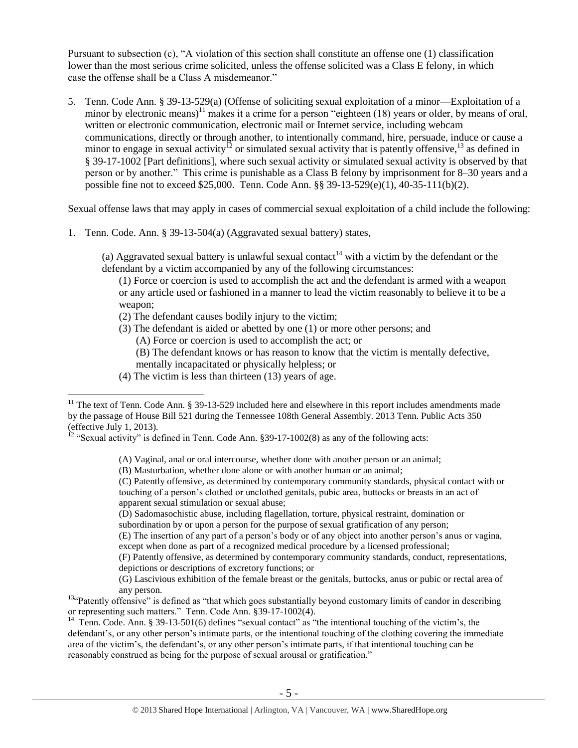Pursuant to subsection (c), "A violation of this section shall constitute an offense one (1) classification lower than the most serious crime solicited, unless the offense solicited was a Class E felony, in which case the offense shall be a Class A misdemeanor."

<span id="page-4-1"></span>5. Tenn. Code Ann. § 39-13-529(a) (Offense of soliciting sexual exploitation of a minor—Exploitation of a minor by electronic means)<sup>11</sup> makes it a crime for a person "eighteen (18) years or older, by means of oral, written or electronic communication, electronic mail or Internet service, including webcam communications, directly or through another, to intentionally command, hire, persuade, induce or cause a minor to engage in sexual activity<sup>12</sup> or simulated sexual activity that is patently offensive,<sup>13</sup> as defined in § 39-17-1002 [Part definitions], where such sexual activity or simulated sexual activity is observed by that person or by another." This crime is punishable as a Class B felony by imprisonment for 8–30 years and a possible fine not to exceed \$25,000. Tenn. Code Ann. §§ 39-13-529(e)(1), 40-35-111(b)(2).

Sexual offense laws that may apply in cases of commercial sexual exploitation of a child include the following:

1. Tenn. Code. Ann. § 39-13-504(a) (Aggravated sexual battery) states,

(a) Aggravated sexual battery is unlawful sexual contact<sup>14</sup> with a victim by the defendant or the defendant by a victim accompanied by any of the following circumstances:

<span id="page-4-0"></span>(1) Force or coercion is used to accomplish the act and the defendant is armed with a weapon or any article used or fashioned in a manner to lead the victim reasonably to believe it to be a weapon;

- (2) The defendant causes bodily injury to the victim;
- (3) The defendant is aided or abetted by one (1) or more other persons; and
	- (A) Force or coercion is used to accomplish the act; or

(B) The defendant knows or has reason to know that the victim is mentally defective, mentally incapacitated or physically helpless; or

(4) The victim is less than thirteen (13) years of age.

 $\overline{a}$ 

(A) Vaginal, anal or oral intercourse, whether done with another person or an animal;

(B) Masturbation, whether done alone or with another human or an animal;

(C) Patently offensive, as determined by contemporary community standards, physical contact with or touching of a person's clothed or unclothed genitals, pubic area, buttocks or breasts in an act of apparent sexual stimulation or sexual abuse;

(D) Sadomasochistic abuse, including flagellation, torture, physical restraint, domination or subordination by or upon a person for the purpose of sexual gratification of any person;

(E) The insertion of any part of a person's body or of any object into another person's anus or vagina, except when done as part of a recognized medical procedure by a licensed professional;

(F) Patently offensive, as determined by contemporary community standards, conduct, representations, depictions or descriptions of excretory functions; or

<sup>14</sup> Tenn. Code. Ann. § 39-13-501(6) defines "sexual contact" as "the intentional touching of the victim's, the defendant's, or any other person's intimate parts, or the intentional touching of the clothing covering the immediate area of the victim's, the defendant's, or any other person's intimate parts, if that intentional touching can be reasonably construed as being for the purpose of sexual arousal or gratification."

 $11$  The text of Tenn. Code Ann. § 39-13-529 included here and elsewhere in this report includes amendments made by the passage of House Bill 521 during the Tennessee 108th General Assembly. 2013 Tenn. Public Acts 350 (effective July 1, 2013).

<sup>&</sup>lt;sup>12</sup> "Sexual activity" is defined in Tenn. Code Ann.  $\S 39-17-1002(8)$  as any of the following acts:

<sup>(</sup>G) Lascivious exhibition of the female breast or the genitals, buttocks, anus or pubic or rectal area of any person.

<sup>&</sup>lt;sup>13"</sup>Patently offensive" is defined as "that which goes substantially beyond customary limits of candor in describing or representing such matters." Tenn. Code Ann. §39-17-1002(4).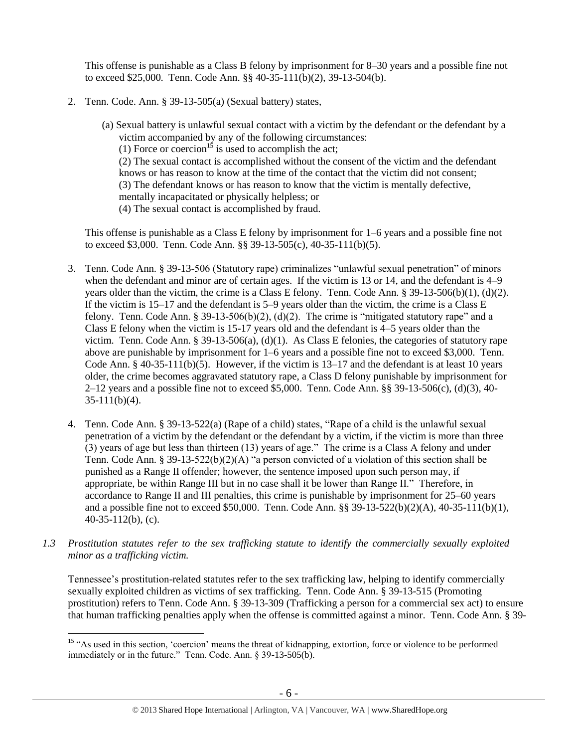This offense is punishable as a Class B felony by imprisonment for 8–30 years and a possible fine not to exceed \$25,000. Tenn. Code Ann. §§ 40-35-111(b)(2), 39-13-504(b).

- 2. Tenn. Code. Ann. § 39-13-505(a) (Sexual battery) states,
	- (a) Sexual battery is unlawful sexual contact with a victim by the defendant or the defendant by a victim accompanied by any of the following circumstances: (1) Force or coercion<sup>15</sup> is used to accomplish the act; (2) The sexual contact is accomplished without the consent of the victim and the defendant knows or has reason to know at the time of the contact that the victim did not consent; (3) The defendant knows or has reason to know that the victim is mentally defective, mentally incapacitated or physically helpless; or (4) The sexual contact is accomplished by fraud.

This offense is punishable as a Class E felony by imprisonment for 1–6 years and a possible fine not to exceed \$3,000. Tenn. Code Ann. §§ 39-13-505(c), 40-35-111(b)(5).

- 3. Tenn. Code Ann. § 39-13-506 (Statutory rape) criminalizes "unlawful sexual penetration" of minors when the defendant and minor are of certain ages. If the victim is 13 or 14, and the defendant is 4–9 years older than the victim, the crime is a Class E felony. Tenn. Code Ann. § 39-13-506(b)(1), (d)(2). If the victim is 15–17 and the defendant is 5–9 years older than the victim, the crime is a Class E felony. Tenn. Code Ann. § 39-13-506(b)(2), (d)(2). The crime is "mitigated statutory rape" and a Class E felony when the victim is 15-17 years old and the defendant is 4–5 years older than the victim. Tenn. Code Ann. § 39-13-506(a), (d)(1). As Class E felonies, the categories of statutory rape above are punishable by imprisonment for 1–6 years and a possible fine not to exceed \$3,000. Tenn. Code Ann. § 40-35-111(b)(5). However, if the victim is 13–17 and the defendant is at least 10 years older, the crime becomes aggravated statutory rape, a Class D felony punishable by imprisonment for 2–12 years and a possible fine not to exceed \$5,000. Tenn. Code Ann. §§ 39-13-506(c), (d)(3), 40- 35-111(b)(4).
- 4. Tenn. Code Ann. § 39-13-522(a) (Rape of a child) states, "Rape of a child is the unlawful sexual penetration of a victim by the defendant or the defendant by a victim, if the victim is more than three  $(3)$  years of age but less than thirteen (13) years of age." The crime is a Class A felony and under Tenn. Code Ann. § 39-13-522(b)(2)(A) "a person convicted of a violation of this section shall be punished as a Range II offender; however, the sentence imposed upon such person may, if appropriate, be within Range III but in no case shall it be lower than Range II." Therefore, in accordance to Range II and III penalties, this crime is punishable by imprisonment for 25–60 years and a possible fine not to exceed \$50,000. Tenn. Code Ann. §§ 39-13-522(b)(2)(A), 40-35-111(b)(1), 40-35-112(b), (c).
- *1.3 Prostitution statutes refer to the sex trafficking statute to identify the commercially sexually exploited minor as a trafficking victim.*

Tennessee's prostitution-related statutes refer to the sex trafficking law, helping to identify commercially sexually exploited children as victims of sex trafficking. Tenn. Code Ann. § 39-13-515 (Promoting prostitution) refers to Tenn. Code Ann. § 39-13-309 (Trafficking a person for a commercial sex act) to ensure that human trafficking penalties apply when the offense is committed against a minor. Tenn. Code Ann. § 39-

<sup>&</sup>lt;sup>15</sup> "As used in this section, 'coercion' means the threat of kidnapping, extortion, force or violence to be performed immediately or in the future." Tenn. Code. Ann. § 39-13-505(b).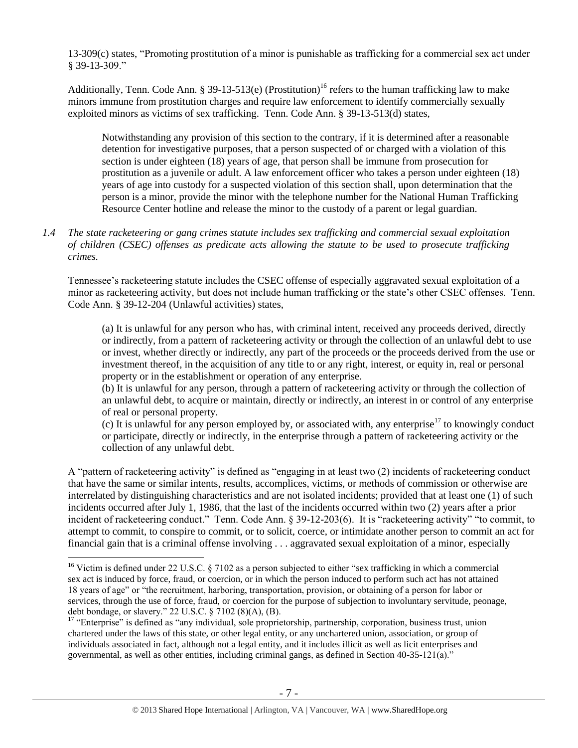13-309(c) states, "Promoting prostitution of a minor is punishable as trafficking for a commercial sex act under § 39-13-309."

Additionally, Tenn. Code Ann. § 39-13-513(e) (Prostitution)<sup>16</sup> refers to the human trafficking law to make minors immune from prostitution charges and require law enforcement to identify commercially sexually exploited minors as victims of sex trafficking. Tenn. Code Ann. § 39-13-513(d) states,

Notwithstanding any provision of this section to the contrary, if it is determined after a reasonable detention for investigative purposes, that a person suspected of or charged with a violation of this section is under eighteen (18) years of age, that person shall be immune from prosecution for prostitution as a juvenile or adult. A law enforcement officer who takes a person under eighteen (18) years of age into custody for a suspected violation of this section shall, upon determination that the person is a minor, provide the minor with the telephone number for the National Human Trafficking Resource Center hotline and release the minor to the custody of a parent or legal guardian.

*1.4 The state racketeering or gang crimes statute includes sex trafficking and commercial sexual exploitation of children (CSEC) offenses as predicate acts allowing the statute to be used to prosecute trafficking crimes.* 

Tennessee's racketeering statute includes the CSEC offense of especially aggravated sexual exploitation of a minor as racketeering activity, but does not include human trafficking or the state's other CSEC offenses. Tenn. Code Ann. § 39-12-204 (Unlawful activities) states,

(a) It is unlawful for any person who has, with criminal intent, received any proceeds derived, directly or indirectly, from a pattern of racketeering activity or through the collection of an unlawful debt to use or invest, whether directly or indirectly, any part of the proceeds or the proceeds derived from the use or investment thereof, in the acquisition of any title to or any right, interest, or equity in, real or personal property or in the establishment or operation of any enterprise.

(b) It is unlawful for any person, through a pattern of racketeering activity or through the collection of an unlawful debt, to acquire or maintain, directly or indirectly, an interest in or control of any enterprise of real or personal property.

(c) It is unlawful for any person employed by, or associated with, any enterprise<sup>17</sup> to knowingly conduct or participate, directly or indirectly, in the enterprise through a pattern of racketeering activity or the collection of any unlawful debt.

A "pattern of racketeering activity" is defined as "engaging in at least two (2) incidents of racketeering conduct that have the same or similar intents, results, accomplices, victims, or methods of commission or otherwise are interrelated by distinguishing characteristics and are not isolated incidents; provided that at least one (1) of such incidents occurred after July 1, 1986, that the last of the incidents occurred within two (2) years after a prior incident of racketeering conduct." Tenn. Code Ann. § 39-12-203(6). It is "racketeering activity" "to commit, to attempt to commit, to conspire to commit, or to solicit, coerce, or intimidate another person to commit an act for financial gain that is a criminal offense involving . . . aggravated sexual exploitation of a minor, especially

<sup>&</sup>lt;sup>16</sup> Victim is defined under 22 U.S.C. § 7102 as a person subjected to either "sex trafficking in which a commercial sex act is induced by force, fraud, or coercion, or in which the person induced to perform such act has not attained 18 years of age" or "the recruitment, harboring, transportation, provision, or obtaining of a person for labor or services, through the use of force, fraud, or coercion for the purpose of subjection to involuntary servitude, peonage, debt bondage, or slavery." 22 U.S.C. § 7102 (8)(A), (B).

<sup>&</sup>lt;sup>17</sup> "Enterprise" is defined as "any individual, sole proprietorship, partnership, corporation, business trust, union chartered under the laws of this state, or other legal entity, or any unchartered union, association, or group of individuals associated in fact, although not a legal entity, and it includes illicit as well as licit enterprises and governmental, as well as other entities, including criminal gangs, as defined in Section 40-35-121(a)."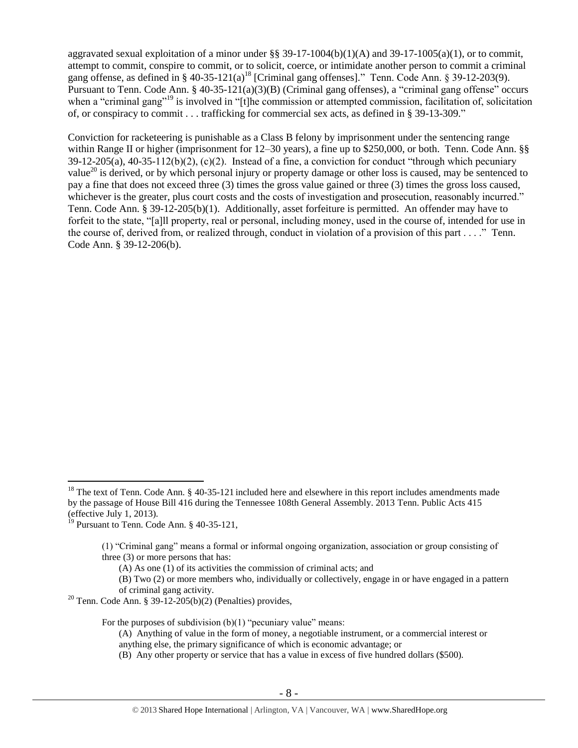aggravated sexual exploitation of a minor under  $\S$ § 39-17-1004(b)(1)(A) and 39-17-1005(a)(1), or to commit, attempt to commit, conspire to commit, or to solicit, coerce, or intimidate another person to commit a criminal gang offense, as defined in § 40-35-121(a)<sup>18</sup> [Criminal gang offenses]." Tenn. Code Ann. § 39-12-203(9). Pursuant to Tenn. Code Ann. § 40-35-121(a)(3)(B) (Criminal gang offenses), a "criminal gang offense" occurs when a "criminal gang"<sup>19</sup> is involved in "[t]he commission or attempted commission, facilitation of, solicitation of, or conspiracy to commit . . . trafficking for commercial sex acts, as defined in § 39-13-309."

Conviction for racketeering is punishable as a Class B felony by imprisonment under the sentencing range within Range II or higher (imprisonment for 12–30 years), a fine up to \$250,000, or both. Tenn. Code Ann. §§ 39-12-205(a), 40-35-112(b)(2), (c)(2). Instead of a fine, a conviction for conduct "through which pecuniary value<sup>20</sup> is derived, or by which personal injury or property damage or other loss is caused, may be sentenced to pay a fine that does not exceed three (3) times the gross value gained or three (3) times the gross loss caused, whichever is the greater, plus court costs and the costs of investigation and prosecution, reasonably incurred." Tenn. Code Ann. § 39-12-205(b)(1). Additionally, asset forfeiture is permitted. An offender may have to forfeit to the state, "[a]ll property, real or personal, including money, used in the course of, intended for use in the course of, derived from, or realized through, conduct in violation of a provision of this part . . . ." Tenn. Code Ann. § 39-12-206(b).

 $\overline{a}$ 

For the purposes of subdivision  $(b)(1)$  "pecuniary value" means:

(B) Any other property or service that has a value in excess of five hundred dollars (\$500).

<sup>&</sup>lt;sup>18</sup> The text of Tenn. Code Ann. § 40-35-121 included here and elsewhere in this report includes amendments made by the passage of House Bill 416 during the Tennessee 108th General Assembly. 2013 Tenn. Public Acts 415 (effective July 1, 2013).

 $19$  Pursuant to Tenn. Code Ann. § 40-35-121,

<sup>(1) &</sup>quot;Criminal gang" means a formal or informal ongoing organization, association or group consisting of three (3) or more persons that has:

<sup>(</sup>A) As one (1) of its activities the commission of criminal acts; and

<sup>(</sup>B) Two (2) or more members who, individually or collectively, engage in or have engaged in a pattern of criminal gang activity.

<sup>&</sup>lt;sup>20</sup> Tenn. Code Ann. § 39-12-205(b)(2) (Penalties) provides,

<sup>(</sup>A) Anything of value in the form of money, a negotiable instrument, or a commercial interest or anything else, the primary significance of which is economic advantage; or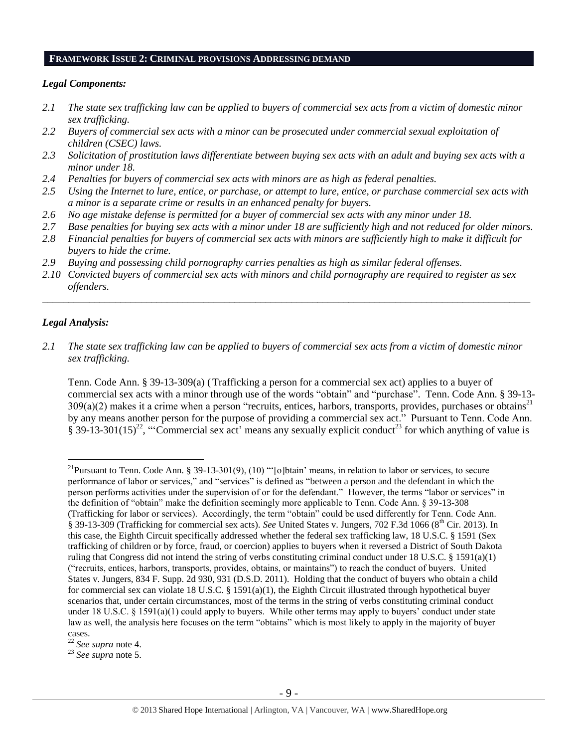#### **FRAMEWORK ISSUE 2: CRIMINAL PROVISIONS ADDRESSING DEMAND**

#### *Legal Components:*

- *2.1 The state sex trafficking law can be applied to buyers of commercial sex acts from a victim of domestic minor sex trafficking.*
- *2.2 Buyers of commercial sex acts with a minor can be prosecuted under commercial sexual exploitation of children (CSEC) laws.*
- *2.3 Solicitation of prostitution laws differentiate between buying sex acts with an adult and buying sex acts with a minor under 18.*
- *2.4 Penalties for buyers of commercial sex acts with minors are as high as federal penalties.*
- *2.5 Using the Internet to lure, entice, or purchase, or attempt to lure, entice, or purchase commercial sex acts with a minor is a separate crime or results in an enhanced penalty for buyers.*
- *2.6 No age mistake defense is permitted for a buyer of commercial sex acts with any minor under 18.*
- *2.7 Base penalties for buying sex acts with a minor under 18 are sufficiently high and not reduced for older minors.*
- *2.8 Financial penalties for buyers of commercial sex acts with minors are sufficiently high to make it difficult for buyers to hide the crime.*
- *2.9 Buying and possessing child pornography carries penalties as high as similar federal offenses.*
- *2.10 Convicted buyers of commercial sex acts with minors and child pornography are required to register as sex offenders.*

\_\_\_\_\_\_\_\_\_\_\_\_\_\_\_\_\_\_\_\_\_\_\_\_\_\_\_\_\_\_\_\_\_\_\_\_\_\_\_\_\_\_\_\_\_\_\_\_\_\_\_\_\_\_\_\_\_\_\_\_\_\_\_\_\_\_\_\_\_\_\_\_\_\_\_\_\_\_\_\_\_\_\_\_\_\_\_\_\_\_\_\_\_\_

#### *Legal Analysis:*

 $\overline{a}$ 

*2.1 The state sex trafficking law can be applied to buyers of commercial sex acts from a victim of domestic minor sex trafficking.*

Tenn. Code Ann. § 39-13-309(a) (Trafficking a person for a commercial sex act) applies to a buyer of commercial sex acts with a minor through use of the words "obtain" and "purchase". Tenn. Code Ann. § 39-13-  $309(a)(2)$  makes it a crime when a person "recruits, entices, harbors, transports, provides, purchases or obtains<sup>21</sup> by any means another person for the purpose of providing a commercial sex act." Pursuant to Tenn. Code Ann.  $\S 39-13-301(15)^{22}$ , "Commercial sex act' means any sexually explicit conduct<sup>23</sup> for which anything of value is

<sup>&</sup>lt;sup>21</sup>Pursuant to Tenn. Code Ann. § 39-13-301(9), (10) " $[o]$ btain' means, in relation to labor or services, to secure performance of labor or services," and "services" is defined as "between a person and the defendant in which the person performs activities under the supervision of or for the defendant." However, the terms "labor or services" in the definition of "obtain" make the definition seemingly more applicable to Tenn. Code Ann. § 39-13-308 (Trafficking for labor or services). Accordingly, the term "obtain" could be used differently for Tenn. Code Ann. § 39-13-309 (Trafficking for commercial sex acts). *See* United States v. Jungers, 702 F.3d 1066 (8<sup>th</sup> Cir. 2013). In this case, the Eighth Circuit specifically addressed whether the federal sex trafficking law, 18 U.S.C. § 1591 (Sex trafficking of children or by force, fraud, or coercion) applies to buyers when it reversed a District of South Dakota ruling that Congress did not intend the string of verbs constituting criminal conduct under 18 U.S.C. § 1591(a)(1) ("recruits, entices, harbors, transports, provides, obtains, or maintains") to reach the conduct of buyers. United States v. Jungers, 834 F. Supp. 2d 930, 931 (D.S.D. 2011). Holding that the conduct of buyers who obtain a child for commercial sex can violate 18 U.S.C. § 1591(a)(1), the Eighth Circuit illustrated through hypothetical buyer scenarios that, under certain circumstances, most of the terms in the string of verbs constituting criminal conduct under 18 U.S.C. § 1591(a)(1) could apply to buyers. While other terms may apply to buyers' conduct under state law as well, the analysis here focuses on the term "obtains" which is most likely to apply in the majority of buyer cases.

<sup>22</sup> *See supra* note [4.](#page-1-0)

<sup>23</sup> *See supra* note [5.](#page-1-1)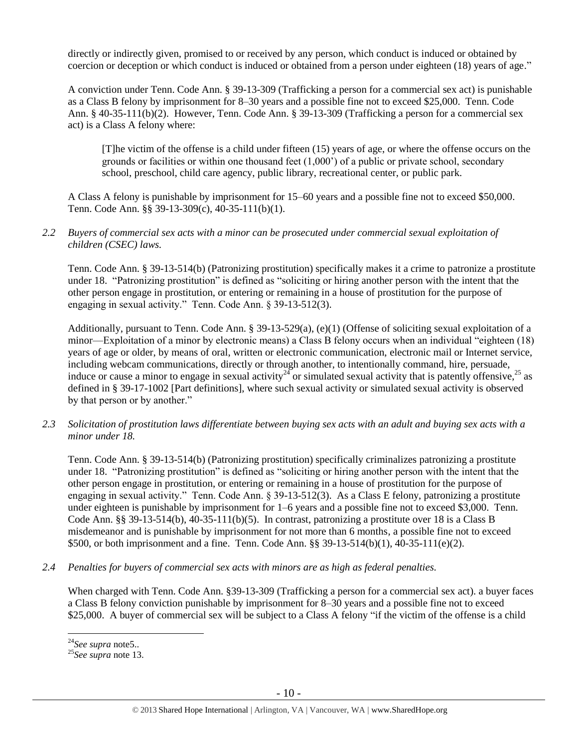directly or indirectly given, promised to or received by any person, which conduct is induced or obtained by coercion or deception or which conduct is induced or obtained from a person under eighteen (18) years of age."

A conviction under Tenn. Code Ann. § 39-13-309 (Trafficking a person for a commercial sex act) is punishable as a Class B felony by imprisonment for 8–30 years and a possible fine not to exceed \$25,000. Tenn. Code Ann. § 40-35-111(b)(2). However, Tenn. Code Ann. § 39-13-309 (Trafficking a person for a commercial sex act) is a Class A felony where:

[T]he victim of the offense is a child under fifteen (15) years of age, or where the offense occurs on the grounds or facilities or within one thousand feet (1,000') of a public or private school, secondary school, preschool, child care agency, public library, recreational center, or public park.

A Class A felony is punishable by imprisonment for 15–60 years and a possible fine not to exceed \$50,000. Tenn. Code Ann. §§ 39-13-309(c), 40-35-111(b)(1).

#### *2.2 Buyers of commercial sex acts with a minor can be prosecuted under commercial sexual exploitation of children (CSEC) laws.*

Tenn. Code Ann. § 39-13-514(b) (Patronizing prostitution) specifically makes it a crime to patronize a prostitute under 18. "Patronizing prostitution" is defined as "soliciting or hiring another person with the intent that the other person engage in prostitution, or entering or remaining in a house of prostitution for the purpose of engaging in sexual activity." Tenn. Code Ann. § 39-13-512(3).

Additionally, pursuant to Tenn. Code Ann. § 39-13-529(a), (e)(1) (Offense of soliciting sexual exploitation of a minor—Exploitation of a minor by electronic means) a Class B felony occurs when an individual "eighteen (18) years of age or older, by means of oral, written or electronic communication, electronic mail or Internet service, including webcam communications, directly or through another, to intentionally command, hire, persuade, induce or cause a minor to engage in sexual activity<sup>24</sup> or simulated sexual activity that is patently offensive,<sup>25</sup> as defined in § 39-17-1002 [Part definitions], where such sexual activity or simulated sexual activity is observed by that person or by another."

*2.3 Solicitation of prostitution laws differentiate between buying sex acts with an adult and buying sex acts with a minor under 18.*

Tenn. Code Ann. § 39-13-514(b) (Patronizing prostitution) specifically criminalizes patronizing a prostitute under 18. "Patronizing prostitution" is defined as "soliciting or hiring another person with the intent that the other person engage in prostitution, or entering or remaining in a house of prostitution for the purpose of engaging in sexual activity." Tenn. Code Ann. § 39-13-512(3). As a Class E felony, patronizing a prostitute under eighteen is punishable by imprisonment for  $1-6$  years and a possible fine not to exceed \$3,000. Tenn. Code Ann. §§ 39-13-514(b), 40-35-111(b)(5). In contrast, patronizing a prostitute over 18 is a Class B misdemeanor and is punishable by imprisonment for not more than 6 months, a possible fine not to exceed \$500, or both imprisonment and a fine. Tenn. Code Ann. §§ 39-13-514(b)(1), 40-35-111(e)(2).

*2.4 Penalties for buyers of commercial sex acts with minors are as high as federal penalties.*

When charged with Tenn. Code Ann. §39-13-309 (Trafficking a person for a commercial sex act). a buyer faces a Class B felony conviction punishable by imprisonment for 8–30 years and a possible fine not to exceed \$25,000. A buyer of commercial sex will be subject to a Class A felony "if the victim of the offense is a child

<sup>24</sup>*See supra* not[e5..](#page-1-1)

<sup>25</sup>*See supra* note [13.](#page-4-0)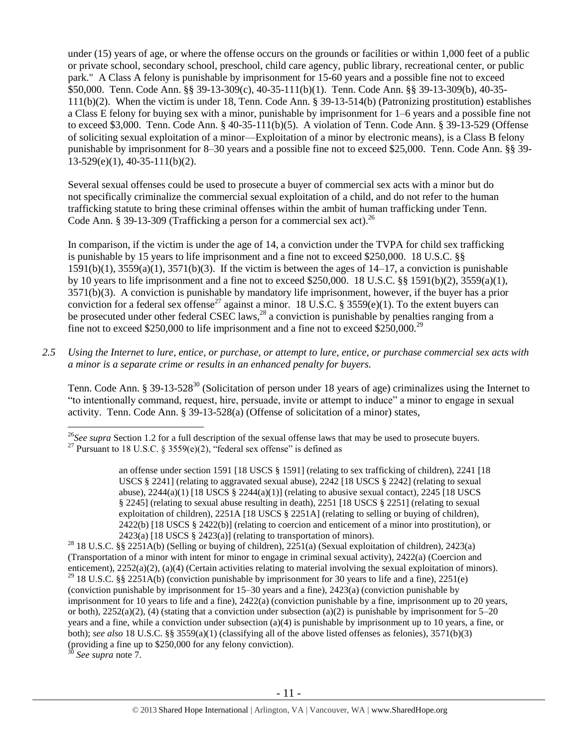under (15) years of age, or where the offense occurs on the grounds or facilities or within 1,000 feet of a public or private school, secondary school, preschool, child care agency, public library, recreational center, or public park." A Class A felony is punishable by imprisonment for 15-60 years and a possible fine not to exceed \$50,000. Tenn. Code Ann. §§ 39-13-309(c), 40-35-111(b)(1). Tenn. Code Ann. §§ 39-13-309(b), 40-35- 111(b)(2). When the victim is under 18, Tenn. Code Ann. § 39-13-514(b) (Patronizing prostitution) establishes a Class E felony for buying sex with a minor, punishable by imprisonment for 1–6 years and a possible fine not to exceed \$3,000. Tenn. Code Ann. § 40-35-111(b)(5). A violation of Tenn. Code Ann. § 39-13-529 (Offense of soliciting sexual exploitation of a minor—Exploitation of a minor by electronic means), is a Class B felony punishable by imprisonment for 8–30 years and a possible fine not to exceed \$25,000. Tenn. Code Ann. §§ 39- 13-529(e)(1), 40-35-111(b)(2).

Several sexual offenses could be used to prosecute a buyer of commercial sex acts with a minor but do not specifically criminalize the commercial sexual exploitation of a child, and do not refer to the human trafficking statute to bring these criminal offenses within the ambit of human trafficking under Tenn. Code Ann. § 39-13-309 (Trafficking a person for a commercial sex act).<sup>26</sup>

<span id="page-10-1"></span><span id="page-10-0"></span>In comparison, if the victim is under the age of 14, a conviction under the TVPA for child sex trafficking is punishable by 15 years to life imprisonment and a fine not to exceed \$250,000. 18 U.S.C. §§  $1591(b)(1)$ ,  $3559(a)(1)$ ,  $3571(b)(3)$ . If the victim is between the ages of  $14-17$ , a conviction is punishable by 10 years to life imprisonment and a fine not to exceed \$250,000. 18 U.S.C. §§ 1591(b)(2), 3559(a)(1), 3571(b)(3). A conviction is punishable by mandatory life imprisonment, however, if the buyer has a prior conviction for a federal sex offense<sup>27</sup> against a minor. 18 U.S.C. § 3559(e)(1). To the extent buyers can be prosecuted under other federal CSEC laws,<sup>28</sup> a conviction is punishable by penalties ranging from a fine not to exceed \$250,000 to life imprisonment and a fine not to exceed \$250,000.<sup>29</sup>

*2.5 Using the Internet to lure, entice, or purchase, or attempt to lure, entice, or purchase commercial sex acts with a minor is a separate crime or results in an enhanced penalty for buyers.*

Tenn. Code Ann. § 39-13-528<sup>30</sup> (Solicitation of person under 18 years of age) criminalizes using the Internet to "to intentionally command, request, hire, persuade, invite or attempt to induce" a minor to engage in sexual activity. Tenn. Code Ann. § 39-13-528(a) (Offense of solicitation of a minor) states,

See supra note [7.](#page-2-0)

 $\overline{a}$ <sup>26</sup>See supra Section 1.2 for a full description of the sexual offense laws that may be used to prosecute buyers. <sup>27</sup> Pursuant to 18 U.S.C. § 3559(e)(2), "federal sex offense" is defined as

an offense under section 1591 [18 USCS § 1591] (relating to sex trafficking of children), 2241 [18 USCS § 2241] (relating to aggravated sexual abuse), 2242 [18 USCS § 2242] (relating to sexual abuse),  $2244(a)(1)$  [18 USCS §  $2244(a)(1)$ ] (relating to abusive sexual contact),  $2245$  [18 USCS § 2245] (relating to sexual abuse resulting in death), 2251 [18 USCS § 2251] (relating to sexual exploitation of children), 2251A [18 USCS § 2251A] (relating to selling or buying of children), 2422(b) [18 USCS § 2422(b)] (relating to coercion and enticement of a minor into prostitution), or  $2423(a)$  [18 USCS § 2423(a)] (relating to transportation of minors).

<sup>&</sup>lt;sup>28</sup> 18 U.S.C. §§ 2251A(b) (Selling or buying of children), 2251(a) (Sexual exploitation of children), 2423(a) (Transportation of a minor with intent for minor to engage in criminal sexual activity), 2422(a) (Coercion and enticement), 2252(a)(2), (a)(4) (Certain activities relating to material involving the sexual exploitation of minors). <sup>29</sup> 18 U.S.C. §§ 2251A(b) (conviction punishable by imprisonment for 30 years to life and a fine), 2251(e) (conviction punishable by imprisonment for 15–30 years and a fine), 2423(a) (conviction punishable by imprisonment for 10 years to life and a fine), 2422(a) (conviction punishable by a fine, imprisonment up to 20 years, or both),  $2252(a)(2)$ , (4) (stating that a conviction under subsection (a)(2) is punishable by imprisonment for 5–20 years and a fine, while a conviction under subsection (a)(4) is punishable by imprisonment up to 10 years, a fine, or both); *see also* 18 U.S.C. §§ 3559(a)(1) (classifying all of the above listed offenses as felonies), 3571(b)(3) (providing a fine up to \$250,000 for any felony conviction).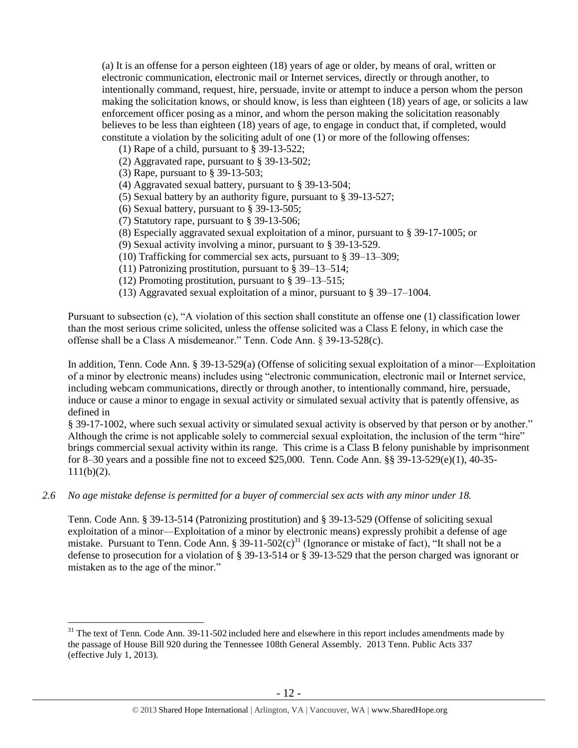(a) It is an offense for a person eighteen (18) years of age or older, by means of oral, written or electronic communication, electronic mail or Internet services, directly or through another, to intentionally command, request, hire, persuade, invite or attempt to induce a person whom the person making the solicitation knows, or should know, is less than eighteen (18) years of age, or solicits a law enforcement officer posing as a minor, and whom the person making the solicitation reasonably believes to be less than eighteen (18) years of age, to engage in conduct that, if completed, would constitute a violation by the soliciting adult of one (1) or more of the following offenses:

- (1) Rape of a child, pursuant to [§ 39-13-522;](https://a.next.westlaw.com/Link/Document/FullText?findType=L&pubNum=1000039&cite=TNSTS39-13-522&originatingDoc=N61AFE9D1CCE411DB8F04FB3E68C8F4C5&refType=LQ&originationContext=document&transitionType=DocumentItem&contextData=(sc.UserEnteredCitation))
- (2) Aggravated rape, pursuant to [§ 39-13-502;](https://a.next.westlaw.com/Link/Document/FullText?findType=L&pubNum=1000039&cite=TNSTS39-13-502&originatingDoc=N61AFE9D1CCE411DB8F04FB3E68C8F4C5&refType=LQ&originationContext=document&transitionType=DocumentItem&contextData=(sc.UserEnteredCitation))
- (3) Rape, pursuant to [§ 39-13-503;](https://a.next.westlaw.com/Link/Document/FullText?findType=L&pubNum=1000039&cite=TNSTS39-13-503&originatingDoc=N61AFE9D1CCE411DB8F04FB3E68C8F4C5&refType=LQ&originationContext=document&transitionType=DocumentItem&contextData=(sc.UserEnteredCitation))

 $\overline{a}$ 

- (4) Aggravated sexual battery, pursuant to [§ 39-13-504;](https://a.next.westlaw.com/Link/Document/FullText?findType=L&pubNum=1000039&cite=TNSTS39-13-504&originatingDoc=N61AFE9D1CCE411DB8F04FB3E68C8F4C5&refType=LQ&originationContext=document&transitionType=DocumentItem&contextData=(sc.UserEnteredCitation))
- (5) Sexual battery by an authority figure, pursuant to [§ 39-13-527;](https://a.next.westlaw.com/Link/Document/FullText?findType=L&pubNum=1000039&cite=TNSTS39-13-527&originatingDoc=N61AFE9D1CCE411DB8F04FB3E68C8F4C5&refType=LQ&originationContext=document&transitionType=DocumentItem&contextData=(sc.UserEnteredCitation))
- (6) Sexual battery, pursuant to [§ 39-13-505;](https://a.next.westlaw.com/Link/Document/FullText?findType=L&pubNum=1000039&cite=TNSTS39-13-505&originatingDoc=N61AFE9D1CCE411DB8F04FB3E68C8F4C5&refType=LQ&originationContext=document&transitionType=DocumentItem&contextData=(sc.UserEnteredCitation))
- (7) Statutory rape, pursuant to [§ 39-13-506;](https://a.next.westlaw.com/Link/Document/FullText?findType=L&pubNum=1000039&cite=TNSTS39-13-506&originatingDoc=N61AFE9D1CCE411DB8F04FB3E68C8F4C5&refType=LQ&originationContext=document&transitionType=DocumentItem&contextData=(sc.UserEnteredCitation))
- (8) Especially aggravated sexual exploitation of a minor, pursuant to [§ 39-17-1005;](https://a.next.westlaw.com/Link/Document/FullText?findType=L&pubNum=1000039&cite=TNSTS39-17-1005&originatingDoc=N61AFE9D1CCE411DB8F04FB3E68C8F4C5&refType=LQ&originationContext=document&transitionType=DocumentItem&contextData=(sc.UserEnteredCitation)) or
- (9) Sexual activity involving a minor, pursuant to [§ 39-13-529.](https://a.next.westlaw.com/Link/Document/FullText?findType=L&pubNum=1000039&cite=TNSTS39-13-529&originatingDoc=N61AFE9D1CCE411DB8F04FB3E68C8F4C5&refType=LQ&originationContext=document&transitionType=DocumentItem&contextData=(sc.UserEnteredCitation))
- (10) Trafficking for commercial sex acts, pursuant to § 39–13–309;
- (11) Patronizing prostitution, pursuant to § 39–13–514;
- (12) Promoting prostitution, pursuant to § 39–13–515;
- (13) Aggravated sexual exploitation of a minor, pursuant to § 39–17–1004.

Pursuant to subsection (c), "A violation of this section shall constitute an offense one (1) classification lower than the most serious crime solicited, unless the offense solicited was a Class E felony, in which case the offense shall be a Class A misdemeanor." Tenn. Code Ann. § 39-13-528(c).

In addition, Tenn. Code Ann. § 39-13-529(a) (Offense of soliciting sexual exploitation of a minor—Exploitation of a minor by electronic means) includes using "electronic communication, electronic mail or Internet service, including webcam communications, directly or through another, to intentionally command, hire, persuade, induce or cause a minor to engage in sexual activity or simulated sexual activity that is patently offensive, as defined in

§ 39-17-1002, where such sexual activity or simulated sexual activity is observed by that person or by another." Although the crime is not applicable solely to commercial sexual exploitation, the inclusion of the term "hire" brings commercial sexual activity within its range. This crime is a Class B felony punishable by imprisonment for 8–30 years and a possible fine not to exceed \$25,000. Tenn. Code Ann. §§ 39-13-529(e)(1), 40-35-  $111(b)(2)$ .

*2.6 No age mistake defense is permitted for a buyer of commercial sex acts with any minor under 18.*

Tenn. Code Ann. § 39-13-514 (Patronizing prostitution) and § 39-13-529 (Offense of soliciting sexual exploitation of a minor—Exploitation of a minor by electronic means) expressly prohibit a defense of age mistake. Pursuant to Tenn. Code Ann. § 39-11-502 $(c)^{31}$  (Ignorance or mistake of fact), "It shall not be a defense to prosecution for a violation of § 39-13-514 or § 39-13-529 that the person charged was ignorant or mistaken as to the age of the minor."

<sup>&</sup>lt;sup>31</sup> The text of Tenn. Code Ann. 39-11-502 included here and elsewhere in this report includes amendments made by the passage of House Bill 920 during the Tennessee 108th General Assembly. 2013 Tenn. Public Acts 337 (effective July 1, 2013).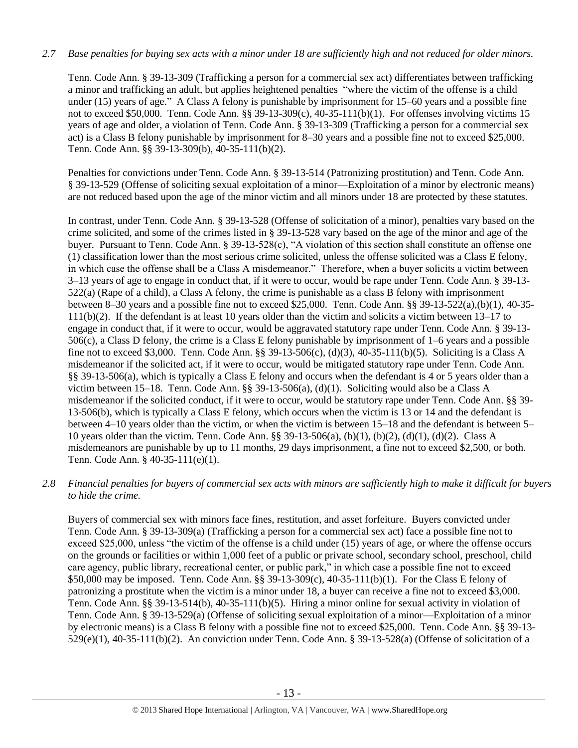## *2.7 Base penalties for buying sex acts with a minor under 18 are sufficiently high and not reduced for older minors.*

Tenn. Code Ann. § 39-13-309 (Trafficking a person for a commercial sex act) differentiates between trafficking a minor and trafficking an adult, but applies heightened penalties "where the victim of the offense is a child under (15) years of age." A Class A felony is punishable by imprisonment for 15–60 years and a possible fine not to exceed \$50,000. Tenn. Code Ann. §§ 39-13-309(c), 40-35-111(b)(1). For offenses involving victims 15 years of age and older, a violation of Tenn. Code Ann. § 39-13-309 (Trafficking a person for a commercial sex act) is a Class B felony punishable by imprisonment for 8–30 years and a possible fine not to exceed \$25,000. Tenn. Code Ann. §§ 39-13-309(b), 40-35-111(b)(2).

Penalties for convictions under Tenn. Code Ann. § 39-13-514 (Patronizing prostitution) and Tenn. Code Ann. § 39-13-529 (Offense of soliciting sexual exploitation of a minor—Exploitation of a minor by electronic means) are not reduced based upon the age of the minor victim and all minors under 18 are protected by these statutes.

In contrast, under Tenn. Code Ann. § 39-13-528 (Offense of solicitation of a minor), penalties vary based on the crime solicited, and some of the crimes listed in § 39-13-528 vary based on the age of the minor and age of the buyer. Pursuant to Tenn. Code Ann. § 39-13-528(c), "A violation of this section shall constitute an offense one (1) classification lower than the most serious crime solicited, unless the offense solicited was a Class E felony, in which case the offense shall be a Class A misdemeanor." Therefore, when a buyer solicits a victim between 3–13 years of age to engage in conduct that, if it were to occur, would be rape under Tenn. Code Ann. § 39-13- 522(a) (Rape of a child), a Class A felony, the crime is punishable as a class B felony with imprisonment between 8–30 years and a possible fine not to exceed \$25,000. Tenn. Code Ann. §§ 39-13-522(a),(b)(1), 40-35- 111(b)(2). If the defendant is at least 10 years older than the victim and solicits a victim between 13–17 to engage in conduct that, if it were to occur, would be aggravated statutory rape under Tenn. Code Ann. § 39-13- 506(c), a Class D felony, the crime is a Class E felony punishable by imprisonment of 1–6 years and a possible fine not to exceed \$3,000. Tenn. Code Ann. §§ 39-13-506(c), (d)(3), 40-35-111(b)(5). Soliciting is a Class A misdemeanor if the solicited act, if it were to occur, would be mitigated statutory rape under Tenn. Code Ann. §§ 39-13-506(a), which is typically a Class E felony and occurs when the defendant is 4 or 5 years older than a victim between 15–18. Tenn. Code Ann. §§ 39-13-506(a), (d)(1). Soliciting would also be a Class A misdemeanor if the solicited conduct, if it were to occur, would be statutory rape under Tenn. Code Ann. §§ 39- 13-506(b), which is typically a Class E felony, which occurs when the victim is 13 or 14 and the defendant is between 4–10 years older than the victim, or when the victim is between 15–18 and the defendant is between 5– 10 years older than the victim. Tenn. Code Ann. §§ 39-13-506(a), (b)(1), (b)(2), (d)(1), (d)(2). Class A misdemeanors are punishable by up to 11 months, 29 days imprisonment, a fine not to exceed \$2,500, or both. Tenn. Code Ann. § 40-35-111(e)(1).

## *2.8 Financial penalties for buyers of commercial sex acts with minors are sufficiently high to make it difficult for buyers to hide the crime.*

Buyers of commercial sex with minors face fines, restitution, and asset forfeiture. Buyers convicted under Tenn. Code Ann. § 39-13-309(a) (Trafficking a person for a commercial sex act) face a possible fine not to exceed \$25,000, unless "the victim of the offense is a child under (15) years of age, or where the offense occurs on the grounds or facilities or within 1,000 feet of a public or private school, secondary school, preschool, child care agency, public library, recreational center, or public park," in which case a possible fine not to exceed \$50,000 may be imposed. Tenn. Code Ann. §§ 39-13-309(c), 40-35-111(b)(1). For the Class E felony of patronizing a prostitute when the victim is a minor under 18, a buyer can receive a fine not to exceed \$3,000. Tenn. Code Ann. §§ 39-13-514(b), 40-35-111(b)(5). Hiring a minor online for sexual activity in violation of Tenn. Code Ann. § 39-13-529(a) (Offense of soliciting sexual exploitation of a minor—Exploitation of a minor by electronic means) is a Class B felony with a possible fine not to exceed \$25,000. Tenn. Code Ann. §§ 39-13- 529(e)(1), 40-35-111(b)(2). An conviction under Tenn. Code Ann. § 39-13-528(a) (Offense of solicitation of a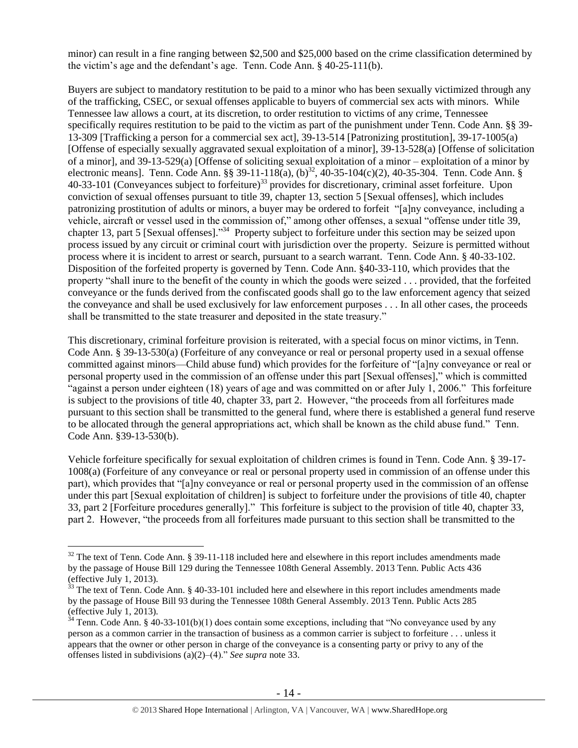minor) can result in a fine ranging between \$2,500 and \$25,000 based on the crime classification determined by the victim's age and the defendant's age. Tenn. Code Ann. § 40-25-111(b).

<span id="page-13-1"></span><span id="page-13-0"></span>Buyers are subject to mandatory restitution to be paid to a minor who has been sexually victimized through any of the trafficking, CSEC, or sexual offenses applicable to buyers of commercial sex acts with minors. While Tennessee law allows a court, at its discretion, to order restitution to victims of any crime, Tennessee specifically requires restitution to be paid to the victim as part of the punishment under Tenn. Code Ann. §§ 39-13-309 [Trafficking a person for a commercial sex act], 39-13-514 [Patronizing prostitution], 39-17-1005(a) [Offense of especially sexually aggravated sexual exploitation of a minor], 39-13-528(a) [Offense of solicitation of a minor], and 39-13-529(a) [Offense of soliciting sexual exploitation of a minor – exploitation of a minor by electronic means]. Tenn. Code Ann. §§ 39-11-118(a), (b)<sup>32</sup>, 40-35-104(c)(2), 40-35-304. Tenn. Code Ann. § 40-33-101 (Conveyances subject to forfeiture)<sup>33</sup> provides for discretionary, criminal asset forfeiture. Upon conviction of sexual offenses pursuant to title 39, chapter 13, section 5 [Sexual offenses], which includes patronizing prostitution of adults or minors, a buyer may be ordered to forfeit "[a]ny conveyance, including a vehicle, aircraft or vessel used in the commission of," among other offenses, a sexual "offense under title 39, chapter 13, part 5 [Sexual offenses].<sup>34</sup> Property subject to forfeiture under this section may be seized upon process issued by any circuit or criminal court with jurisdiction over the property. Seizure is permitted without process where it is incident to arrest or search, pursuant to a search warrant. Tenn. Code Ann. § 40-33-102. Disposition of the forfeited property is governed by Tenn. Code Ann. §40-33-110, which provides that the property "shall inure to the benefit of the county in which the goods were seized . . . provided, that the forfeited conveyance or the funds derived from the confiscated goods shall go to the law enforcement agency that seized the conveyance and shall be used exclusively for law enforcement purposes . . . In all other cases, the proceeds shall be transmitted to the state treasurer and deposited in the state treasury."

This discretionary, criminal forfeiture provision is reiterated, with a special focus on minor victims, in Tenn. Code Ann. § 39-13-530(a) (Forfeiture of any conveyance or real or personal property used in a sexual offense committed against minors—Child abuse fund) which provides for the forfeiture of "[a]ny conveyance or real or personal property used in the commission of an offense under this part [Sexual offenses]," which is committed "against a person under eighteen (18) years of age and was committed on or after July 1, 2006." This forfeiture is subject to the provisions of title 40, chapter 33, part 2. However, "the proceeds from all forfeitures made pursuant to this section shall be transmitted to the general fund, where there is established a general fund reserve to be allocated through the general appropriations act, which shall be known as the child abuse fund." Tenn. Code Ann. §39-13-530(b).

Vehicle forfeiture specifically for sexual exploitation of children crimes is found in Tenn. Code Ann. § 39-17- 1008(a) (Forfeiture of any conveyance or real or personal property used in commission of an offense under this part), which provides that "[a]ny conveyance or real or personal property used in the commission of an offense under this part [Sexual exploitation of children] is subject to forfeiture under the provisions of title 40, chapter 33, part 2 [Forfeiture procedures generally]." This forfeiture is subject to the provision of title 40, chapter 33, part 2. However, "the proceeds from all forfeitures made pursuant to this section shall be transmitted to the

 $32$  The text of Tenn. Code Ann. § 39-11-118 included here and elsewhere in this report includes amendments made by the passage of House Bill 129 during the Tennessee 108th General Assembly. 2013 Tenn. Public Acts 436 (effective July 1, 2013).

 $33$  The text of Tenn. Code Ann. § 40-33-101 included here and elsewhere in this report includes amendments made by the passage of House Bill 93 during the Tennessee 108th General Assembly. 2013 Tenn. Public Acts 285 (effective July 1, 2013).

 $34$  Tenn. Code Ann. § 40-33-101(b)(1) does contain some exceptions, including that "No conveyance used by any person as a common carrier in the transaction of business as a common carrier is subject to forfeiture . . . unless it appears that the owner or other person in charge of the conveyance is a consenting party or privy to any of the offenses listed in subdivisions (a)(2)–(4)." *See supra* note [33.](#page-13-0)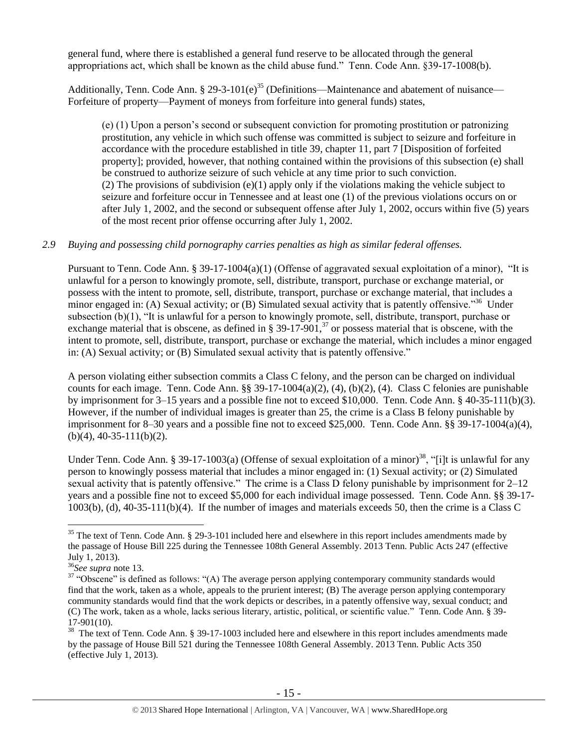general fund, where there is established a general fund reserve to be allocated through the general appropriations act, which shall be known as the child abuse fund." Tenn. Code Ann. §39-17-1008(b).

Additionally, Tenn. Code Ann. § 29-3-101(e)<sup>35</sup> (Definitions—Maintenance and abatement of nuisance— Forfeiture of property—Payment of moneys from forfeiture into general funds) states,

<span id="page-14-1"></span>(e) (1) Upon a person's second or subsequent conviction for promoting prostitution or patronizing prostitution, any vehicle in which such offense was committed is subject to seizure and forfeiture in accordance with the procedure established in title 39, chapter 11, part 7 [Disposition of forfeited property]; provided, however, that nothing contained within the provisions of this subsection (e) shall be construed to authorize seizure of such vehicle at any time prior to such conviction. (2) The provisions of subdivision  $(e)(1)$  apply only if the violations making the vehicle subject to seizure and forfeiture occur in Tennessee and at least one (1) of the previous violations occurs on or after July 1, 2002, and the second or subsequent offense after July 1, 2002, occurs within five (5) years of the most recent prior offense occurring after July 1, 2002.

#### *2.9 Buying and possessing child pornography carries penalties as high as similar federal offenses.*

Pursuant to Tenn. Code Ann. § 39-17-1004(a)(1) (Offense of aggravated sexual exploitation of a minor), "It is unlawful for a person to knowingly promote, sell, distribute, transport, purchase or exchange material, or possess with the intent to promote, sell, distribute, transport, purchase or exchange material, that includes a minor engaged in: (A) Sexual activity; or (B) Simulated sexual activity that is patently offensive."<sup>36</sup> Under subsection (b)(1), "It is unlawful for a person to knowingly promote, sell, distribute, transport, purchase or exchange material that is obscene, as defined in § 39-17-901,<sup>37</sup> or possess material that is obscene, with the intent to promote, sell, distribute, transport, purchase or exchange the material, which includes a minor engaged in: (A) Sexual activity; or (B) Simulated sexual activity that is patently offensive."

<span id="page-14-0"></span>A person violating either subsection commits a Class C felony, and the person can be charged on individual counts for each image. Tenn. Code Ann. §§ 39-17-1004(a)(2), (4), (b)(2), (4). Class C felonies are punishable by imprisonment for 3–15 years and a possible fine not to exceed \$10,000. Tenn. Code Ann. § 40-35-111(b)(3). However, if the number of individual images is greater than 25, the crime is a Class B felony punishable by imprisonment for 8–30 years and a possible fine not to exceed \$25,000. Tenn. Code Ann. §§ 39-17-1004(a)(4),  $(b)(4)$ , 40-35-111(b)(2).

<span id="page-14-2"></span>Under Tenn. Code Ann. § 39-17-1003(a) (Offense of sexual exploitation of a minor)<sup>38</sup>, "[i]t is unlawful for any person to knowingly possess material that includes a minor engaged in: (1) Sexual activity; or (2) Simulated sexual activity that is patently offensive." The crime is a Class D felony punishable by imprisonment for 2–12 years and a possible fine not to exceed \$5,000 for each individual image possessed. Tenn. Code Ann. §§ 39-17- 1003(b), (d), 40-35-111(b)(4). If the number of images and materials exceeds 50, then the crime is a Class C

 $35$  The text of Tenn. Code Ann. § 29-3-101 included here and elsewhere in this report includes amendments made by the passage of House Bill 225 during the Tennessee 108th General Assembly. 2013 Tenn. Public Acts 247 (effective July 1, 2013).

<sup>36</sup>*See supra* note [13.](#page-4-0)

 $37$  "Obscene" is defined as follows: "(A) The average person applying contemporary community standards would find that the work, taken as a whole, appeals to the prurient interest; (B) The average person applying contemporary community standards would find that the work depicts or describes, in a patently offensive way, sexual conduct; and (C) The work, taken as a whole, lacks serious literary, artistic, political, or scientific value." Tenn. Code Ann. § 39- 17-901(10).

<sup>&</sup>lt;sup>38</sup> The text of Tenn. Code Ann. § 39-17-1003 included here and elsewhere in this report includes amendments made by the passage of House Bill 521 during the Tennessee 108th General Assembly. 2013 Tenn. Public Acts 350 (effective July 1, 2013).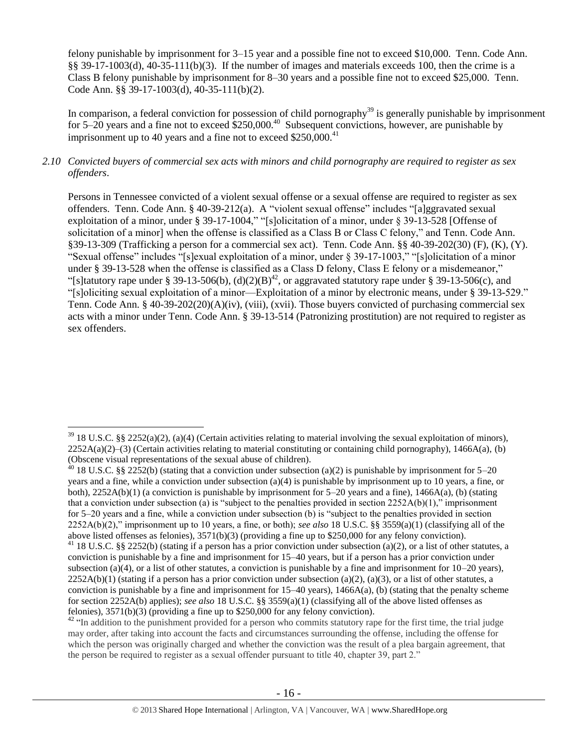felony punishable by imprisonment for 3–15 year and a possible fine not to exceed \$10,000. Tenn. Code Ann. §§ 39-17-1003(d), 40-35-111(b)(3). If the number of images and materials exceeds 100, then the crime is a Class B felony punishable by imprisonment for 8–30 years and a possible fine not to exceed \$25,000. Tenn. Code Ann. §§ 39-17-1003(d), 40-35-111(b)(2).

In comparison, a federal conviction for possession of child pornography<sup>39</sup> is generally punishable by imprisonment for 5–20 years and a fine not to exceed  $$250,000.<sup>40</sup>$  Subsequent convictions, however, are punishable by imprisonment up to 40 years and a fine not to exceed  $$250,000.<sup>41</sup>$ 

## *2.10 Convicted buyers of commercial sex acts with minors and child pornography are required to register as sex offenders*.

Persons in Tennessee convicted of a violent sexual offense or a sexual offense are required to register as sex offenders. Tenn. Code Ann. § 40-39-212(a). A "violent sexual offense" includes "[a]ggravated sexual exploitation of a minor, under § 39-17-1004," "[s]olicitation of a minor, under § 39-13-528 [Offense of solicitation of a minor] when the offense is classified as a Class B or Class C felony," and Tenn. Code Ann. §39-13-309 (Trafficking a person for a commercial sex act). Tenn. Code Ann. §§ 40-39-202(30) (F), (K), (Y). "Sexual offense" includes "[s]exual exploitation of a minor, under § 39-17-1003," "[s]olicitation of a minor under § 39-13-528 when the offense is classified as a Class D felony, Class E felony or a misdemeanor," "[s]tatutory rape under § 39-13-506(b), (d)(2)(B)<sup>42</sup>, or aggravated statutory rape under § 39-13-506(c), and "[s]oliciting sexual exploitation of a minor—Exploitation of a minor by electronic means, under § 39-13-529." Tenn. Code Ann. § 40-39-202(20)(A)(iv), (viii), (xvii). Those buyers convicted of purchasing commercial sex acts with a minor under Tenn. Code Ann. § 39-13-514 (Patronizing prostitution) are not required to register as sex offenders.

 $39\,18$  U.S.C. §§ 2252(a)(2), (a)(4) (Certain activities relating to material involving the sexual exploitation of minors),  $2252A(a)(2)$ –(3) (Certain activities relating to material constituting or containing child pornography), 1466A(a), (b) (Obscene visual representations of the sexual abuse of children).

 $40$  18 U.S.C. §§ 2252(b) (stating that a conviction under subsection (a)(2) is punishable by imprisonment for 5–20 years and a fine, while a conviction under subsection (a)(4) is punishable by imprisonment up to 10 years, a fine, or both),  $2252A(b)(1)$  (a conviction is punishable by imprisonment for  $5-20$  years and a fine),  $1466A(a)$ , (b) (stating that a conviction under subsection (a) is "subject to the penalties provided in section  $2252A(b)(1)$ ," imprisonment for 5–20 years and a fine, while a conviction under subsection (b) is "subject to the penalties provided in section 2252A(b)(2)," imprisonment up to 10 years, a fine, or both); *see also* 18 U.S.C. §§ 3559(a)(1) (classifying all of the above listed offenses as felonies), 3571(b)(3) (providing a fine up to \$250,000 for any felony conviction).

<sup>&</sup>lt;sup>41</sup> 18 U.S.C. §§ 2252(b) (stating if a person has a prior conviction under subsection (a)(2), or a list of other statutes, a conviction is punishable by a fine and imprisonment for 15–40 years, but if a person has a prior conviction under subsection (a)(4), or a list of other statutes, a conviction is punishable by a fine and imprisonment for  $10-20$  years),  $2252A(b)(1)$  (stating if a person has a prior conviction under subsection (a)(2), (a)(3), or a list of other statutes, a conviction is punishable by a fine and imprisonment for  $15-40$  years),  $1466A(a)$ , (b) (stating that the penalty scheme for section 2252A(b) applies); *see also* 18 U.S.C. §§ 3559(a)(1) (classifying all of the above listed offenses as felonies), 3571(b)(3) (providing a fine up to \$250,000 for any felony conviction).

<sup>&</sup>lt;sup>42</sup> "In addition to the punishment provided for a person who commits statutory rape for the first time, the trial judge may order, after taking into account the facts and circumstances surrounding the offense, including the offense for which the person was originally charged and whether the conviction was the result of a plea bargain agreement, that the person be required to register as a sexual offender pursuant to title 40, chapter 39, part 2."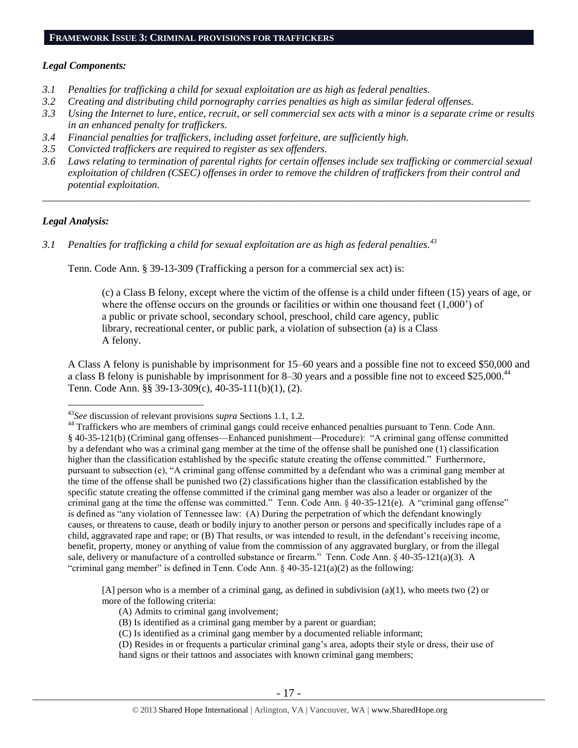## *Legal Components:*

- *3.1 Penalties for trafficking a child for sexual exploitation are as high as federal penalties.*
- *3.2 Creating and distributing child pornography carries penalties as high as similar federal offenses.*
- *3.3 Using the Internet to lure, entice, recruit, or sell commercial sex acts with a minor is a separate crime or results in an enhanced penalty for traffickers.*
- *3.4 Financial penalties for traffickers, including asset forfeiture, are sufficiently high.*
- *3.5 Convicted traffickers are required to register as sex offenders.*
- *3.6 Laws relating to termination of parental rights for certain offenses include sex trafficking or commercial sexual exploitation of children (CSEC) offenses in order to remove the children of traffickers from their control and potential exploitation.*

*\_\_\_\_\_\_\_\_\_\_\_\_\_\_\_\_\_\_\_\_\_\_\_\_\_\_\_\_\_\_\_\_\_\_\_\_\_\_\_\_\_\_\_\_\_\_\_\_\_\_\_\_\_\_\_\_\_\_\_\_\_\_\_\_\_\_\_\_\_\_\_\_\_\_\_\_\_\_\_\_\_\_\_\_\_\_\_\_\_\_\_\_\_\_*

## *Legal Analysis:*

 $\overline{a}$ 

*3.1 Penalties for trafficking a child for sexual exploitation are as high as federal penalties.<sup>43</sup>*

Tenn. Code Ann. § 39-13-309 (Trafficking a person for a commercial sex act) is:

(c) a Class B felony, except where the victim of the offense is a child under fifteen (15) years of age, or where the offense occurs on the grounds or facilities or within one thousand feet  $(1,000)$  of a public or private school, secondary school, preschool, child care agency, public library, recreational center, or public park, a violation of subsection (a) is a Class A felony.

A Class A felony is punishable by imprisonment for 15–60 years and a possible fine not to exceed \$50,000 and a class B felony is punishable by imprisonment for 8–30 years and a possible fine not to exceed \$25,000.<sup>44</sup> Tenn. Code Ann. §§ 39-13-309(c), 40-35-111(b)(1), (2).

[A] person who is a member of a criminal gang, as defined in subdivision (a)(1), who meets two (2) or more of the following criteria:

- (A) Admits to criminal gang involvement;
- (B) Is identified as a criminal gang member by a parent or guardian;
- (C) Is identified as a criminal gang member by a documented reliable informant;
- (D) Resides in or frequents a particular criminal gang's area, adopts their style or dress, their use of hand signs or their tattoos and associates with known criminal gang members;

<sup>43</sup>*See* discussion of relevant provisions *supra* Sections 1.1, 1.2.

<sup>&</sup>lt;sup>44</sup> Traffickers who are members of criminal gangs could receive enhanced penalties pursuant to Tenn. Code Ann. § 40-35-121(b) (Criminal gang offenses—Enhanced punishment—Procedure): "A criminal gang offense committed by a defendant who was a criminal gang member at the time of the offense shall be punished one (1) classification higher than the classification established by the specific statute creating the offense committed." Furthermore, pursuant to subsection (e), "A criminal gang offense committed by a defendant who was a criminal gang member at the time of the offense shall be punished two (2) classifications higher than the classification established by the specific statute creating the offense committed if the criminal gang member was also a leader or organizer of the criminal gang at the time the offense was committed." Tenn. Code Ann. § 40-35-121(e). A "criminal gang offense" is defined as "any violation of Tennessee law: (A) During the perpetration of which the defendant knowingly causes, or threatens to cause, death or bodily injury to another person or persons and specifically includes rape of a child, aggravated rape and rape; or (B) That results, or was intended to result, in the defendant's receiving income, benefit, property, money or anything of value from the commission of any aggravated burglary, or from the illegal sale, delivery or manufacture of a controlled substance or firearm." Tenn. Code Ann. § 40-35-121(a)(3). A "criminal gang member" is defined in Tenn. Code Ann.  $\S$  40-35-121(a)(2) as the following: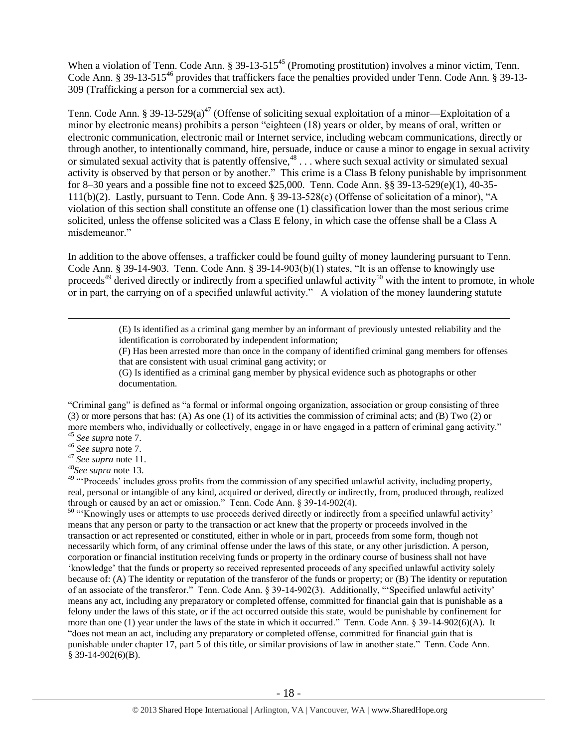When a violation of Tenn. Code Ann.  $\S 39-13-515^{45}$  (Promoting prostitution) involves a minor victim, Tenn. Code Ann. § 39-13-515<sup>46</sup> provides that traffickers face the penalties provided under Tenn. Code Ann. § 39-13-309 (Trafficking a person for a commercial sex act).

Tenn. Code Ann. § 39-13-529(a)<sup>47</sup> (Offense of soliciting sexual exploitation of a minor—Exploitation of a minor by electronic means) prohibits a person "eighteen (18) years or older, by means of oral, written or electronic communication, electronic mail or Internet service, including webcam communications, directly or through another, to intentionally command, hire, persuade, induce or cause a minor to engage in sexual activity or simulated sexual activity that is patently offensive,<sup>48</sup> . . . where such sexual activity or simulated sexual sexual activity is observed by that person or by another." This crime is a Class B felony punishable by imprisonment for 8–30 years and a possible fine not to exceed \$25,000. Tenn. Code Ann. §§ 39-13-529(e)(1), 40-35- 111(b)(2). Lastly, pursuant to Tenn. Code Ann. § 39-13-528(c) (Offense of solicitation of a minor), "A violation of this section shall constitute an offense one (1) classification lower than the most serious crime solicited, unless the offense solicited was a Class E felony, in which case the offense shall be a Class A misdemeanor."

<span id="page-17-0"></span>In addition to the above offenses, a trafficker could be found guilty of money laundering pursuant to Tenn. Code Ann. § 39-14-903. Tenn. Code Ann. § 39-14-903(b)(1) states, "It is an offense to knowingly use proceeds<sup>49</sup> derived directly or indirectly from a specified unlawful activity<sup>50</sup> with the intent to promote, in whole or in part, the carrying on of a specified unlawful activity." A violation of the money laundering statute

> <span id="page-17-1"></span>(E) Is identified as a criminal gang member by an informant of previously untested reliability and the identification is corroborated by independent information;

(F) Has been arrested more than once in the company of identified criminal gang members for offenses that are consistent with usual criminal gang activity; or

(G) Is identified as a criminal gang member by physical evidence such as photographs or other documentation.

"Criminal gang" is defined as "a formal or informal ongoing organization, association or group consisting of three (3) or more persons that has: (A) As one (1) of its activities the commission of criminal acts; and (B) Two (2) or more members who, individually or collectively, engage in or have engaged in a pattern of criminal gang activity." <sup>45</sup> *See supra* note [7.](#page-2-0)

<sup>46</sup> *See supra* note [7.](#page-2-0)

 $\overline{a}$ 

<sup>47</sup> *See supra* note [11.](#page-4-1)

<sup>48</sup>*See supra* note [13.](#page-4-0)

<sup>49</sup> "Proceeds' includes gross profits from the commission of any specified unlawful activity, including property, real, personal or intangible of any kind, acquired or derived, directly or indirectly, from, produced through, realized through or caused by an act or omission." Tenn. Code Ann. § 39-14-902(4).

<sup>50</sup> "Knowingly uses or attempts to use proceeds derived directly or indirectly from a specified unlawful activity' means that any person or party to the transaction or act knew that the property or proceeds involved in the transaction or act represented or constituted, either in whole or in part, proceeds from some form, though not necessarily which form, of any criminal offense under the laws of this state, or any other jurisdiction. A person, corporation or financial institution receiving funds or property in the ordinary course of business shall not have 'knowledge' that the funds or property so received represented proceeds of any specified unlawful activity solely because of: (A) The identity or reputation of the transferor of the funds or property; or (B) The identity or reputation of an associate of the transferor." Tenn. Code Ann. § 39-14-902(3). Additionally, "'Specified unlawful activity' means any act, including any preparatory or completed offense, committed for financial gain that is punishable as a felony under the laws of this state, or if the act occurred outside this state, would be punishable by confinement for more than one (1) year under the laws of the state in which it occurred." Tenn. Code Ann. § 39-14-902(6)(A). It "does not mean an act, including any preparatory or completed offense, committed for financial gain that is punishable under chapter 17, part 5 of this title, or similar provisions of law in another state." Tenn. Code Ann. § 39-14-902(6)(B).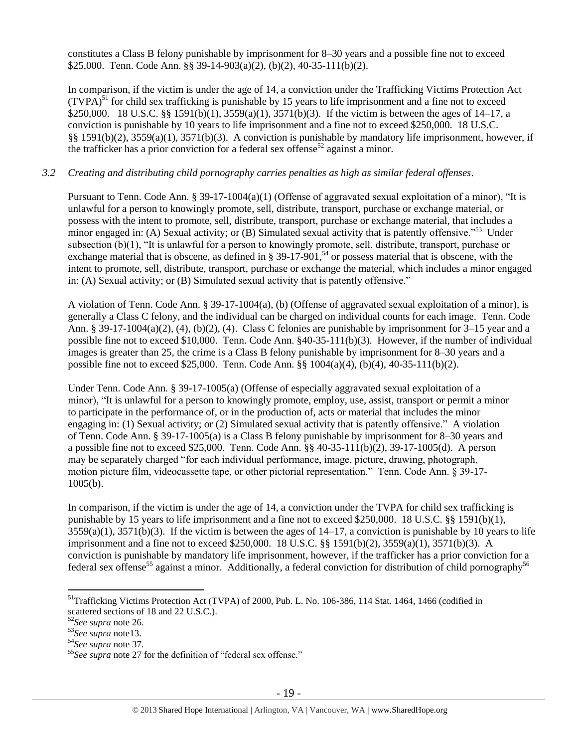constitutes a Class B felony punishable by imprisonment for 8–30 years and a possible fine not to exceed \$25,000. Tenn. Code Ann. §§ 39-14-903(a)(2), (b)(2), 40-35-111(b)(2).

In comparison, if the victim is under the age of 14, a conviction under the Trafficking Victims Protection Act  $(TVPA)^{51}$  for child sex trafficking is punishable by 15 years to life imprisonment and a fine not to exceed \$250,000. 18 U.S.C. §§ 1591(b)(1), 3559(a)(1), 3571(b)(3). If the victim is between the ages of 14–17, a conviction is punishable by 10 years to life imprisonment and a fine not to exceed \$250,000. 18 U.S.C. §§ 1591(b)(2), 3559(a)(1), 3571(b)(3). A conviction is punishable by mandatory life imprisonment, however, if the trafficker has a prior conviction for a federal sex offense<sup>52</sup> against a minor.

## *3.2 Creating and distributing child pornography carries penalties as high as similar federal offenses*.

Pursuant to Tenn. Code Ann. § 39-17-1004(a)(1) (Offense of aggravated sexual exploitation of a minor), "It is unlawful for a person to knowingly promote, sell, distribute, transport, purchase or exchange material, or possess with the intent to promote, sell, distribute, transport, purchase or exchange material, that includes a minor engaged in: (A) Sexual activity; or (B) Simulated sexual activity that is patently offensive.<sup>553</sup> Under subsection (b)(1), "It is unlawful for a person to knowingly promote, sell, distribute, transport, purchase or exchange material that is obscene, as defined in § 39-17-901,<sup>54</sup> or possess material that is obscene, with the intent to promote, sell, distribute, transport, purchase or exchange the material, which includes a minor engaged in: (A) Sexual activity; or (B) Simulated sexual activity that is patently offensive."

A violation of Tenn. Code Ann. § 39-17-1004(a), (b) (Offense of aggravated sexual exploitation of a minor), is generally a Class C felony, and the individual can be charged on individual counts for each image. Tenn. Code Ann. § 39-17-1004(a)(2), (4), (b)(2), (4). Class C felonies are punishable by imprisonment for 3–15 year and a possible fine not to exceed \$10,000. Tenn. Code Ann. §40-35-111(b)(3). However, if the number of individual images is greater than 25, the crime is a Class B felony punishable by imprisonment for 8–30 years and a possible fine not to exceed \$25,000. Tenn. Code Ann. §§ 1004(a)(4), (b)(4), 40-35-111(b)(2).

Under Tenn. Code Ann. § 39-17-1005(a) (Offense of especially aggravated sexual exploitation of a minor), "It is unlawful for a person to knowingly promote, employ, use, assist, transport or permit a minor to participate in the performance of, or in the production of, acts or material that includes the minor engaging in: (1) Sexual activity; or (2) Simulated sexual activity that is patently offensive." A violation of Tenn. Code Ann. § 39-17-1005(a) is a Class B felony punishable by imprisonment for 8–30 years and a possible fine not to exceed \$25,000. Tenn. Code Ann.  $\S$ § 40-35-111(b)(2), 39-17-1005(d). A person may be separately charged "for each individual performance, image, picture, drawing, photograph, motion picture film, videocassette tape, or other pictorial representation." Tenn. Code Ann. § 39-17-  $1005(b)$ .

In comparison, if the victim is under the age of 14, a conviction under the TVPA for child sex trafficking is punishable by 15 years to life imprisonment and a fine not to exceed \$250,000. 18 U.S.C. §§ 1591(b)(1),  $3559(a)(1)$ ,  $3571(b)(3)$ . If the victim is between the ages of  $14-17$ , a conviction is punishable by 10 years to life imprisonment and a fine not to exceed \$250,000. 18 U.S.C. §§ 1591(b)(2), 3559(a)(1), 3571(b)(3). A conviction is punishable by mandatory life imprisonment, however, if the trafficker has a prior conviction for a federal sex offense<sup>55</sup> against a minor. Additionally, a federal conviction for distribution of child pornography<sup>56</sup>

<sup>&</sup>lt;sup>51</sup>Trafficking Victims Protection Act (TVPA) of 2000, Pub. L. No. 106-386, 114 Stat. 1464, 1466 (codified in scattered sections of 18 and 22 U.S.C.).

<sup>52</sup>*See supra* note [26.](#page-10-0)

<sup>53</sup>*See supra* not[e13.](#page-4-0)

<sup>54</sup>*See supra* note [37.](#page-14-0)

<sup>55</sup>*See supra* note [27](#page-10-1) for the definition of "federal sex offense."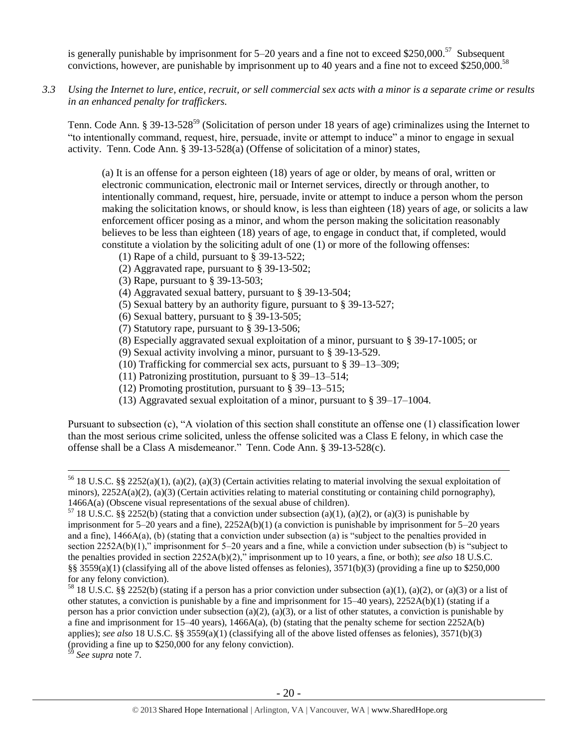is generally punishable by imprisonment for  $5-20$  years and a fine not to exceed \$250,000.<sup>57</sup> Subsequent convictions, however, are punishable by imprisonment up to 40 years and a fine not to exceed \$250,000.<sup>58</sup>

*3.3 Using the Internet to lure, entice, recruit, or sell commercial sex acts with a minor is a separate crime or results in an enhanced penalty for traffickers.*

Tenn. Code Ann. § 39-13-528<sup>59</sup> (Solicitation of person under 18 years of age) criminalizes using the Internet to "to intentionally command, request, hire, persuade, invite or attempt to induce" a minor to engage in sexual activity. Tenn. Code Ann. § 39-13-528(a) (Offense of solicitation of a minor) states,

(a) It is an offense for a person eighteen (18) years of age or older, by means of oral, written or electronic communication, electronic mail or Internet services, directly or through another, to intentionally command, request, hire, persuade, invite or attempt to induce a person whom the person making the solicitation knows, or should know, is less than eighteen (18) years of age, or solicits a law enforcement officer posing as a minor, and whom the person making the solicitation reasonably believes to be less than eighteen (18) years of age, to engage in conduct that, if completed, would constitute a violation by the soliciting adult of one (1) or more of the following offenses:

- (1) Rape of a child, pursuant to [§ 39-13-522;](https://a.next.westlaw.com/Link/Document/FullText?findType=L&pubNum=1000039&cite=TNSTS39-13-522&originatingDoc=N61AFE9D1CCE411DB8F04FB3E68C8F4C5&refType=LQ&originationContext=document&transitionType=DocumentItem&contextData=(sc.UserEnteredCitation))
- (2) Aggravated rape, pursuant to [§ 39-13-502;](https://a.next.westlaw.com/Link/Document/FullText?findType=L&pubNum=1000039&cite=TNSTS39-13-502&originatingDoc=N61AFE9D1CCE411DB8F04FB3E68C8F4C5&refType=LQ&originationContext=document&transitionType=DocumentItem&contextData=(sc.UserEnteredCitation))
- (3) Rape, pursuant to [§ 39-13-503;](https://a.next.westlaw.com/Link/Document/FullText?findType=L&pubNum=1000039&cite=TNSTS39-13-503&originatingDoc=N61AFE9D1CCE411DB8F04FB3E68C8F4C5&refType=LQ&originationContext=document&transitionType=DocumentItem&contextData=(sc.UserEnteredCitation))
- (4) Aggravated sexual battery, pursuant to [§ 39-13-504;](https://a.next.westlaw.com/Link/Document/FullText?findType=L&pubNum=1000039&cite=TNSTS39-13-504&originatingDoc=N61AFE9D1CCE411DB8F04FB3E68C8F4C5&refType=LQ&originationContext=document&transitionType=DocumentItem&contextData=(sc.UserEnteredCitation))
- (5) Sexual battery by an authority figure, pursuant to [§ 39-13-527;](https://a.next.westlaw.com/Link/Document/FullText?findType=L&pubNum=1000039&cite=TNSTS39-13-527&originatingDoc=N61AFE9D1CCE411DB8F04FB3E68C8F4C5&refType=LQ&originationContext=document&transitionType=DocumentItem&contextData=(sc.UserEnteredCitation))
- (6) Sexual battery, pursuant to [§ 39-13-505;](https://a.next.westlaw.com/Link/Document/FullText?findType=L&pubNum=1000039&cite=TNSTS39-13-505&originatingDoc=N61AFE9D1CCE411DB8F04FB3E68C8F4C5&refType=LQ&originationContext=document&transitionType=DocumentItem&contextData=(sc.UserEnteredCitation))
- (7) Statutory rape, pursuant to [§ 39-13-506;](https://a.next.westlaw.com/Link/Document/FullText?findType=L&pubNum=1000039&cite=TNSTS39-13-506&originatingDoc=N61AFE9D1CCE411DB8F04FB3E68C8F4C5&refType=LQ&originationContext=document&transitionType=DocumentItem&contextData=(sc.UserEnteredCitation))
- (8) Especially aggravated sexual exploitation of a minor, pursuant to [§ 39-17-1005;](https://a.next.westlaw.com/Link/Document/FullText?findType=L&pubNum=1000039&cite=TNSTS39-17-1005&originatingDoc=N61AFE9D1CCE411DB8F04FB3E68C8F4C5&refType=LQ&originationContext=document&transitionType=DocumentItem&contextData=(sc.UserEnteredCitation)) or
- (9) Sexual activity involving a minor, pursuant to § [39-13-529.](https://a.next.westlaw.com/Link/Document/FullText?findType=L&pubNum=1000039&cite=TNSTS39-13-529&originatingDoc=N61AFE9D1CCE411DB8F04FB3E68C8F4C5&refType=LQ&originationContext=document&transitionType=DocumentItem&contextData=(sc.UserEnteredCitation))
- (10) Trafficking for commercial sex acts, pursuant to § 39–13–309;
- (11) Patronizing prostitution, pursuant to § 39–13–514;
- (12) Promoting prostitution, pursuant to § 39–13–515;
- (13) Aggravated sexual exploitation of a minor, pursuant to § 39–17–1004.

Pursuant to subsection (c), "A violation of this section shall constitute an offense one (1) classification lower than the most serious crime solicited, unless the offense solicited was a Class E felony, in which case the offense shall be a Class A misdemeanor." Tenn. Code Ann. § 39-13-528(c).

<sup>56</sup> 18 U.S.C. §§ 2252(a)(1), (a)(2), (a)(3) (Certain activities relating to material involving the sexual exploitation of minors),  $2252A(a)(2)$ , (a)(3) (Certain activities relating to material constituting or containing child pornography), 1466A(a) (Obscene visual representations of the sexual abuse of children).

 $57$  18 U.S.C. §§ 2252(b) (stating that a conviction under subsection (a)(1), (a)(2), or (a)(3) is punishable by imprisonment for 5–20 years and a fine), 2252A(b)(1) (a conviction is punishable by imprisonment for 5–20 years and a fine),  $1466A(a)$ , (b) (stating that a conviction under subsection (a) is "subject to the penalties provided in section 2252A(b)(1)," imprisonment for 5–20 years and a fine, while a conviction under subsection (b) is "subject to the penalties provided in section 2252A(b)(2)," imprisonment up to 10 years, a fine, or both); *see also* 18 U.S.C. §§ 3559(a)(1) (classifying all of the above listed offenses as felonies),  $3571(b)(3)$  (providing a fine up to \$250,000 for any felony conviction).

<sup>&</sup>lt;sup>58</sup> 18 U.S.C. §§ 2252(b) (stating if a person has a prior conviction under subsection (a)(1), (a)(2), or (a)(3) or a list of other statutes, a conviction is punishable by a fine and imprisonment for  $15-40$  years),  $2252A(b)(1)$  (stating if a person has a prior conviction under subsection (a)(2), (a)(3), or a list of other statutes, a conviction is punishable by a fine and imprisonment for 15–40 years), 1466A(a), (b) (stating that the penalty scheme for section 2252A(b) applies); *see also* 18 U.S.C. §§ 3559(a)(1) (classifying all of the above listed offenses as felonies), 3571(b)(3) (providing a fine up to \$250,000 for any felony conviction).

See supra note [7.](#page-2-0)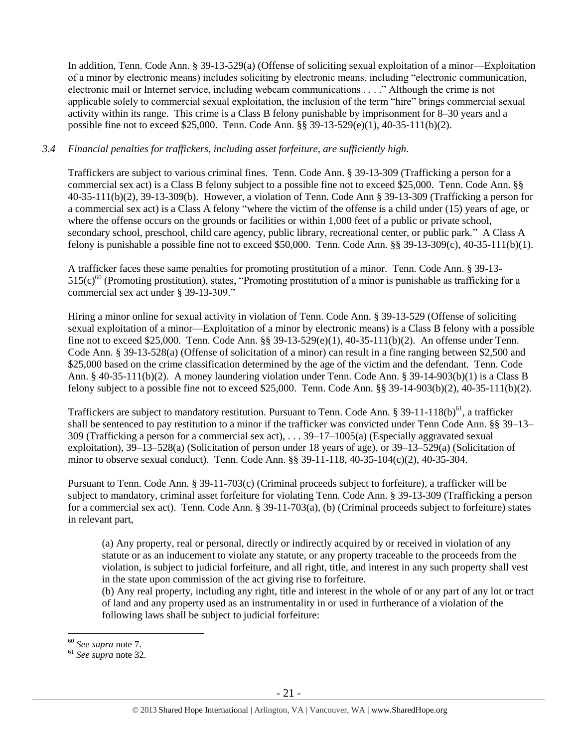In addition, Tenn. Code Ann. § 39-13-529(a) (Offense of soliciting sexual exploitation of a minor—Exploitation of a minor by electronic means) includes soliciting by electronic means, including "electronic communication, electronic mail or Internet service, including webcam communications . . . ." Although the crime is not applicable solely to commercial sexual exploitation, the inclusion of the term "hire" brings commercial sexual activity within its range. This crime is a Class B felony punishable by imprisonment for 8–30 years and a possible fine not to exceed \$25,000. Tenn. Code Ann. §§ 39-13-529(e)(1), 40-35-111(b)(2).

## *3.4 Financial penalties for traffickers, including asset forfeiture, are sufficiently high*.

Traffickers are subject to various criminal fines. Tenn. Code Ann. § 39-13-309 (Trafficking a person for a commercial sex act) is a Class B felony subject to a possible fine not to exceed \$25,000. Tenn. Code Ann. §§ 40-35-111(b)(2), 39-13-309(b). However, a violation of Tenn. Code Ann § 39-13-309 (Trafficking a person for a commercial sex act) is a Class A felony "where the victim of the offense is a child under (15) years of age, or where the offense occurs on the grounds or facilities or within 1,000 feet of a public or private school, secondary school, preschool, child care agency, public library, recreational center, or public park." A Class A felony is punishable a possible fine not to exceed \$50,000. Tenn. Code Ann. §§ 39-13-309(c), 40-35-111(b)(1).

A trafficker faces these same penalties for promoting prostitution of a minor. Tenn. Code Ann. § 39-13-  $515(c)^{60}$  (Promoting prostitution), states, "Promoting prostitution of a minor is punishable as trafficking for a commercial sex act under § 39-13-309."

Hiring a minor online for sexual activity in violation of Tenn. Code Ann. § 39-13-529 (Offense of soliciting sexual exploitation of a minor—Exploitation of a minor by electronic means) is a Class B felony with a possible fine not to exceed \$25,000. Tenn. Code Ann. §§ 39-13-529(e)(1), 40-35-111(b)(2). An offense under Tenn. Code Ann. § 39-13-528(a) (Offense of solicitation of a minor) can result in a fine ranging between \$2,500 and \$25,000 based on the crime classification determined by the age of the victim and the defendant. Tenn. Code Ann. § 40-35-111(b)(2). A money laundering violation under Tenn. Code Ann. § 39-14-903(b)(1) is a Class B felony subject to a possible fine not to exceed \$25,000. Tenn. Code Ann. §§ 39-14-903(b)(2), 40-35-111(b)(2).

Traffickers are subject to mandatory restitution. Pursuant to Tenn. Code Ann. § 39-11-118(b) $^{61}$ , a trafficker shall be sentenced to pay restitution to a minor if the trafficker was convicted under Tenn Code Ann. §§ 39–13– 309 (Trafficking a person for a commercial sex act), . . . 39–17–1005(a) (Especially aggravated sexual exploitation),  $39-13-528(a)$  (Solicitation of person under 18 years of age), or  $39-13-529(a)$  (Solicitation of minor to observe sexual conduct). Tenn. Code Ann. §§ 39-11-118, 40-35-104(c)(2), 40-35-304.

Pursuant to Tenn. Code Ann. § 39-11-703(c) (Criminal proceeds subject to forfeiture), a trafficker will be subject to mandatory, criminal asset forfeiture for violating Tenn. Code Ann. § 39-13-309 (Trafficking a person for a commercial sex act). Tenn. Code Ann. § 39-11-703(a), (b) (Criminal proceeds subject to forfeiture) states in relevant part,

(a) Any property, real or personal, directly or indirectly acquired by or received in violation of any statute or as an inducement to violate any statute, or any property traceable to the proceeds from the violation, is subject to judicial forfeiture, and all right, title, and interest in any such property shall vest in the state upon commission of the act giving rise to forfeiture.

(b) Any real property, including any right, title and interest in the whole of or any part of any lot or tract of land and any property used as an instrumentality in or used in furtherance of a violation of the following laws shall be subject to judicial forfeiture:

<sup>60</sup> *See supra* note [7.](#page-2-0)

<sup>61</sup> *See supra* note [32.](#page-13-1)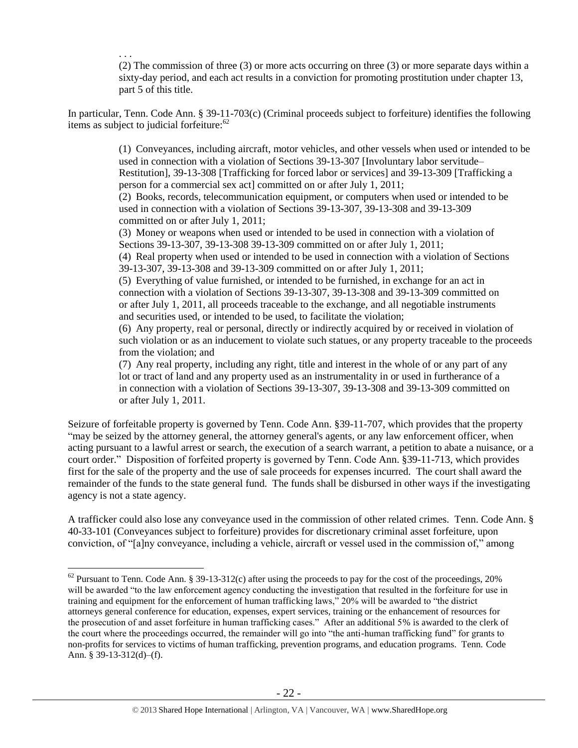. . . (2) The commission of three (3) or more acts occurring on three (3) or more separate days within a sixty-day period, and each act results in a conviction for promoting prostitution under chapter 13, part 5 of this title.

In particular, Tenn. Code Ann. § 39-11-703(c) (Criminal proceeds subject to forfeiture) identifies the following items as subject to judicial forfeiture: $62$ 

> (1) Conveyances, including aircraft, motor vehicles, and other vessels when used or intended to be used in connection with a violation of Sections 39-13-307 [Involuntary labor servitude– Restitution], 39-13-308 [Trafficking for forced labor or services] and 39-13-309 [Trafficking a person for a commercial sex act] committed on or after July 1, 2011;

(2) Books, records, telecommunication equipment, or computers when used or intended to be used in connection with a violation of Sections 39-13-307, 39-13-308 and 39-13-309 committed on or after July 1, 2011;

(3) Money or weapons when used or intended to be used in connection with a violation of Sections 39-13-307, 39-13-308 39-13-309 committed on or after July 1, 2011;

(4) Real property when used or intended to be used in connection with a violation of Sections 39-13-307, 39-13-308 and 39-13-309 committed on or after July 1, 2011;

(5) Everything of value furnished, or intended to be furnished, in exchange for an act in connection with a violation of Sections 39-13-307, 39-13-308 and 39-13-309 committed on or after July 1, 2011, all proceeds traceable to the exchange, and all negotiable instruments and securities used, or intended to be used, to facilitate the violation;

(6) Any property, real or personal, directly or indirectly acquired by or received in violation of such violation or as an inducement to violate such statues, or any property traceable to the proceeds from the violation; and

(7) Any real property, including any right, title and interest in the whole of or any part of any lot or tract of land and any property used as an instrumentality in or used in furtherance of a in connection with a violation of Sections 39-13-307, 39-13-308 and 39-13-309 committed on or after July 1, 2011.

Seizure of forfeitable property is governed by Tenn. Code Ann. §39-11-707, which provides that the property "may be seized by the attorney general, the attorney general's agents, or any law enforcement officer, when acting pursuant to a lawful arrest or search, the execution of a search warrant, a petition to abate a nuisance, or a court order." Disposition of forfeited property is governed by Tenn. Code Ann. §39-11-713, which provides first for the sale of the property and the use of sale proceeds for expenses incurred. The court shall award the remainder of the funds to the state general fund. The funds shall be disbursed in other ways if the investigating agency is not a state agency.

A trafficker could also lose any conveyance used in the commission of other related crimes. Tenn. Code Ann. § 40-33-101 (Conveyances subject to forfeiture) provides for discretionary criminal asset forfeiture, upon conviction, of "[a]ny conveyance, including a vehicle, aircraft or vessel used in the commission of," among

 $62$  Pursuant to Tenn. Code Ann. § 39-13-312(c) after using the proceeds to pay for the cost of the proceedings, 20% will be awarded "to the law enforcement agency conducting the investigation that resulted in the forfeiture for use in training and equipment for the enforcement of human trafficking laws," 20% will be awarded to "the district attorneys general conference for education, expenses, expert services, training or the enhancement of resources for the prosecution of and asset forfeiture in human trafficking cases." After an additional 5% is awarded to the clerk of the court where the proceedings occurred, the remainder will go into "the anti-human trafficking fund" for grants to non-profits for services to victims of human trafficking, prevention programs, and education programs. Tenn. Code Ann. § 39-13-312(d)–(f).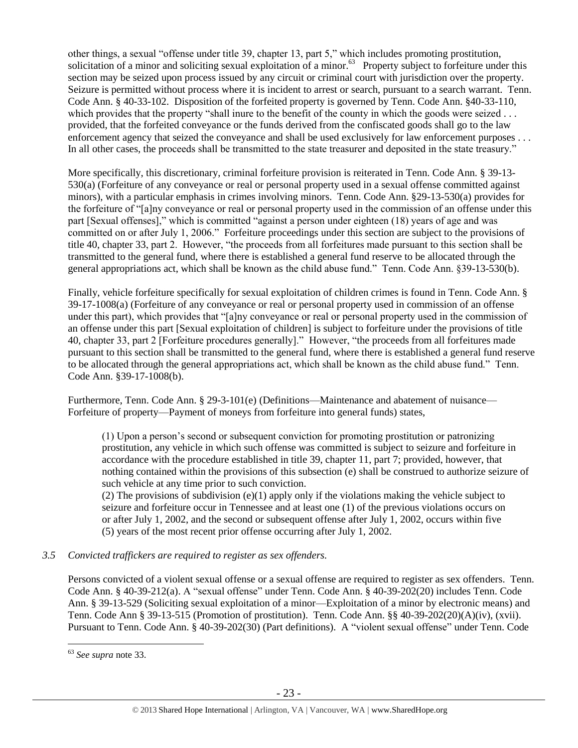other things, a sexual "offense under title 39, chapter 13, part 5," which includes promoting prostitution, solicitation of a minor and soliciting sexual exploitation of a minor.<sup>63</sup> Property subject to forfeiture under this section may be seized upon process issued by any circuit or criminal court with jurisdiction over the property. Seizure is permitted without process where it is incident to arrest or search, pursuant to a search warrant. Tenn. Code Ann. § 40-33-102. Disposition of the forfeited property is governed by Tenn. Code Ann. §40-33-110, which provides that the property "shall inure to the benefit of the county in which the goods were seized . . . provided, that the forfeited conveyance or the funds derived from the confiscated goods shall go to the law enforcement agency that seized the conveyance and shall be used exclusively for law enforcement purposes . . . In all other cases, the proceeds shall be transmitted to the state treasurer and deposited in the state treasury."

More specifically, this discretionary, criminal forfeiture provision is reiterated in Tenn. Code Ann. § 39-13- 530(a) (Forfeiture of any conveyance or real or personal property used in a sexual offense committed against minors), with a particular emphasis in crimes involving minors. Tenn. Code Ann. §29-13-530(a) provides for the forfeiture of "[a]ny conveyance or real or personal property used in the commission of an offense under this part [Sexual offenses]," which is committed "against a person under eighteen (18) years of age and was committed on or after July 1, 2006." Forfeiture proceedings under this section are subject to the provisions of title 40, chapter 33, part 2. However, "the proceeds from all forfeitures made pursuant to this section shall be transmitted to the general fund, where there is established a general fund reserve to be allocated through the general appropriations act, which shall be known as the child abuse fund." Tenn. Code Ann. §39-13-530(b).

Finally, vehicle forfeiture specifically for sexual exploitation of children crimes is found in Tenn. Code Ann. § 39-17-1008(a) (Forfeiture of any conveyance or real or personal property used in commission of an offense under this part), which provides that "[a]ny conveyance or real or personal property used in the commission of an offense under this part [Sexual exploitation of children] is subject to forfeiture under the provisions of title 40, chapter 33, part 2 [Forfeiture procedures generally]." However, "the proceeds from all forfeitures made pursuant to this section shall be transmitted to the general fund, where there is established a general fund reserve to be allocated through the general appropriations act, which shall be known as the child abuse fund." Tenn. Code Ann. §39-17-1008(b).

Furthermore, Tenn. Code Ann. § 29-3-101(e) (Definitions—Maintenance and abatement of nuisance— Forfeiture of property—Payment of moneys from forfeiture into general funds) states,

(1) Upon a person's second or subsequent conviction for promoting prostitution or patronizing prostitution, any vehicle in which such offense was committed is subject to seizure and forfeiture in accordance with the procedure established in title 39, chapter 11, part 7; provided, however, that nothing contained within the provisions of this subsection (e) shall be construed to authorize seizure of such vehicle at any time prior to such conviction.

(2) The provisions of subdivision  $(e)(1)$  apply only if the violations making the vehicle subject to seizure and forfeiture occur in Tennessee and at least one (1) of the previous violations occurs on or after July 1, 2002, and the second or subsequent offense after July 1, 2002, occurs within five (5) years of the most recent prior offense occurring after July 1, 2002.

#### *3.5 Convicted traffickers are required to register as sex offenders.*

Persons convicted of a violent sexual offense or a sexual offense are required to register as sex offenders. Tenn. Code Ann. § 40-39-212(a). A "sexual offense" under Tenn. Code Ann. § 40-39-202(20) includes Tenn. Code Ann. § 39-13-529 (Soliciting sexual exploitation of a minor—Exploitation of a minor by electronic means) and Tenn. Code Ann § 39-13-515 (Promotion of prostitution). Tenn. Code Ann. §§ 40-39-202(20)(A)(iv), (xvii). Pursuant to Tenn. Code Ann. § 40-39-202(30) (Part definitions). A "violent sexual offense" under Tenn. Code

<sup>63</sup> *See supra* note [33.](#page-13-0)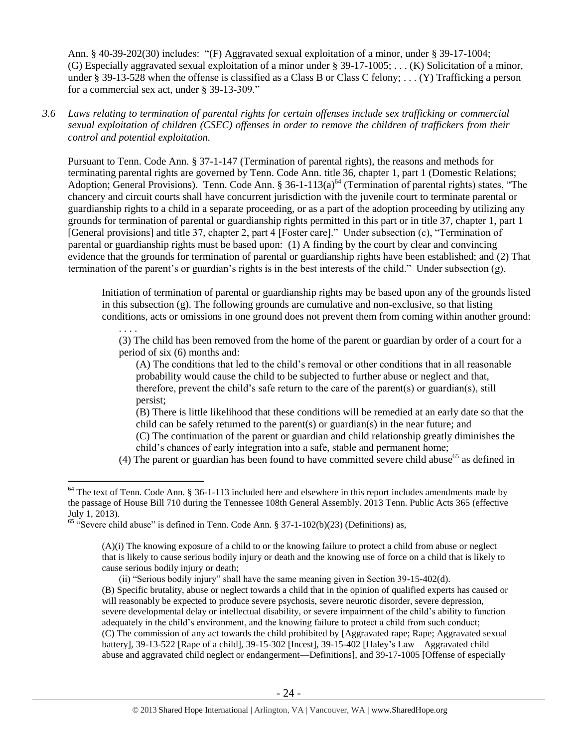Ann. § 40-39-202(30) includes: "(F) Aggravated sexual exploitation of a minor, under § 39-17-1004; (G) Especially aggravated sexual exploitation of a minor under § 39-17-1005; . . . (K) Solicitation of a minor, under § 39-13-528 when the offense is classified as a Class B or Class C felony; . . . (Y) Trafficking a person for a commercial sex act, under § 39-13-309."

*3.6 Laws relating to termination of parental rights for certain offenses include sex trafficking or commercial sexual exploitation of children (CSEC) offenses in order to remove the children of traffickers from their control and potential exploitation.* 

Pursuant to Tenn. Code Ann. § 37-1-147 (Termination of parental rights), the reasons and methods for terminating parental rights are governed by Tenn. Code Ann. title 36, chapter 1, part 1 (Domestic Relations; Adoption; General Provisions). Tenn. Code Ann. § 36-1-113(a)<sup>64</sup> (Termination of parental rights) states, "The chancery and circuit courts shall have concurrent jurisdiction with the juvenile court to terminate parental or guardianship rights to a child in a separate proceeding, or as a part of the adoption proceeding by utilizing any grounds for termination of parental or guardianship rights permitted in this part or in title 37, chapter 1, part 1 [General provisions] and title 37, chapter 2, part 4 [Foster care]." Under subsection (c), "Termination of parental or guardianship rights must be based upon: (1) A finding by the court by clear and convincing evidence that the grounds for termination of parental or guardianship rights have been established; and (2) That termination of the parent's or guardian's rights is in the best interests of the child." Under subsection (g),

Initiation of termination of parental or guardianship rights may be based upon any of the grounds listed in this subsection (g). The following grounds are cumulative and non-exclusive, so that listing conditions, acts or omissions in one ground does not prevent them from coming within another ground:

. . . . (3) The child has been removed from the home of the parent or guardian by order of a court for a period of six (6) months and:

(A) The conditions that led to the child's removal or other conditions that in all reasonable probability would cause the child to be subjected to further abuse or neglect and that, therefore, prevent the child's safe return to the care of the parent(s) or guardian(s), still persist;

(B) There is little likelihood that these conditions will be remedied at an early date so that the child can be safely returned to the parent(s) or guardian(s) in the near future; and (C) The continuation of the parent or guardian and child relationship greatly diminishes the child's chances of early integration into a safe, stable and permanent home;

(4) The parent or guardian has been found to have committed severe child abuse<sup>65</sup> as defined in

 $\overline{a}$ 

(A)(i) The knowing exposure of a child to or the knowing failure to protect a child from abuse or neglect that is likely to cause serious bodily injury or death and the knowing use of force on a child that is likely to cause serious bodily injury or death;

(ii) "Serious bodily injury" shall have the same meaning given in Section 39-15-402(d). (B) Specific brutality, abuse or neglect towards a child that in the opinion of qualified experts has caused or will reasonably be expected to produce severe psychosis, severe neurotic disorder, severe depression,

severe developmental delay or intellectual disability, or severe impairment of the child's ability to function adequately in the child's environment, and the knowing failure to protect a child from such conduct; (C) The commission of any act towards the child prohibited by [Aggravated rape; Rape; Aggravated sexual battery], 39-13-522 [Rape of a child], 39-15-302 [Incest], 39-15-402 [Haley's Law—Aggravated child abuse and aggravated child neglect or endangerment—Definitions], and 39-17-1005 [Offense of especially

 $64$  The text of Tenn. Code Ann. § 36-1-113 included here and elsewhere in this report includes amendments made by the passage of House Bill 710 during the Tennessee 108th General Assembly. 2013 Tenn. Public Acts 365 (effective July 1, 2013).

<sup>&</sup>lt;sup>65</sup> "Severe child abuse" is defined in Tenn. Code Ann. § 37-1-102(b)(23) (Definitions) as,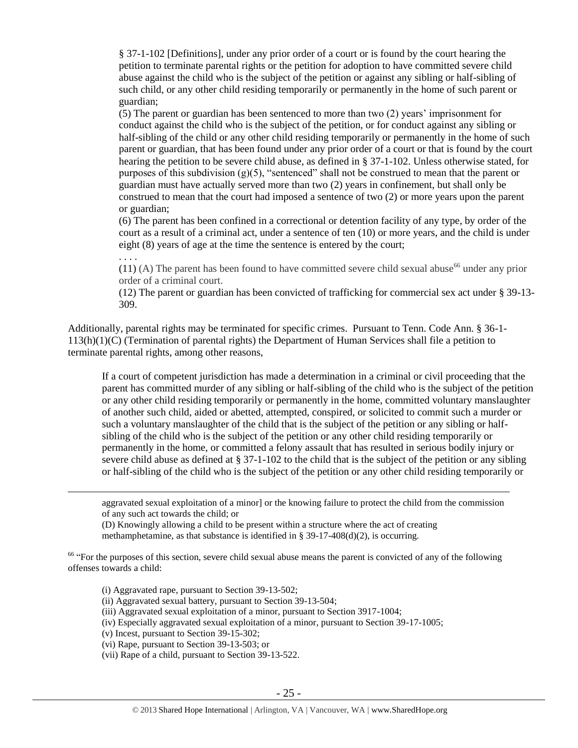§ 37-1-102 [Definitions], under any prior order of a court or is found by the court hearing the petition to terminate parental rights or the petition for adoption to have committed severe child abuse against the child who is the subject of the petition or against any sibling or half-sibling of such child, or any other child residing temporarily or permanently in the home of such parent or guardian;

(5) The parent or guardian has been sentenced to more than two (2) years' imprisonment for conduct against the child who is the subject of the petition, or for conduct against any sibling or half-sibling of the child or any other child residing temporarily or permanently in the home of such parent or guardian, that has been found under any prior order of a court or that is found by the court hearing the petition to be severe child abuse, as defined in § 37-1-102. Unless otherwise stated, for purposes of this subdivision  $(g)(5)$ , "sentenced" shall not be construed to mean that the parent or guardian must have actually served more than two (2) years in confinement, but shall only be construed to mean that the court had imposed a sentence of two (2) or more years upon the parent or guardian;

(6) The parent has been confined in a correctional or detention facility of any type, by order of the court as a result of a criminal act, under a sentence of ten (10) or more years, and the child is under eight (8) years of age at the time the sentence is entered by the court;

. . . .

 $\overline{a}$ 

(11) (A) The parent has been found to have committed severe child sexual abuse<sup>66</sup> under any prior order of a criminal court.

(12) The parent or guardian has been convicted of trafficking for commercial sex act under § 39-13- 309.

Additionally, parental rights may be terminated for specific crimes. Pursuant to Tenn. Code Ann. § 36-1- 113(h)(1)(C) (Termination of parental rights) the Department of Human Services shall file a petition to terminate parental rights, among other reasons,

If a court of competent jurisdiction has made a determination in a criminal or civil proceeding that the parent has committed murder of any sibling or half-sibling of the child who is the subject of the petition or any other child residing temporarily or permanently in the home, committed voluntary manslaughter of another such child, aided or abetted, attempted, conspired, or solicited to commit such a murder or such a voluntary manslaughter of the child that is the subject of the petition or any sibling or halfsibling of the child who is the subject of the petition or any other child residing temporarily or permanently in the home, or committed a felony assault that has resulted in serious bodily injury or severe child abuse as defined at § 37-1-102 to the child that is the subject of the petition or any sibling or half-sibling of the child who is the subject of the petition or any other child residing temporarily or

aggravated sexual exploitation of a minor] or the knowing failure to protect the child from the commission of any such act towards the child; or

(D) Knowingly allowing a child to be present within a structure where the act of creating methamphetamine, as that substance is identified in § 39-17-408(d)(2), is occurring.

<sup>66</sup> "For the purposes of this section, severe child sexual abuse means the parent is convicted of any of the following offenses towards a child:

(i) Aggravated rape, pursuant to Section 39-13-502;

(ii) Aggravated sexual battery, pursuant to Section 39-13-504;

(iii) Aggravated sexual exploitation of a minor, pursuant to Section 3917-1004;

(iv) Especially aggravated sexual exploitation of a minor, pursuant to Section 39-17-1005;

(v) Incest, pursuant to Section 39-15-302;

(vi) Rape, pursuant to Section 39-13-503; or

(vii) Rape of a child, pursuant to Section 39-13-522.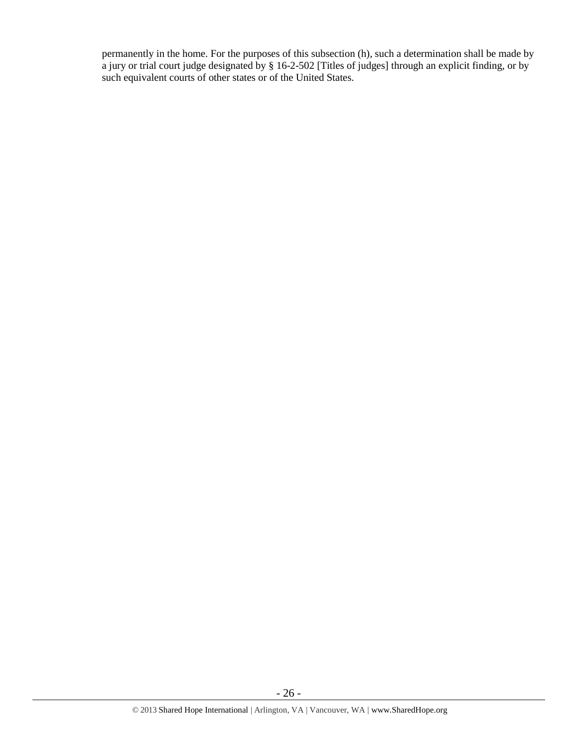permanently in the home. For the purposes of this subsection (h), such a determination shall be made by a jury or trial court judge designated by § 16-2-502 [Titles of judges] through an explicit finding, or by such equivalent courts of other states or of the United States.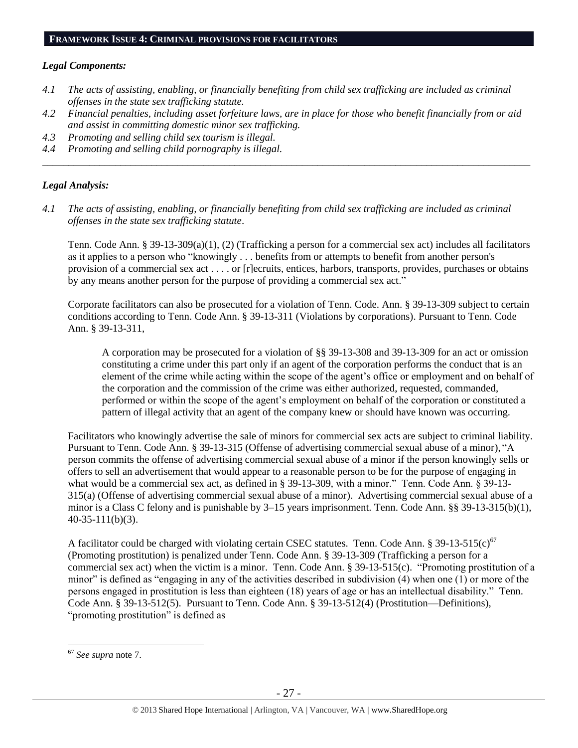# *Legal Components:*

- *4.1 The acts of assisting, enabling, or financially benefiting from child sex trafficking are included as criminal offenses in the state sex trafficking statute.*
- *4.2 Financial penalties, including asset forfeiture laws, are in place for those who benefit financially from or aid and assist in committing domestic minor sex trafficking.*
- *4.3 Promoting and selling child sex tourism is illegal.*
- *4.4 Promoting and selling child pornography is illegal. \_\_\_\_\_\_\_\_\_\_\_\_\_\_\_\_\_\_\_\_\_\_\_\_\_\_\_\_\_\_\_\_\_\_\_\_\_\_\_\_\_\_\_\_\_\_\_\_\_\_\_\_\_\_\_\_\_\_\_\_\_\_\_\_\_\_\_\_\_\_\_\_\_\_\_\_\_\_\_\_\_\_\_\_\_\_\_\_\_\_\_\_\_\_*

# *Legal Analysis:*

*4.1 The acts of assisting, enabling, or financially benefiting from child sex trafficking are included as criminal offenses in the state sex trafficking statute*.

Tenn. Code Ann. § 39-13-309(a)(1), (2) (Trafficking a person for a commercial sex act) includes all facilitators as it applies to a person who "knowingly . . . benefits from or attempts to benefit from another person's provision of a commercial sex act . . . . or [r]ecruits, entices, harbors, transports, provides, purchases or obtains by any means another person for the purpose of providing a commercial sex act."

Corporate facilitators can also be prosecuted for a violation of Tenn. Code. Ann. § 39-13-309 subject to certain conditions according to Tenn. Code Ann. § 39-13-311 (Violations by corporations). Pursuant to Tenn. Code Ann. § 39-13-311,

A corporation may be prosecuted for a violation of §§ 39-13-308 and 39-13-309 for an act or omission constituting a crime under this part only if an agent of the corporation performs the conduct that is an element of the crime while acting within the scope of the agent's office or employment and on behalf of the corporation and the commission of the crime was either authorized, requested, commanded, performed or within the scope of the agent's employment on behalf of the corporation or constituted a pattern of illegal activity that an agent of the company knew or should have known was occurring.

Facilitators who knowingly advertise the sale of minors for commercial sex acts are subject to criminal liability. Pursuant to Tenn. Code Ann. § 39-13-315 (Offense of advertising commercial sexual abuse of a minor), "A person commits the offense of advertising commercial sexual abuse of a minor if the person knowingly sells or offers to sell an advertisement that would appear to a reasonable person to be for the purpose of engaging in what would be a commercial sex act, as defined in § 39-13-309, with a minor." Tenn. Code Ann. § 39-13-315(a) (Offense of advertising commercial sexual abuse of a minor). Advertising commercial sexual abuse of a minor is a Class C felony and is punishable by 3–15 years imprisonment. Tenn. Code Ann. §§ 39-13-315(b)(1), 40-35-111(b)(3).

A facilitator could be charged with violating certain CSEC statutes. Tenn. Code Ann. § 39-13-515(c)<sup>67</sup> (Promoting prostitution) is penalized under Tenn. Code Ann. § 39-13-309 (Trafficking a person for a commercial sex act) when the victim is a minor. Tenn. Code Ann. § 39-13-515(c). "Promoting prostitution of a minor" is defined as "engaging in any of the activities described in subdivision (4) when one (1) or more of the persons engaged in prostitution is less than eighteen (18) years of age or has an intellectual disability." Tenn. Code Ann. § 39-13-512(5). Pursuant to Tenn. Code Ann. § 39-13-512(4) (Prostitution—Definitions), "promoting prostitution" is defined as

 $\overline{a}$ <sup>67</sup> *See supra* note [7.](#page-2-0)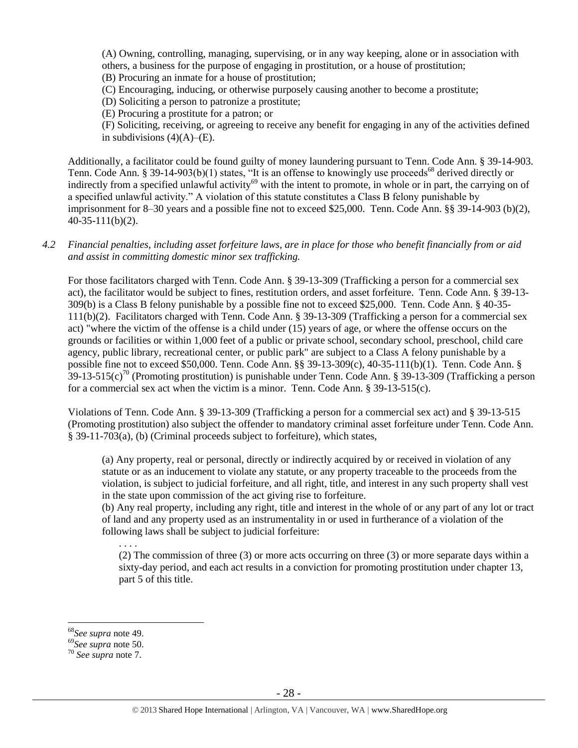(A) Owning, controlling, managing, supervising, or in any way keeping, alone or in association with others, a business for the purpose of engaging in prostitution, or a house of prostitution;

(B) Procuring an inmate for a house of prostitution;

(C) Encouraging, inducing, or otherwise purposely causing another to become a prostitute;

(D) Soliciting a person to patronize a prostitute;

(E) Procuring a prostitute for a patron; or

(F) Soliciting, receiving, or agreeing to receive any benefit for engaging in any of the activities defined in subdivisions  $(4)(A)$ – $(E)$ .

Additionally, a facilitator could be found guilty of money laundering pursuant to Tenn. Code Ann. § 39-14-903. Tenn. Code Ann. § 39-14-903(b)(1) states, "It is an offense to knowingly use proceeds<sup>68</sup> derived directly or indirectly from a specified unlawful activity<sup>69</sup> with the intent to promote, in whole or in part, the carrying on of a specified unlawful activity." A violation of this statute constitutes a Class B felony punishable by imprisonment for 8–30 years and a possible fine not to exceed \$25,000. Tenn. Code Ann. §§ 39-14-903 (b)(2), 40-35-111(b)(2).

*4.2 Financial penalties, including asset forfeiture laws, are in place for those who benefit financially from or aid and assist in committing domestic minor sex trafficking.*

For those facilitators charged with Tenn. Code Ann. § 39-13-309 (Trafficking a person for a commercial sex act), the facilitator would be subject to fines, restitution orders, and asset forfeiture. Tenn. Code Ann. § 39-13- 309(b) is a Class B felony punishable by a possible fine not to exceed \$25,000. Tenn. Code Ann. § 40-35- 111(b)(2). Facilitators charged with Tenn. Code Ann. § 39-13-309 (Trafficking a person for a commercial sex act) "where the victim of the offense is a child under (15) years of age, or where the offense occurs on the grounds or facilities or within 1,000 feet of a public or private school, secondary school, preschool, child care agency, public library, recreational center, or public park" are subject to a Class A felony punishable by a possible fine not to exceed \$50,000. Tenn. Code Ann. §§ 39-13-309(c), 40-35-111(b)(1). Tenn. Code Ann. §  $39-13-515(c)<sup>70</sup>$  (Promoting prostitution) is punishable under Tenn. Code Ann. § 39-13-309 (Trafficking a person for a commercial sex act when the victim is a minor. Tenn. Code Ann. § 39-13-515(c).

Violations of Tenn. Code Ann. § 39-13-309 (Trafficking a person for a commercial sex act) and § 39-13-515 (Promoting prostitution) also subject the offender to mandatory criminal asset forfeiture under Tenn. Code Ann. § 39-11-703(a), (b) (Criminal proceeds subject to forfeiture), which states,

(a) Any property, real or personal, directly or indirectly acquired by or received in violation of any statute or as an inducement to violate any statute, or any property traceable to the proceeds from the violation, is subject to judicial forfeiture, and all right, title, and interest in any such property shall vest in the state upon commission of the act giving rise to forfeiture.

(b) Any real property, including any right, title and interest in the whole of or any part of any lot or tract of land and any property used as an instrumentality in or used in furtherance of a violation of the following laws shall be subject to judicial forfeiture:

. . . .

(2) The commission of three (3) or more acts occurring on three (3) or more separate days within a sixty-day period, and each act results in a conviction for promoting prostitution under chapter 13, part 5 of this title.

<sup>68</sup>*See supra* note [49.](#page-17-0)

<sup>69</sup>*See supra* note [50.](#page-17-1)

<sup>70</sup> *See supra* note [7.](#page-2-0)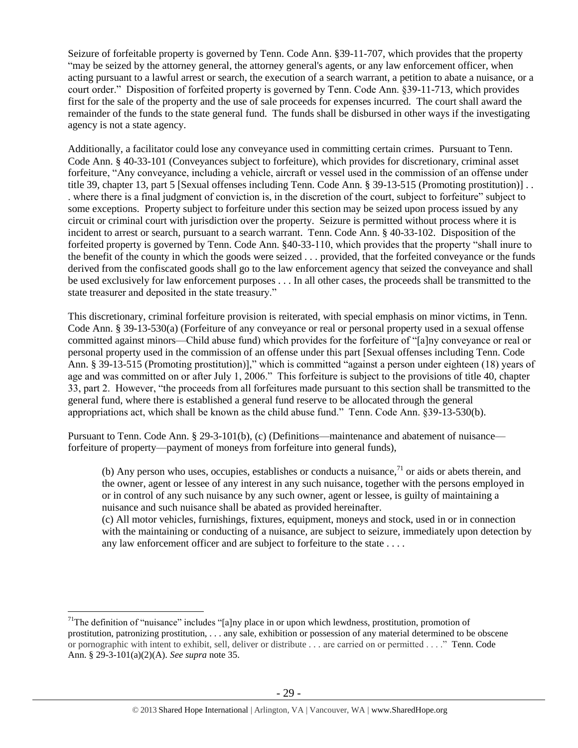Seizure of forfeitable property is governed by Tenn. Code Ann. §39-11-707, which provides that the property "may be seized by the attorney general, the attorney general's agents, or any law enforcement officer, when acting pursuant to a lawful arrest or search, the execution of a search warrant, a petition to abate a nuisance, or a court order." Disposition of forfeited property is governed by Tenn. Code Ann. §39-11-713, which provides first for the sale of the property and the use of sale proceeds for expenses incurred. The court shall award the remainder of the funds to the state general fund. The funds shall be disbursed in other ways if the investigating agency is not a state agency.

Additionally, a facilitator could lose any conveyance used in committing certain crimes. Pursuant to Tenn. Code Ann. § 40-33-101 (Conveyances subject to forfeiture), which provides for discretionary, criminal asset forfeiture, "Any conveyance, including a vehicle, aircraft or vessel used in the commission of an offense under title 39, chapter 13, part 5 [Sexual offenses including Tenn. Code Ann. § 39-13-515 (Promoting prostitution)] . . . where there is a final judgment of conviction is, in the discretion of the court, subject to forfeiture" subject to some exceptions. Property subject to forfeiture under this section may be seized upon process issued by any circuit or criminal court with jurisdiction over the property. Seizure is permitted without process where it is incident to arrest or search, pursuant to a search warrant. Tenn. Code Ann. § 40-33-102. Disposition of the forfeited property is governed by Tenn. Code Ann. §40-33-110, which provides that the property "shall inure to the benefit of the county in which the goods were seized . . . provided, that the forfeited conveyance or the funds derived from the confiscated goods shall go to the law enforcement agency that seized the conveyance and shall be used exclusively for law enforcement purposes . . . In all other cases, the proceeds shall be transmitted to the state treasurer and deposited in the state treasury."

This discretionary, criminal forfeiture provision is reiterated, with special emphasis on minor victims, in Tenn. Code Ann. § 39-13-530(a) (Forfeiture of any conveyance or real or personal property used in a sexual offense committed against minors—Child abuse fund) which provides for the forfeiture of "[a]ny conveyance or real or personal property used in the commission of an offense under this part [Sexual offenses including Tenn. Code Ann. § 39-13-515 (Promoting prostitution)]," which is committed "against a person under eighteen (18) years of age and was committed on or after July 1, 2006." This forfeiture is subject to the provisions of title 40, chapter 33, part 2. However, "the proceeds from all forfeitures made pursuant to this section shall be transmitted to the general fund, where there is established a general fund reserve to be allocated through the general appropriations act, which shall be known as the child abuse fund." Tenn. Code Ann. §39-13-530(b).

Pursuant to Tenn. Code Ann. § 29-3-101(b), (c) (Definitions—maintenance and abatement of nuisance forfeiture of property—payment of moneys from forfeiture into general funds),

(b) Any person who uses, occupies, establishes or conducts a nuisance, $^{71}$  or aids or abets therein, and the owner, agent or lessee of any interest in any such nuisance, together with the persons employed in or in control of any such nuisance by any such owner, agent or lessee, is guilty of maintaining a nuisance and such nuisance shall be abated as provided hereinafter.

(c) All motor vehicles, furnishings, fixtures, equipment, moneys and stock, used in or in connection with the maintaining or conducting of a nuisance, are subject to seizure, immediately upon detection by any law enforcement officer and are subject to forfeiture to the state . . . .

<sup>&</sup>lt;sup>71</sup>The definition of "nuisance" includes "[a]ny place in or upon which lewdness, prostitution, promotion of prostitution, patronizing prostitution, . . . any sale, exhibition or possession of any material determined to be obscene or pornographic with intent to exhibit, sell, deliver or distribute . . . are carried on or permitted . . . ." Tenn. Code Ann. § 29-3-101(a)(2)(A). *See supra* note [35.](#page-14-1)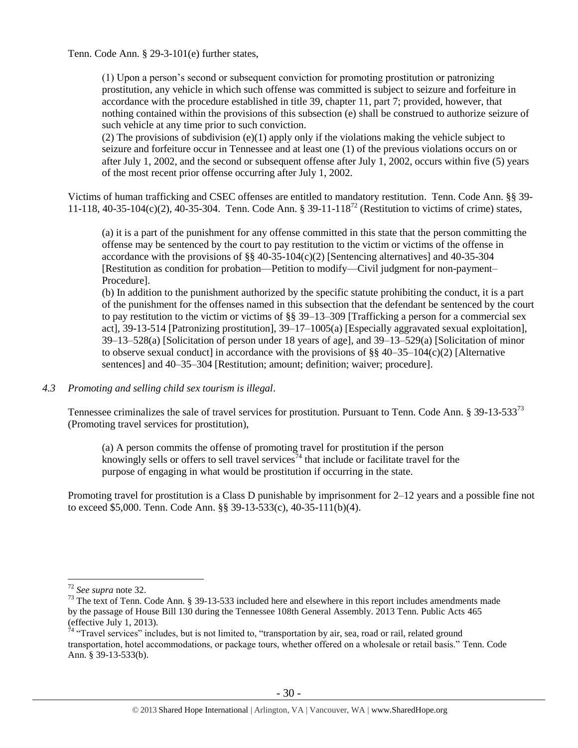Tenn. Code Ann. § 29-3-101(e) further states,

(1) Upon a person's second or subsequent conviction for promoting prostitution or patronizing prostitution, any vehicle in which such offense was committed is subject to seizure and forfeiture in accordance with the procedure established in title 39, chapter 11, part 7; provided, however, that nothing contained within the provisions of this subsection (e) shall be construed to authorize seizure of such vehicle at any time prior to such conviction.

(2) The provisions of subdivision  $(e)(1)$  apply only if the violations making the vehicle subject to seizure and forfeiture occur in Tennessee and at least one (1) of the previous violations occurs on or after July 1, 2002, and the second or subsequent offense after July 1, 2002, occurs within five (5) years of the most recent prior offense occurring after July 1, 2002.

Victims of human trafficking and CSEC offenses are entitled to mandatory restitution. Tenn. Code Ann. §§ 39- 11-118, 40-35-104(c)(2), 40-35-304. Tenn. Code Ann. § 39-11-118<sup>72</sup> (Restitution to victims of crime) states,

(a) it is a part of the punishment for any offense committed in this state that the person committing the offense may be sentenced by the court to pay restitution to the victim or victims of the offense in accordance with the provisions of  $\S$ § 40-35-104(c)(2) [Sentencing alternatives] and 40-35-304 [Restitution as condition for probation—Petition to modify—Civil judgment for non-payment– Procedure].

(b) In addition to the punishment authorized by the specific statute prohibiting the conduct, it is a part of the punishment for the offenses named in this subsection that the defendant be sentenced by the court to pay restitution to the victim or victims of  $\S$ § 39–13–309 [Trafficking a person for a commercial sex act], 39-13-514 [Patronizing prostitution], 39–17–1005(a) [Especially aggravated sexual exploitation], 39–13–528(a) [Solicitation of person under 18 years of age], and 39–13–529(a) [Solicitation of minor to observe sexual conduct] in accordance with the provisions of  $\S$  40–35–104(c)(2) [Alternative sentences] and 40–35–304 [Restitution; amount; definition; waiver; procedure].

*4.3 Promoting and selling child sex tourism is illegal*.

Tennessee criminalizes the sale of travel services for prostitution. Pursuant to Tenn. Code Ann. § 39-13-533<sup>73</sup> (Promoting travel services for prostitution),

(a) A person commits the offense of promoting travel for prostitution if the person knowingly sells or offers to sell travel services<sup>74</sup> that include or facilitate travel for the purpose of engaging in what would be prostitution if occurring in the state.

Promoting travel for prostitution is a Class D punishable by imprisonment for 2–12 years and a possible fine not to exceed \$5,000. Tenn. Code Ann. §§ 39-13-533(c), 40-35-111(b)(4).

<sup>72</sup> *See supra* note [32.](#page-13-1)

<sup>&</sup>lt;sup>73</sup> The text of Tenn. Code Ann. § 39-13-533 included here and elsewhere in this report includes amendments made by the passage of House Bill 130 during the Tennessee 108th General Assembly. 2013 Tenn. Public Acts 465 (effective July 1, 2013).

 $74$  "Travel services" includes, but is not limited to, "transportation by air, sea, road or rail, related ground transportation, hotel accommodations, or package tours, whether offered on a wholesale or retail basis." Tenn. Code Ann. § 39-13-533(b).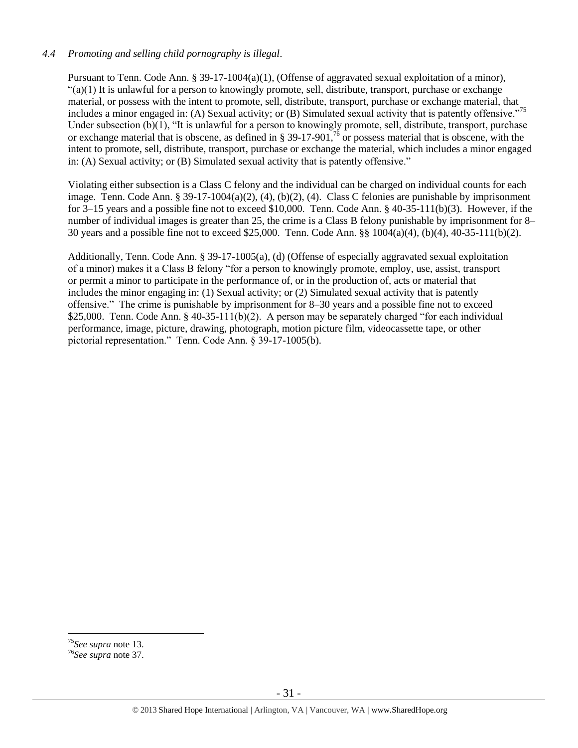## *4.4 Promoting and selling child pornography is illegal*.

Pursuant to Tenn. Code Ann. § 39-17-1004(a)(1), (Offense of aggravated sexual exploitation of a minor),  $(2)(1)$  It is unlawful for a person to knowingly promote, sell, distribute, transport, purchase or exchange material, or possess with the intent to promote, sell, distribute, transport, purchase or exchange material, that includes a minor engaged in: (A) Sexual activity; or (B) Simulated sexual activity that is patently offensive."<sup>75</sup> Under subsection (b)(1), "It is unlawful for a person to knowingly promote, sell, distribute, transport, purchase or exchange material that is obscene, as defined in § 39-17-901,  $\frac{76}{6}$  or possess material that is obscene, with the intent to promote, sell, distribute, transport, purchase or exchange the material, which includes a minor engaged in: (A) Sexual activity; or (B) Simulated sexual activity that is patently offensive."

Violating either subsection is a Class C felony and the individual can be charged on individual counts for each image. Tenn. Code Ann. § 39-17-1004(a)(2), (4), (b)(2), (4). Class C felonies are punishable by imprisonment for 3–15 years and a possible fine not to exceed \$10,000. Tenn. Code Ann. § 40-35-111(b)(3). However, if the number of individual images is greater than 25, the crime is a Class B felony punishable by imprisonment for 8– 30 years and a possible fine not to exceed \$25,000. Tenn. Code Ann. §§ 1004(a)(4), (b)(4), 40-35-111(b)(2).

Additionally, Tenn. Code Ann. § 39-17-1005(a), (d) (Offense of especially aggravated sexual exploitation of a minor) makes it a Class B felony "for a person to knowingly promote, employ, use, assist, transport or permit a minor to participate in the performance of, or in the production of, acts or material that includes the minor engaging in: (1) Sexual activity; or (2) Simulated sexual activity that is patently offensive." The crime is punishable by imprisonment for 8–30 years and a possible fine not to exceed \$25,000. Tenn. Code Ann. § 40-35-111(b)(2). A person may be separately charged "for each individual performance, image, picture, drawing, photograph, motion picture film, videocassette tape, or other pictorial representation." Tenn. Code Ann. § 39-17-1005(b).

<sup>75</sup>*See supra* note [13.](#page-4-0)

<sup>76</sup>*See supra* note [37.](#page-14-0)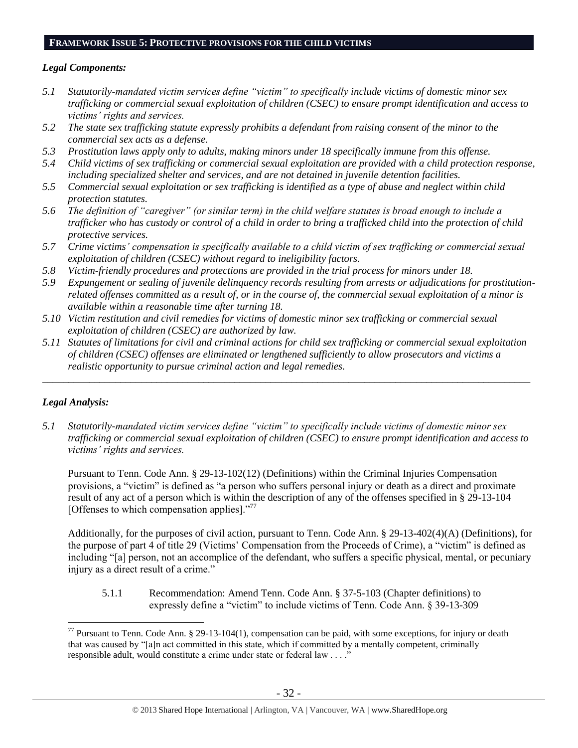#### **FRAMEWORK ISSUE 5: PROTECTIVE PROVISIONS FOR THE CHILD VICTIMS**

#### *Legal Components:*

- *5.1 Statutorily-mandated victim services define "victim" to specifically include victims of domestic minor sex trafficking or commercial sexual exploitation of children (CSEC) to ensure prompt identification and access to victims' rights and services.*
- *5.2 The state sex trafficking statute expressly prohibits a defendant from raising consent of the minor to the commercial sex acts as a defense.*
- *5.3 Prostitution laws apply only to adults, making minors under 18 specifically immune from this offense.*
- *5.4 Child victims of sex trafficking or commercial sexual exploitation are provided with a child protection response, including specialized shelter and services, and are not detained in juvenile detention facilities.*
- *5.5 Commercial sexual exploitation or sex trafficking is identified as a type of abuse and neglect within child protection statutes.*
- *5.6 The definition of "caregiver" (or similar term) in the child welfare statutes is broad enough to include a trafficker who has custody or control of a child in order to bring a trafficked child into the protection of child protective services.*
- *5.7 Crime victims' compensation is specifically available to a child victim of sex trafficking or commercial sexual exploitation of children (CSEC) without regard to ineligibility factors.*
- *5.8 Victim-friendly procedures and protections are provided in the trial process for minors under 18.*
- *5.9 Expungement or sealing of juvenile delinquency records resulting from arrests or adjudications for prostitutionrelated offenses committed as a result of, or in the course of, the commercial sexual exploitation of a minor is available within a reasonable time after turning 18.*
- *5.10 Victim restitution and civil remedies for victims of domestic minor sex trafficking or commercial sexual exploitation of children (CSEC) are authorized by law.*
- *5.11 Statutes of limitations for civil and criminal actions for child sex trafficking or commercial sexual exploitation of children (CSEC) offenses are eliminated or lengthened sufficiently to allow prosecutors and victims a realistic opportunity to pursue criminal action and legal remedies.*

*\_\_\_\_\_\_\_\_\_\_\_\_\_\_\_\_\_\_\_\_\_\_\_\_\_\_\_\_\_\_\_\_\_\_\_\_\_\_\_\_\_\_\_\_\_\_\_\_\_\_\_\_\_\_\_\_\_\_\_\_\_\_\_\_\_\_\_\_\_\_\_\_\_\_\_\_\_\_\_\_\_\_\_\_\_\_\_\_\_\_\_\_\_\_*

#### *Legal Analysis:*

 $\overline{a}$ 

*5.1 Statutorily-mandated victim services define "victim" to specifically include victims of domestic minor sex trafficking or commercial sexual exploitation of children (CSEC) to ensure prompt identification and access to victims' rights and services.*

Pursuant to Tenn. Code Ann. § 29-13-102(12) (Definitions) within the Criminal Injuries Compensation provisions, a "victim" is defined as "a person who suffers personal injury or death as a direct and proximate result of any act of a person which is within the description of any of the offenses specified in § 29-13-104 [Offenses to which compensation applies]."<sup>77</sup>

Additionally, for the purposes of civil action, pursuant to Tenn. Code Ann. § 29-13-402(4)(A) (Definitions), for the purpose of part 4 of title 29 (Victims' Compensation from the Proceeds of Crime), a "victim" is defined as including "[a] person, not an accomplice of the defendant, who suffers a specific physical, mental, or pecuniary injury as a direct result of a crime."

5.1.1 Recommendation: Amend Tenn. Code Ann. § 37-5-103 (Chapter definitions) to expressly define a "victim" to include victims of Tenn. Code Ann. § 39-13-309

 $^{77}$  Pursuant to Tenn. Code Ann. § 29-13-104(1), compensation can be paid, with some exceptions, for injury or death that was caused by "[a]n act committed in this state, which if committed by a mentally competent, criminally responsible adult, would constitute a crime under state or federal law . . . ."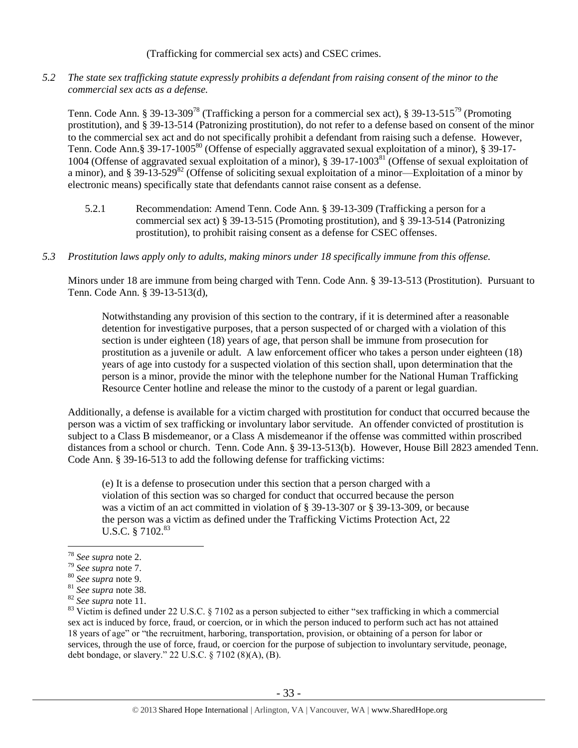(Trafficking for commercial sex acts) and CSEC crimes.

*5.2 The state sex trafficking statute expressly prohibits a defendant from raising consent of the minor to the commercial sex acts as a defense.*

Tenn. Code Ann. § 39-13-309<sup>78</sup> (Trafficking a person for a commercial sex act), § 39-13-515<sup>79</sup> (Promoting prostitution), and § 39-13-514 (Patronizing prostitution), do not refer to a defense based on consent of the minor to the commercial sex act and do not specifically prohibit a defendant from raising such a defense. However, Tenn. Code Ann.§ 39-17-1005<sup>80</sup> (Offense of especially aggravated sexual exploitation of a minor), § 39-17-1004 (Offense of aggravated sexual exploitation of a minor), § 39-17-1003<sup>81</sup> (Offense of sexual exploitation of a minor), and § 39-13-529<sup>82</sup> (Offense of soliciting sexual exploitation of a minor—Exploitation of a minor by electronic means) specifically state that defendants cannot raise consent as a defense.

- 5.2.1 Recommendation: Amend Tenn. Code Ann. § 39-13-309 (Trafficking a person for a commercial sex act) § 39-13-515 (Promoting prostitution), and § 39-13-514 (Patronizing prostitution), to prohibit raising consent as a defense for CSEC offenses.
- *5.3 Prostitution laws apply only to adults, making minors under 18 specifically immune from this offense.*

Minors under 18 are immune from being charged with Tenn. Code Ann. § 39-13-513 (Prostitution). Pursuant to Tenn. Code Ann. § 39-13-513(d),

Notwithstanding any provision of this section to the contrary, if it is determined after a reasonable detention for investigative purposes, that a person suspected of or charged with a violation of this section is under eighteen (18) years of age, that person shall be immune from prosecution for prostitution as a juvenile or adult. A law enforcement officer who takes a person under eighteen (18) years of age into custody for a suspected violation of this section shall, upon determination that the person is a minor, provide the minor with the telephone number for the National Human Trafficking Resource Center hotline and release the minor to the custody of a parent or legal guardian.

Additionally, a defense is available for a victim charged with prostitution for conduct that occurred because the person was a victim of sex trafficking or involuntary labor servitude. An offender convicted of prostitution is subject to a Class B misdemeanor, or a Class A misdemeanor if the offense was committed within proscribed distances from a school or church. Tenn. Code Ann. § 39-13-513(b). However, House Bill 2823 amended Tenn. Code Ann. § 39-16-513 to add the following defense for trafficking victims:

(e) It is a defense to prosecution under this section that a person charged with a violation of this section was so charged for conduct that occurred because the person was a victim of an act committed in violation of § 39-13-307 or § 39-13-309, or because the person was a victim as defined under the Trafficking Victims Protection Act, 22 U.S.C. § 7102.<sup>83</sup>

<sup>78</sup> *See supra* note [2.](#page-0-0)

<sup>79</sup> *See supra* note [7.](#page-2-0)

<sup>80</sup> *See supra* note [9.](#page-3-0)

<sup>81</sup> *See supra* note [38.](#page-14-2)

<sup>82</sup> *See supra* note [11.](#page-4-1)

<sup>&</sup>lt;sup>83</sup> Victim is defined under 22 U.S.C. § 7102 as a person subjected to either "sex trafficking in which a commercial sex act is induced by force, fraud, or coercion, or in which the person induced to perform such act has not attained 18 years of age" or "the recruitment, harboring, transportation, provision, or obtaining of a person for labor or services, through the use of force, fraud, or coercion for the purpose of subjection to involuntary servitude, peonage, debt bondage, or slavery." 22 U.S.C. § 7102 (8)(A), (B).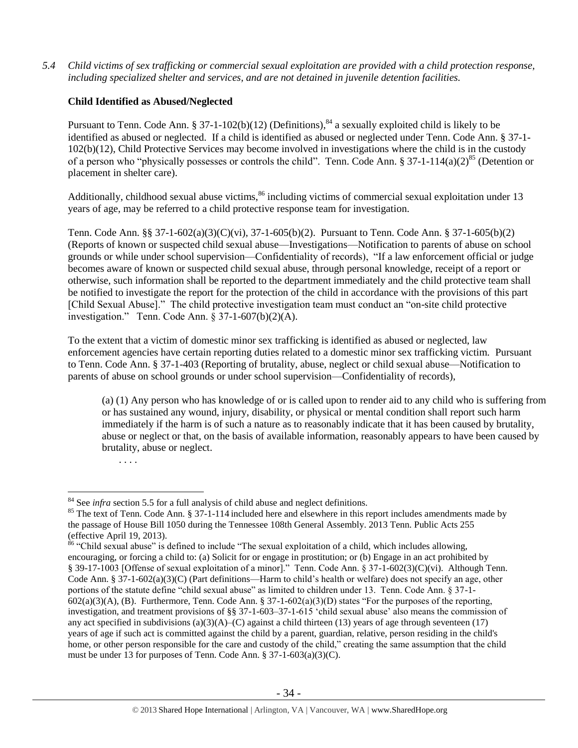*5.4 Child victims of sex trafficking or commercial sexual exploitation are provided with a child protection response, including specialized shelter and services, and are not detained in juvenile detention facilities.*

## **Child Identified as Abused/Neglected**

Pursuant to Tenn. Code Ann. § 37-1-102(b)(12) (Definitions), $^{84}$  a sexually exploited child is likely to be identified as abused or neglected. If a child is identified as abused or neglected under Tenn. Code Ann. § 37-1- 102(b)(12), Child Protective Services may become involved in investigations where the child is in the custody of a person who "physically possesses or controls the child". Tenn. Code Ann. § 37-1-114(a)(2)<sup>85</sup> (Detention or placement in shelter care).

<span id="page-33-0"></span>Additionally, childhood sexual abuse victims,<sup>86</sup> including victims of commercial sexual exploitation under 13 years of age, may be referred to a child protective response team for investigation.

Tenn. Code Ann. §§ 37-1-602(a)(3)(C)(vi), 37-1-605(b)(2). Pursuant to Tenn. Code Ann. § 37-1-605(b)(2) (Reports of known or suspected child sexual abuse—Investigations—Notification to parents of abuse on school grounds or while under school supervision—Confidentiality of records), "If a law enforcement official or judge becomes aware of known or suspected child sexual abuse, through personal knowledge, receipt of a report or otherwise, such information shall be reported to the department immediately and the child protective team shall be notified to investigate the report for the protection of the child in accordance with the provisions of this part [Child Sexual Abuse]." The child protective investigation team must conduct an "on-site child protective investigation." Tenn. Code Ann. § 37-1-607(b)(2)(A).

To the extent that a victim of domestic minor sex trafficking is identified as abused or neglected, law enforcement agencies have certain reporting duties related to a domestic minor sex trafficking victim. Pursuant to Tenn. Code Ann. § 37-1-403 (Reporting of brutality, abuse, neglect or child sexual abuse—Notification to parents of abuse on school grounds or under school supervision—Confidentiality of records),

(a) (1) Any person who has knowledge of or is called upon to render aid to any child who is suffering from or has sustained any wound, injury, disability, or physical or mental condition shall report such harm immediately if the harm is of such a nature as to reasonably indicate that it has been caused by brutality, abuse or neglect or that, on the basis of available information, reasonably appears to have been caused by brutality, abuse or neglect.

. . . .

<sup>&</sup>lt;sup>84</sup> See *infra* section 5.5 for a full analysis of child abuse and neglect definitions.

<sup>&</sup>lt;sup>85</sup> The text of Tenn. Code Ann. § 37-1-114 included here and elsewhere in this report includes amendments made by the passage of House Bill 1050 during the Tennessee 108th General Assembly. 2013 Tenn. Public Acts 255 (effective April 19, 2013).

 $86$  "Child sexual abuse" is defined to include "The sexual exploitation of a child, which includes allowing, encouraging, or forcing a child to: (a) Solicit for or engage in prostitution; or (b) Engage in an act prohibited by § 39-17-1003 [Offense of sexual exploitation of a minor]." Tenn. Code Ann. § 37-1-602(3)(C)(vi). Although Tenn. Code Ann. § 37-1-602(a)(3)(C) (Part definitions—Harm to child's health or welfare) does not specify an age, other portions of the statute define "child sexual abuse" as limited to children under 13. Tenn. Code Ann. § 37-1-  $602(a)(3)(A)$ , (B). Furthermore, Tenn. Code Ann. § 37-1-602(a)(3)(D) states "For the purposes of the reporting, investigation, and treatment provisions of §§ 37-1-603–37-1-615 'child sexual abuse' also means the commission of any act specified in subdivisions  $(a)(3)(A)$ –(C) against a child thirteen (13) years of age through seventeen (17) years of age if such act is committed against the child by a parent, guardian, relative, person residing in the child's home, or other person responsible for the care and custody of the child," creating the same assumption that the child must be under 13 for purposes of Tenn. Code Ann. § 37-1-603(a)(3)(C).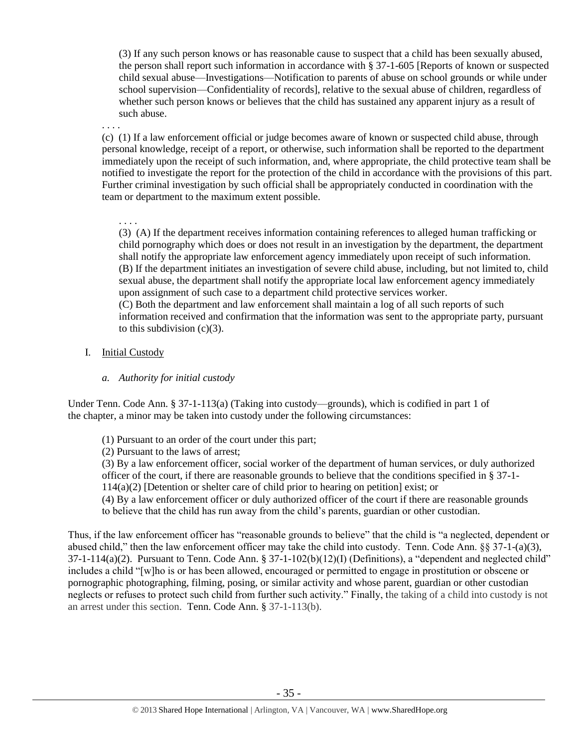(3) If any such person knows or has reasonable cause to suspect that a child has been sexually abused, the person shall report such information in accordance with § 37-1-605 [Reports of known or suspected child sexual abuse—Investigations—Notification to parents of abuse on school grounds or while under school supervision—Confidentiality of records], relative to the sexual abuse of children, regardless of whether such person knows or believes that the child has sustained any apparent injury as a result of such abuse.

. . . .

(c) (1) If a law enforcement official or judge becomes aware of known or suspected child abuse, through personal knowledge, receipt of a report, or otherwise, such information shall be reported to the department immediately upon the receipt of such information, and, where appropriate, the child protective team shall be notified to investigate the report for the protection of the child in accordance with the provisions of this part. Further criminal investigation by such official shall be appropriately conducted in coordination with the team or department to the maximum extent possible.

. . . . (3) (A) If the department receives information containing references to alleged human trafficking or child pornography which does or does not result in an investigation by the department, the department shall notify the appropriate law enforcement agency immediately upon receipt of such information. (B) If the department initiates an investigation of severe child abuse, including, but not limited to, child sexual abuse, the department shall notify the appropriate local law enforcement agency immediately upon assignment of such case to a department child protective services worker. (C) Both the department and law enforcement shall maintain a log of all such reports of such

information received and confirmation that the information was sent to the appropriate party, pursuant to this subdivision  $(c)(3)$ .

## I. Initial Custody

## *a. Authority for initial custody*

Under Tenn. Code Ann. § 37-1-113(a) (Taking into custody—grounds), which is codified in part 1 of the chapter, a minor may be taken into custody under the following circumstances:

(1) Pursuant to an order of the court under this part;

(2) Pursuant to the laws of arrest;

(3) By a law enforcement officer, social worker of the department of human services, or duly authorized officer of the court, if there are reasonable grounds to believe that the conditions specified in § 37-1- 114(a)(2) [Detention or shelter care of child prior to hearing on petition] exist; or

(4) By a law enforcement officer or duly authorized officer of the court if there are reasonable grounds to believe that the child has run away from the child's parents, guardian or other custodian.

Thus, if the law enforcement officer has "reasonable grounds to believe" that the child is "a neglected, dependent or abused child," then the law enforcement officer may take the child into custody. Tenn. Code Ann.  $\S$ § 37-1-(a)(3),  $37-1-114(a)(2)$ . Pursuant to Tenn. Code Ann. §  $37-1-102(b)(12)(1)$  (Definitions), a "dependent and neglected child" includes a child "[w]ho is or has been allowed, encouraged or permitted to engage in prostitution or obscene or pornographic photographing, filming, posing, or similar activity and whose parent, guardian or other custodian neglects or refuses to protect such child from further such activity." Finally, the taking of a child into custody is not an arrest under this section. Tenn. Code Ann. § 37-1-113(b).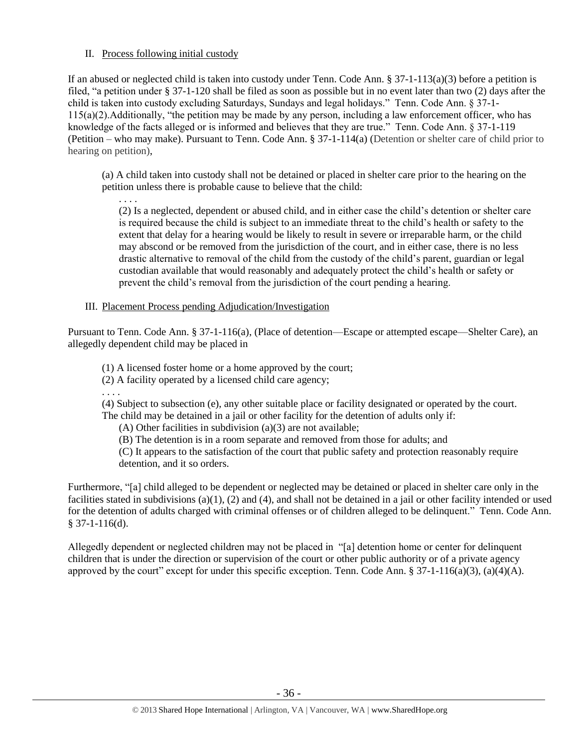## II. Process following initial custody

If an abused or neglected child is taken into custody under Tenn. Code Ann. § 37-1-113(a)(3) before a petition is filed, "a petition under § 37-1-120 shall be filed as soon as possible but in no event later than two (2) days after the child is taken into custody excluding Saturdays, Sundays and legal holidays." Tenn. Code Ann. § 37-1- 115(a)(2).Additionally, "the petition may be made by any person, including a law enforcement officer, who has knowledge of the facts alleged or is informed and believes that they are true." Tenn. Code Ann. § 37-1-119 (Petition – who may make). Pursuant to Tenn. Code Ann. § 37-1-114(a) (Detention or shelter care of child prior to hearing on petition),

(a) A child taken into custody shall not be detained or placed in shelter care prior to the hearing on the petition unless there is probable cause to believe that the child:

. . . . (2) Is a neglected, dependent or abused child, and in either case the child's detention or shelter care is required because the child is subject to an immediate threat to the child's health or safety to the extent that delay for a hearing would be likely to result in severe or irreparable harm, or the child may abscond or be removed from the jurisdiction of the court, and in either case, there is no less drastic alternative to removal of the child from the custody of the child's parent, guardian or legal custodian available that would reasonably and adequately protect the child's health or safety or prevent the child's removal from the jurisdiction of the court pending a hearing.

## III. Placement Process pending Adjudication/Investigation

Pursuant to Tenn. Code Ann. § 37-1-116(a), (Place of detention—Escape or attempted escape—Shelter Care), an allegedly dependent child may be placed in

(1) A licensed foster home or a home approved by the court;

(2) A facility operated by a licensed child care agency;

. . . .

(4) Subject to subsection (e), any other suitable place or facility designated or operated by the court. The child may be detained in a jail or other facility for the detention of adults only if:

(A) Other facilities in subdivision (a)(3) are not available;

(B) The detention is in a room separate and removed from those for adults; and

(C) It appears to the satisfaction of the court that public safety and protection reasonably require detention, and it so orders.

Furthermore, "[a] child alleged to be dependent or neglected may be detained or placed in shelter care only in the facilities stated in subdivisions  $(a)(1)$ ,  $(2)$  and  $(4)$ , and shall not be detained in a jail or other facility intended or used for the detention of adults charged with criminal offenses or of children alleged to be delinquent." Tenn. Code Ann. § 37-1-116(d).

Allegedly dependent or neglected children may not be placed in "[a] detention home or center for delinquent children that is under the direction or supervision of the court or other public authority or of a private agency approved by the court" except for under this specific exception. Tenn. Code Ann.  $\S 37-1-116(a)(3)$ , (a)(4)(A).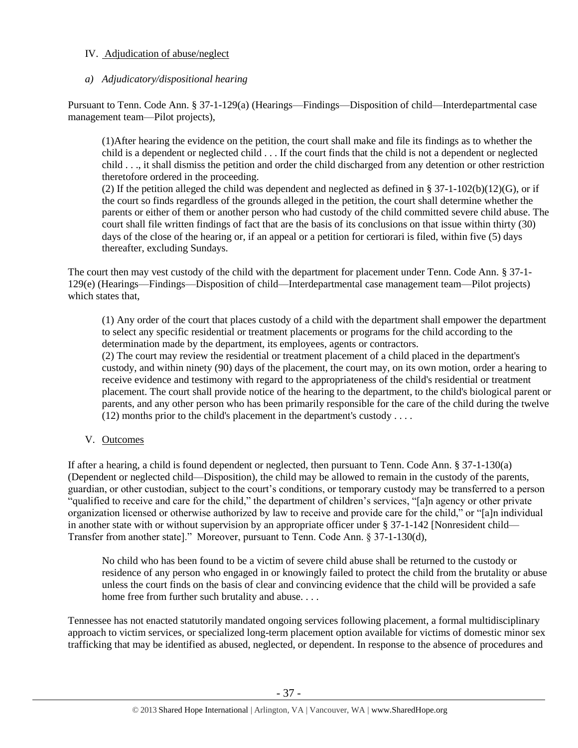## IV. Adjudication of abuse/neglect

## *a) Adjudicatory/dispositional hearing*

Pursuant to Tenn. Code Ann. § 37-1-129(a) (Hearings—Findings—Disposition of child—Interdepartmental case management team—Pilot projects),

(1)After hearing the evidence on the petition, the court shall make and file its findings as to whether the child is a dependent or neglected child . . . If the court finds that the child is not a dependent or neglected child . . ., it shall dismiss the petition and order the child discharged from any detention or other restriction theretofore ordered in the proceeding.

(2) If the petition alleged the child was dependent and neglected as defined in § 37-1-102(b)(12)(G), or if the court so finds regardless of the grounds alleged in the petition, the court shall determine whether the parents or either of them or another person who had custody of the child committed severe child abuse. The court shall file written findings of fact that are the basis of its conclusions on that issue within thirty (30) days of the close of the hearing or, if an appeal or a petition for certiorari is filed, within five (5) days thereafter, excluding Sundays.

The court then may vest custody of the child with the department for placement under Tenn. Code Ann. § 37-1- 129(e) (Hearings—Findings—Disposition of child—Interdepartmental case management team—Pilot projects) which states that,

(1) Any order of the court that places custody of a child with the department shall empower the department to select any specific residential or treatment placements or programs for the child according to the determination made by the department, its employees, agents or contractors.

(2) The court may review the residential or treatment placement of a child placed in the department's custody, and within ninety (90) days of the placement, the court may, on its own motion, order a hearing to receive evidence and testimony with regard to the appropriateness of the child's residential or treatment placement. The court shall provide notice of the hearing to the department, to the child's biological parent or parents, and any other person who has been primarily responsible for the care of the child during the twelve (12) months prior to the child's placement in the department's custody . . . .

V. Outcomes

If after a hearing, a child is found dependent or neglected, then pursuant to Tenn. Code Ann. § 37-1-130(a) (Dependent or neglected child—Disposition), the child may be allowed to remain in the custody of the parents, guardian, or other custodian, subject to the court's conditions, or temporary custody may be transferred to a person "qualified to receive and care for the child," the department of children's services, "[a]n agency or other private organization licensed or otherwise authorized by law to receive and provide care for the child," or "[a]n individual in another state with or without supervision by an appropriate officer under § 37-1-142 [Nonresident child— Transfer from another state]." Moreover, pursuant to Tenn. Code Ann. § 37-1-130(d),

No child who has been found to be a victim of severe child abuse shall be returned to the custody or residence of any person who engaged in or knowingly failed to protect the child from the brutality or abuse unless the court finds on the basis of clear and convincing evidence that the child will be provided a safe home free from further such brutality and abuse. . . .

Tennessee has not enacted statutorily mandated ongoing services following placement, a formal multidisciplinary approach to victim services, or specialized long-term placement option available for victims of domestic minor sex trafficking that may be identified as abused, neglected, or dependent. In response to the absence of procedures and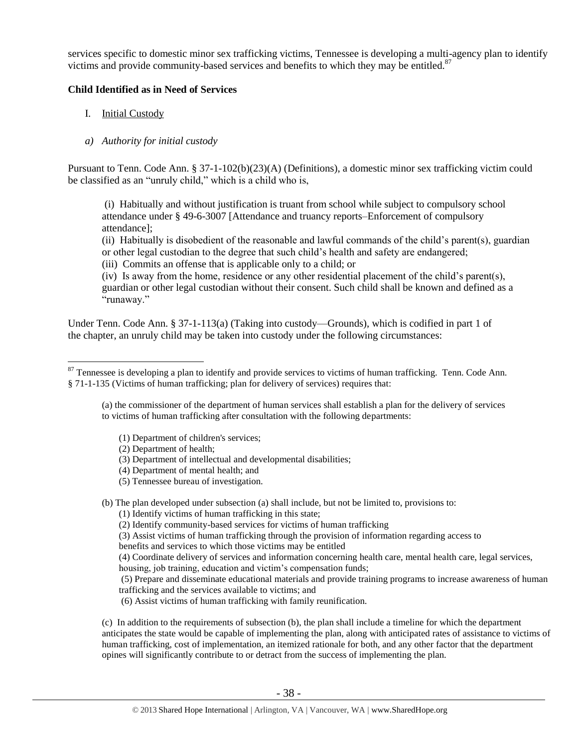services specific to domestic minor sex trafficking victims, Tennessee is developing a multi-agency plan to identify victims and provide community-based services and benefits to which they may be entitled. $87$ 

#### **Child Identified as in Need of Services**

- I. Initial Custody
- *a) Authority for initial custody*

Pursuant to Tenn. Code Ann. § 37-1-102(b)(23)(A) (Definitions), a domestic minor sex trafficking victim could be classified as an "unruly child," which is a child who is,

(i) Habitually and without justification is truant from school while subject to compulsory school attendance under § [49-6-3007](http://www.michie.com/tennessee/lpext.dll?f=FifLink&t=document-frame.htm&l=jump&iid=tncode&d=49-6-3007&sid=38e38567.7da3e70b.0.0#JD_49-6-3007) [Attendance and truancy reports–Enforcement of compulsory attendance];

(ii) Habitually is disobedient of the reasonable and lawful commands of the child's parent(s), guardian or other legal custodian to the degree that such child's health and safety are endangered;

(iii) Commits an offense that is applicable only to a child; or

(iv) Is away from the home, residence or any other residential placement of the child's parent(s), guardian or other legal custodian without their consent. Such child shall be known and defined as a "runaway."

Under Tenn. Code Ann. § 37-1-113(a) (Taking into custody—Grounds), which is codified in part 1 of the chapter, an unruly child may be taken into custody under the following circumstances:

(a) the commissioner of the department of human services shall establish a plan for the delivery of services to victims of human trafficking after consultation with the following departments:

- (1) Department of children's services;
- (2) Department of health;
- (3) Department of intellectual and developmental disabilities;
- (4) Department of mental health; and
- (5) Tennessee bureau of investigation.

(b) The plan developed under subsection (a) shall include, but not be limited to, provisions to:

- (1) Identify victims of human trafficking in this state;
- (2) Identify community-based services for victims of human trafficking
- (3) Assist victims of human trafficking through the provision of information regarding access to
- benefits and services to which those victims may be entitled

(4) Coordinate delivery of services and information concerning health care, mental health care, legal services, housing, job training, education and victim's compensation funds;

(5) Prepare and disseminate educational materials and provide training programs to increase awareness of human trafficking and the services available to victims; and

(6) Assist victims of human trafficking with family reunification.

(c) In addition to the requirements of subsection (b), the plan shall include a timeline for which the department anticipates the state would be capable of implementing the plan, along with anticipated rates of assistance to victims of human trafficking, cost of implementation, an itemized rationale for both, and any other factor that the department opines will significantly contribute to or detract from the success of implementing the plan.

 $\overline{a}$ <sup>87</sup> Tennessee is developing a plan to identify and provide services to victims of human trafficking. Tenn. Code Ann. § 71-1-135 (Victims of human trafficking; plan for delivery of services) requires that: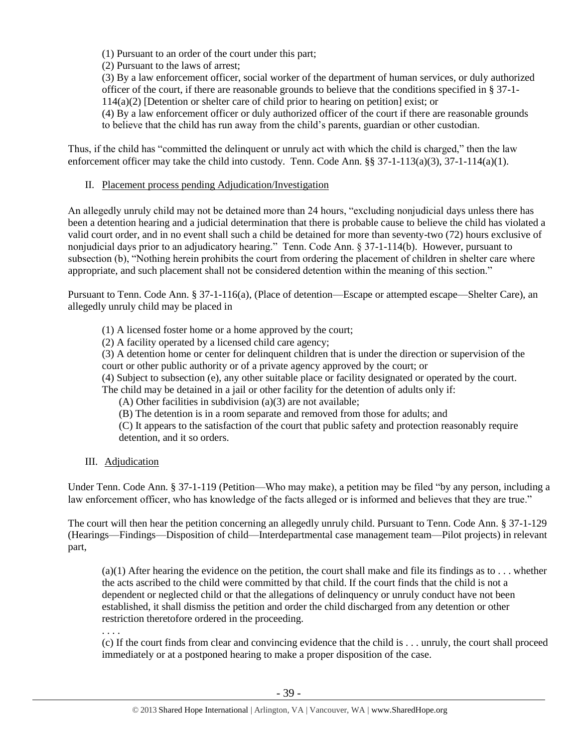(1) Pursuant to an order of the court under this part;

(2) Pursuant to the laws of arrest;

(3) By a law enforcement officer, social worker of the department of human services, or duly authorized officer of the court, if there are reasonable grounds to believe that the conditions specified in § 37-1- 114(a)(2) [Detention or shelter care of child prior to hearing on petition] exist; or

(4) By a law enforcement officer or duly authorized officer of the court if there are reasonable grounds to believe that the child has run away from the child's parents, guardian or other custodian.

Thus, if the child has "committed the delinquent or unruly act with which the child is charged," then the law enforcement officer may take the child into custody. Tenn. Code Ann. §§ 37-1-113(a)(3), 37-1-114(a)(1).

#### II. Placement process pending Adjudication/Investigation

An allegedly unruly child may not be detained more than 24 hours, "excluding nonjudicial days unless there has been a detention hearing and a judicial determination that there is probable cause to believe the child has violated a valid court order, and in no event shall such a child be detained for more than seventy-two (72) hours exclusive of nonjudicial days prior to an adjudicatory hearing." Tenn. Code Ann. § 37-1-114(b). However, pursuant to subsection (b), "Nothing herein prohibits the court from ordering the placement of children in shelter care where appropriate, and such placement shall not be considered detention within the meaning of this section."

Pursuant to Tenn. Code Ann. § 37-1-116(a), (Place of detention—Escape or attempted escape—Shelter Care), an allegedly unruly child may be placed in

(1) A licensed foster home or a home approved by the court;

(2) A facility operated by a licensed child care agency;

(3) A detention home or center for delinquent children that is under the direction or supervision of the court or other public authority or of a private agency approved by the court; or

(4) Subject to subsection (e), any other suitable place or facility designated or operated by the court.

The child may be detained in a jail or other facility for the detention of adults only if:

(A) Other facilities in subdivision (a)(3) are not available;

(B) The detention is in a room separate and removed from those for adults; and

(C) It appears to the satisfaction of the court that public safety and protection reasonably require detention, and it so orders.

III. Adjudication

Under Tenn. Code Ann. § 37-1-119 (Petition—Who may make), a petition may be filed "by any person, including a law enforcement officer, who has knowledge of the facts alleged or is informed and believes that they are true."

The court will then hear the petition concerning an allegedly unruly child. Pursuant to Tenn. Code Ann. § 37-1-129 (Hearings—Findings—Disposition of child—Interdepartmental case management team—Pilot projects) in relevant part,

 $(a)(1)$  After hearing the evidence on the petition, the court shall make and file its findings as to ... whether the acts ascribed to the child were committed by that child. If the court finds that the child is not a dependent or neglected child or that the allegations of delinquency or unruly conduct have not been established, it shall dismiss the petition and order the child discharged from any detention or other restriction theretofore ordered in the proceeding.

. . . .

(c) If the court finds from clear and convincing evidence that the child is . . . unruly, the court shall proceed immediately or at a postponed hearing to make a proper disposition of the case.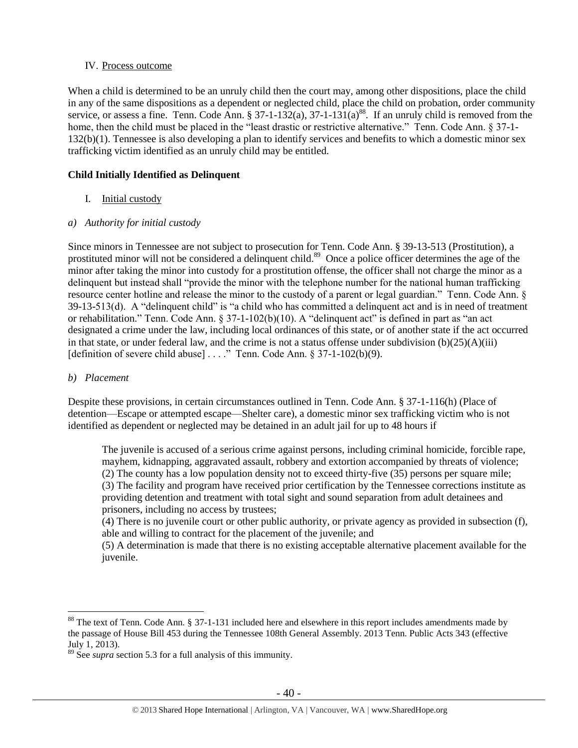## IV. Process outcome

When a child is determined to be an unruly child then the court may, among other dispositions, place the child in any of the same dispositions as a dependent or neglected child, place the child on probation, order community service, or assess a fine. Tenn. Code Ann. § 37-1-132(a), 37-1-131(a)<sup>88</sup>. If an unruly child is removed from the home, then the child must be placed in the "least drastic or restrictive alternative." Tenn. Code Ann. § 37-1-132(b)(1). Tennessee is also developing a plan to identify services and benefits to which a domestic minor sex trafficking victim identified as an unruly child may be entitled.

## **Child Initially Identified as Delinquent**

I. Initial custody

## *a) Authority for initial custody*

Since minors in Tennessee are not subject to prosecution for Tenn. Code Ann. § 39-13-513 (Prostitution), a prostituted minor will not be considered a delinquent child.<sup>89</sup> Once a police officer determines the age of the minor after taking the minor into custody for a prostitution offense, the officer shall not charge the minor as a delinquent but instead shall "provide the minor with the telephone number for the national human trafficking resource center hotline and release the minor to the custody of a parent or legal guardian." Tenn. Code Ann. § 39-13-513(d). A "delinquent child" is "a child who has committed a delinquent act and is in need of treatment or rehabilitation." Tenn. Code Ann. § 37-1-102(b)(10). A "delinquent act" is defined in part as "an act designated a crime under the law, including local ordinances of this state, or of another state if the act occurred in that state, or under federal law, and the crime is not a status offense under subdivision  $(b)(25)(A)(iii)$ [definition of severe child abuse] . . . ." Tenn. Code Ann. § 37-1-102(b)(9).

## *b) Placement*

 $\overline{a}$ 

Despite these provisions, in certain circumstances outlined in Tenn. Code Ann. § 37-1-116(h) (Place of detention—Escape or attempted escape—Shelter care), a domestic minor sex trafficking victim who is not identified as dependent or neglected may be detained in an adult jail for up to 48 hours if

The juvenile is accused of a serious crime against persons, including criminal homicide, forcible rape, mayhem, kidnapping, aggravated assault, robbery and extortion accompanied by threats of violence; (2) The county has a low population density not to exceed thirty-five  $(35)$  persons per square mile: (3) The facility and program have received prior certification by the Tennessee corrections institute as providing detention and treatment with total sight and sound separation from adult detainees and prisoners, including no access by trustees;

(4) There is no juvenile court or other public authority, or private agency as provided in subsection (f), able and willing to contract for the placement of the juvenile; and

(5) A determination is made that there is no existing acceptable alternative placement available for the juvenile.

<sup>&</sup>lt;sup>88</sup> The text of Tenn. Code Ann. § 37-1-131 included here and elsewhere in this report includes amendments made by the passage of House Bill 453 during the Tennessee 108th General Assembly. 2013 Tenn. Public Acts 343 (effective July 1, 2013).

<sup>89</sup> See *supra* section 5.3 for a full analysis of this immunity.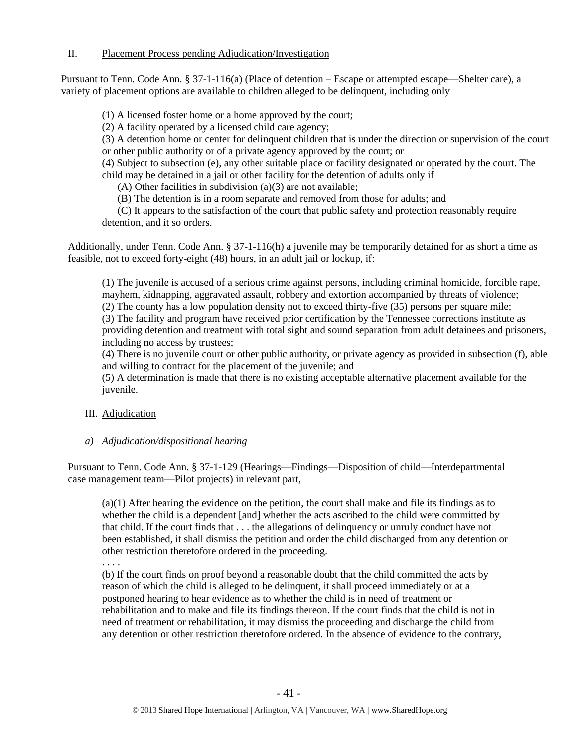Pursuant to Tenn. Code Ann. § 37-1-116(a) (Place of detention – Escape or attempted escape—Shelter care), a variety of placement options are available to children alleged to be delinquent, including only

(1) A licensed foster home or a home approved by the court;

(2) A facility operated by a licensed child care agency;

(3) A detention home or center for delinquent children that is under the direction or supervision of the court or other public authority or of a private agency approved by the court; or

(4) Subject to subsection (e), any other suitable place or facility designated or operated by the court. The child may be detained in a jail or other facility for the detention of adults only if

(A) Other facilities in subdivision (a)(3) are not available;

(B) The detention is in a room separate and removed from those for adults; and

 (C) It appears to the satisfaction of the court that public safety and protection reasonably require detention, and it so orders.

Additionally, under Tenn. Code Ann. § 37-1-116(h) a juvenile may be temporarily detained for as short a time as feasible, not to exceed forty-eight (48) hours, in an adult jail or lockup, if:

(1) The juvenile is accused of a serious crime against persons, including criminal homicide, forcible rape, mayhem, kidnapping, aggravated assault, robbery and extortion accompanied by threats of violence;

(2) The county has a low population density not to exceed thirty-five (35) persons per square mile;

(3) The facility and program have received prior certification by the Tennessee corrections institute as providing detention and treatment with total sight and sound separation from adult detainees and prisoners, including no access by trustees;

(4) There is no juvenile court or other public authority, or private agency as provided in subsection (f), able and willing to contract for the placement of the juvenile; and

(5) A determination is made that there is no existing acceptable alternative placement available for the juvenile.

## III. Adjudication

## *a) Adjudication/dispositional hearing*

Pursuant to Tenn. Code Ann. § 37-1-129 (Hearings—Findings—Disposition of child—Interdepartmental case management team—Pilot projects) in relevant part,

(a)(1) After hearing the evidence on the petition, the court shall make and file its findings as to whether the child is a dependent [and] whether the acts ascribed to the child were committed by that child. If the court finds that . . . the allegations of delinquency or unruly conduct have not been established, it shall dismiss the petition and order the child discharged from any detention or other restriction theretofore ordered in the proceeding.

. . . .

(b) If the court finds on proof beyond a reasonable doubt that the child committed the acts by reason of which the child is alleged to be delinquent, it shall proceed immediately or at a postponed hearing to hear evidence as to whether the child is in need of treatment or rehabilitation and to make and file its findings thereon. If the court finds that the child is not in need of treatment or rehabilitation, it may dismiss the proceeding and discharge the child from any detention or other restriction theretofore ordered. In the absence of evidence to the contrary,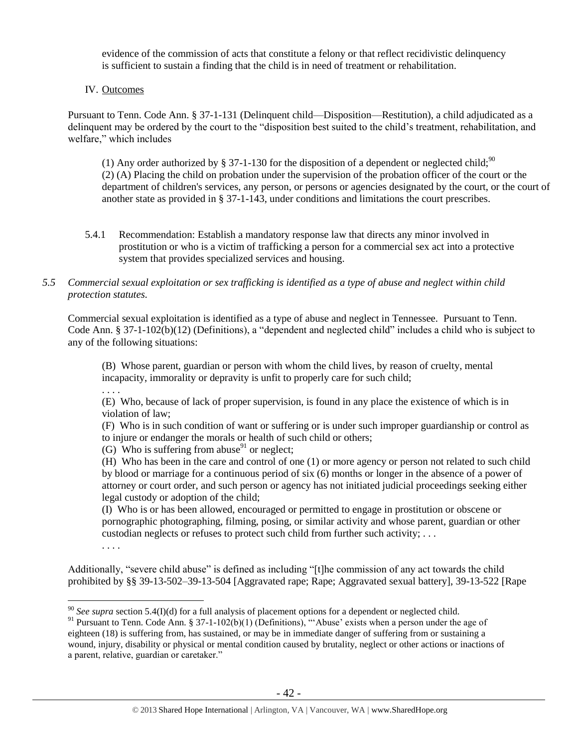evidence of the commission of acts that constitute a felony or that reflect recidivistic delinquency is sufficient to sustain a finding that the child is in need of treatment or rehabilitation.

#### IV. Outcomes

Pursuant to Tenn. Code Ann. § 37-1-131 (Delinquent child—Disposition—Restitution), a child adjudicated as a delinquent may be ordered by the court to the "disposition best suited to the child's treatment, rehabilitation, and welfare," which includes

(1) Any order authorized by § 37-1-130 for the disposition of a dependent or neglected child;<sup>90</sup> (2) (A) Placing the child on probation under the supervision of the probation officer of the court or the department of children's services, any person, or persons or agencies designated by the court, or the court of another state as provided in § 37-1-143, under conditions and limitations the court prescribes.

5.4.1 Recommendation: Establish a mandatory response law that directs any minor involved in prostitution or who is a victim of trafficking a person for a commercial sex act into a protective system that provides specialized services and housing.

#### *5.5 Commercial sexual exploitation or sex trafficking is identified as a type of abuse and neglect within child protection statutes.*

Commercial sexual exploitation is identified as a type of abuse and neglect in Tennessee. Pursuant to Tenn. Code Ann. § 37-1-102(b)(12) (Definitions), a "dependent and neglected child" includes a child who is subject to any of the following situations:

(B) Whose parent, guardian or person with whom the child lives, by reason of cruelty, mental incapacity, immorality or depravity is unfit to properly care for such child;

. . . .

(E) Who, because of lack of proper supervision, is found in any place the existence of which is in violation of law;

(F) Who is in such condition of want or suffering or is under such improper guardianship or control as to injure or endanger the morals or health of such child or others;

(G) Who is suffering from abuse $91$  or neglect;

(H) Who has been in the care and control of one (1) or more agency or person not related to such child by blood or marriage for a continuous period of six (6) months or longer in the absence of a power of attorney or court order, and such person or agency has not initiated judicial proceedings seeking either legal custody or adoption of the child;

(I) Who is or has been allowed, encouraged or permitted to engage in prostitution or obscene or pornographic photographing, filming, posing, or similar activity and whose parent, guardian or other custodian neglects or refuses to protect such child from further such activity; . . .

. . . .

 $\overline{a}$ 

Additionally, "severe child abuse" is defined as including "[t]he commission of any act towards the child prohibited by §§ 39-13-502–39-13-504 [Aggravated rape; Rape; Aggravated sexual battery], 39-13-522 [Rape

<sup>&</sup>lt;sup>90</sup> *See supra* section 5.4(I)(d) for a full analysis of placement options for a dependent or neglected child.

<sup>&</sup>lt;sup>91</sup> Pursuant to Tenn. Code Ann. § 37-1-102(b)(1) (Definitions), "Abuse' exists when a person under the age of eighteen (18) is suffering from, has sustained, or may be in immediate danger of suffering from or sustaining a wound, injury, disability or physical or mental condition caused by brutality, neglect or other actions or inactions of a parent, relative, guardian or caretaker."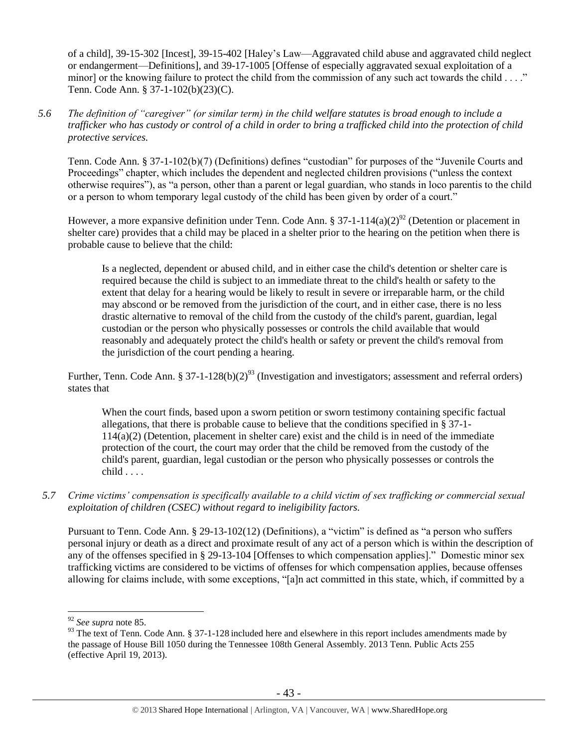of a child], 39-15-302 [Incest], 39-15-402 [Haley's Law—Aggravated child abuse and aggravated child neglect or endangerment—Definitions], and 39-17-1005 [Offense of especially aggravated sexual exploitation of a minor] or the knowing failure to protect the child from the commission of any such act towards the child  $\dots$ ." Tenn. Code Ann. § 37-1-102(b)(23)(C).

*5.6 The definition of "caregiver" (or similar term) in the child welfare statutes is broad enough to include a trafficker who has custody or control of a child in order to bring a trafficked child into the protection of child protective services.*

Tenn. Code Ann. § 37-1-102(b)(7) (Definitions) defines "custodian" for purposes of the "Juvenile Courts and Proceedings" chapter, which includes the dependent and neglected children provisions ("unless the context otherwise requires"), as "a person, other than a parent or legal guardian, who stands in loco parentis to the child or a person to whom temporary legal custody of the child has been given by order of a court."

However, a more expansive definition under Tenn. Code Ann. § 37-1-114(a)(2)<sup>92</sup> (Detention or placement in shelter care) provides that a child may be placed in a shelter prior to the hearing on the petition when there is probable cause to believe that the child:

Is a neglected, dependent or abused child, and in either case the child's detention or shelter care is required because the child is subject to an immediate threat to the child's health or safety to the extent that delay for a hearing would be likely to result in severe or irreparable harm, or the child may abscond or be removed from the jurisdiction of the court, and in either case, there is no less drastic alternative to removal of the child from the custody of the child's parent, guardian, legal custodian or the person who physically possesses or controls the child available that would reasonably and adequately protect the child's health or safety or prevent the child's removal from the jurisdiction of the court pending a hearing.

Further, Tenn. Code Ann. § 37-1-128(b)(2)<sup>93</sup> (Investigation and investigators; assessment and referral orders) states that

When the court finds, based upon a sworn petition or sworn testimony containing specific factual allegations, that there is probable cause to believe that the conditions specified in § 37-1- 114(a)(2) (Detention, placement in shelter care) exist and the child is in need of the immediate protection of the court, the court may order that the child be removed from the custody of the child's parent, guardian, legal custodian or the person who physically possesses or controls the  $child...$ .

*5.7 Crime victims' compensation is specifically available to a child victim of sex trafficking or commercial sexual exploitation of children (CSEC) without regard to ineligibility factors.*

Pursuant to Tenn. Code Ann. § 29-13-102(12) (Definitions), a "victim" is defined as "a person who suffers personal injury or death as a direct and proximate result of any act of a person which is within the description of any of the offenses specified in § 29-13-104 [Offenses to which compensation applies]." Domestic minor sex trafficking victims are considered to be victims of offenses for which compensation applies, because offenses allowing for claims include, with some exceptions, "[a]n act committed in this state, which, if committed by a

<sup>92</sup> *See supra* note [85.](#page-33-0)

<sup>93</sup> The text of Tenn. Code Ann. § 37-1-128 included here and elsewhere in this report includes amendments made by the passage of House Bill 1050 during the Tennessee 108th General Assembly. 2013 Tenn. Public Acts 255 (effective April 19, 2013).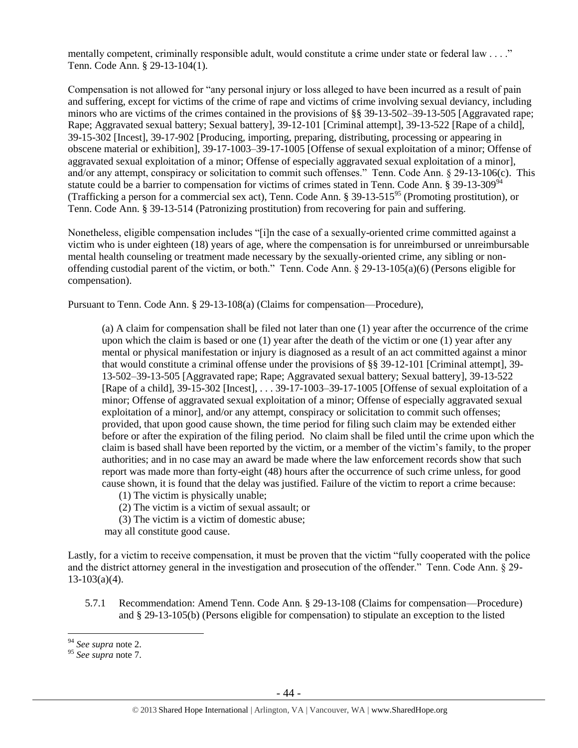mentally competent, criminally responsible adult, would constitute a crime under state or federal law . . . ." Tenn. Code Ann. § 29-13-104(1).

Compensation is not allowed for "any personal injury or loss alleged to have been incurred as a result of pain and suffering, except for victims of the crime of rape and victims of crime involving sexual deviancy, including minors who are victims of the crimes contained in the provisions of [§§ 39-13-502](https://www.lexis.com/research/buttonTFLink?_m=174cb59fee180dee8938bb262f35ccec&_xfercite=%3ccite%20cc%3d%22USA%22%3e%3c%21%5bCDATA%5bTenn.%20Code%20Ann.%20%a7%2029-13-106%5d%5d%3e%3c%2fcite%3e&_butType=4&_butStat=0&_butNum=9&_butInline=1&_butinfo=TNCODE%2039-13-502&_fmtstr=FULL&docnum=1&_startdoc=1&wchp=dGLbVtb-zSkAB&_md5=822f63069e8581703def8e50c6be8a64)[–39-13-505](https://www.lexis.com/research/buttonTFLink?_m=174cb59fee180dee8938bb262f35ccec&_xfercite=%3ccite%20cc%3d%22USA%22%3e%3c%21%5bCDATA%5bTenn.%20Code%20Ann.%20%a7%2029-13-106%5d%5d%3e%3c%2fcite%3e&_butType=4&_butStat=0&_butNum=10&_butInline=1&_butinfo=TNCODE%2039-13-505&_fmtstr=FULL&docnum=1&_startdoc=1&wchp=dGLbVtb-zSkAB&_md5=e6b50a15afcc6c5caf1761c0438604f5) [Aggravated rape; Rape; Aggravated sexual battery; Sexual battery], [39-12-101](https://www.lexis.com/research/buttonTFLink?_m=174cb59fee180dee8938bb262f35ccec&_xfercite=%3ccite%20cc%3d%22USA%22%3e%3c%21%5bCDATA%5bTenn.%20Code%20Ann.%20%a7%2029-13-106%5d%5d%3e%3c%2fcite%3e&_butType=4&_butStat=0&_butNum=11&_butInline=1&_butinfo=TNCODE%2039-12-101&_fmtstr=FULL&docnum=1&_startdoc=1&wchp=dGLbVtb-zSkAB&_md5=c388863aa00a8704be3c3e6f2bba9d97) [Criminal attempt], [39-13-522](https://www.lexis.com/research/buttonTFLink?_m=174cb59fee180dee8938bb262f35ccec&_xfercite=%3ccite%20cc%3d%22USA%22%3e%3c%21%5bCDATA%5bTenn.%20Code%20Ann.%20%a7%2029-13-106%5d%5d%3e%3c%2fcite%3e&_butType=4&_butStat=0&_butNum=12&_butInline=1&_butinfo=TNCODE%2039-13-522&_fmtstr=FULL&docnum=1&_startdoc=1&wchp=dGLbVtb-zSkAB&_md5=ddc0f926bb8561bee115d8941fd4db91) [Rape of a child], [39-15-302](https://www.lexis.com/research/buttonTFLink?_m=174cb59fee180dee8938bb262f35ccec&_xfercite=%3ccite%20cc%3d%22USA%22%3e%3c%21%5bCDATA%5bTenn.%20Code%20Ann.%20%a7%2029-13-106%5d%5d%3e%3c%2fcite%3e&_butType=4&_butStat=0&_butNum=13&_butInline=1&_butinfo=TNCODE%2039-15-302&_fmtstr=FULL&docnum=1&_startdoc=1&wchp=dGLbVtb-zSkAB&_md5=6a0a3156019470fbfcf965f209085587) [Incest][, 39-17-902](https://www.lexis.com/research/buttonTFLink?_m=174cb59fee180dee8938bb262f35ccec&_xfercite=%3ccite%20cc%3d%22USA%22%3e%3c%21%5bCDATA%5bTenn.%20Code%20Ann.%20%a7%2029-13-106%5d%5d%3e%3c%2fcite%3e&_butType=4&_butStat=0&_butNum=14&_butInline=1&_butinfo=TNCODE%2039-17-902&_fmtstr=FULL&docnum=1&_startdoc=1&wchp=dGLbVtb-zSkAB&_md5=8ab46b53a7aa30ce7485bda5c67048d5) [Producing, importing, [preparing, distributing, processing or appearing in](javascript:void(pToc.tc2dc()  [obscene material or exhibition\]](javascript:void(pToc.tc2dc()[, 39-17-1003](https://www.lexis.com/research/buttonTFLink?_m=174cb59fee180dee8938bb262f35ccec&_xfercite=%3ccite%20cc%3d%22USA%22%3e%3c%21%5bCDATA%5bTenn.%20Code%20Ann.%20%a7%2029-13-106%5d%5d%3e%3c%2fcite%3e&_butType=4&_butStat=0&_butNum=15&_butInline=1&_butinfo=TNCODE%2039-17-1003&_fmtstr=FULL&docnum=1&_startdoc=1&wchp=dGLbVtb-zSkAB&_md5=cc33b3b535dd36db2504ecdc624cf830)[–39-17-1005](https://www.lexis.com/research/buttonTFLink?_m=174cb59fee180dee8938bb262f35ccec&_xfercite=%3ccite%20cc%3d%22USA%22%3e%3c%21%5bCDATA%5bTenn.%20Code%20Ann.%20%a7%2029-13-106%5d%5d%3e%3c%2fcite%3e&_butType=4&_butStat=0&_butNum=16&_butInline=1&_butinfo=TNCODE%2039-17-1005&_fmtstr=FULL&docnum=1&_startdoc=1&wchp=dGLbVtb-zSkAB&_md5=e50f25fa5f94ebdb7720727fc9c04bd1) [Offense of sexual exploitation of a minor; Offense of aggravated sexual exploitation of a minor; Offense of especially aggravated sexual exploitation of a minor], and/or any attempt, conspiracy or solicitation to commit such offenses." Tenn. Code Ann. § 29-13-106(c). This statute could be a barrier to compensation for victims of crimes stated in Tenn. Code Ann. § 39-13-309<sup>94</sup> (Trafficking a person for a commercial sex act), Tenn. Code Ann. § 39-13-515<sup>95</sup> (Promoting prostitution), or Tenn. Code Ann. § 39-13-514 (Patronizing prostitution) from recovering for pain and suffering.

Nonetheless, eligible compensation includes "[i]n the case of a sexually-oriented crime committed against a victim who is under eighteen (18) years of age, where the compensation is for unreimbursed or unreimbursable mental health counseling or treatment made necessary by the sexually-oriented crime, any sibling or nonoffending custodial parent of the victim, or both." Tenn. Code Ann. § 29-13-105(a)(6) (Persons eligible for compensation).

Pursuant to Tenn. Code Ann. § 29-13-108(a) (Claims for compensation—Procedure),

(a) A claim for compensation shall be filed not later than one (1) year after the occurrence of the crime upon which the claim is based or one (1) year after the death of the victim or one (1) year after any mental or physical manifestation or injury is diagnosed as a result of an act committed against a minor that would constitute a criminal offense under the provisions of §§ 39-12-101 [Criminal attempt], 39- 13-502–39-13-505 [Aggravated rape; Rape; Aggravated sexual battery; Sexual battery], 39-13-522 [Rape of a child], 39-15-302 [Incest], . . . 39-17-1003–39-17-1005 [Offense of sexual exploitation of a minor; Offense of aggravated sexual exploitation of a minor; Offense of especially aggravated sexual exploitation of a minor], and/or any attempt, conspiracy or solicitation to commit such offenses; provided, that upon good cause shown, the time period for filing such claim may be extended either before or after the expiration of the filing period. No claim shall be filed until the crime upon which the claim is based shall have been reported by the victim, or a member of the victim's family, to the proper authorities; and in no case may an award be made where the law enforcement records show that such report was made more than forty-eight (48) hours after the occurrence of such crime unless, for good cause shown, it is found that the delay was justified. Failure of the victim to report a crime because:

- (1) The victim is physically unable;
- (2) The victim is a victim of sexual assault; or
- (3) The victim is a victim of domestic abuse;

may all constitute good cause.

Lastly, for a victim to receive compensation, it must be proven that the victim "fully cooperated with the police and the district attorney general in the investigation and prosecution of the offender." Tenn. Code Ann. § 29-  $13-103(a)(4)$ .

5.7.1 Recommendation: Amend Tenn. Code Ann. § 29-13-108 (Claims for compensation—Procedure) and § 29-13-105(b) (Persons eligible for compensation) to stipulate an exception to the listed

<sup>94</sup> *See supra* note [2.](#page-0-0)

<sup>95</sup> *See supra* note [7.](#page-2-0)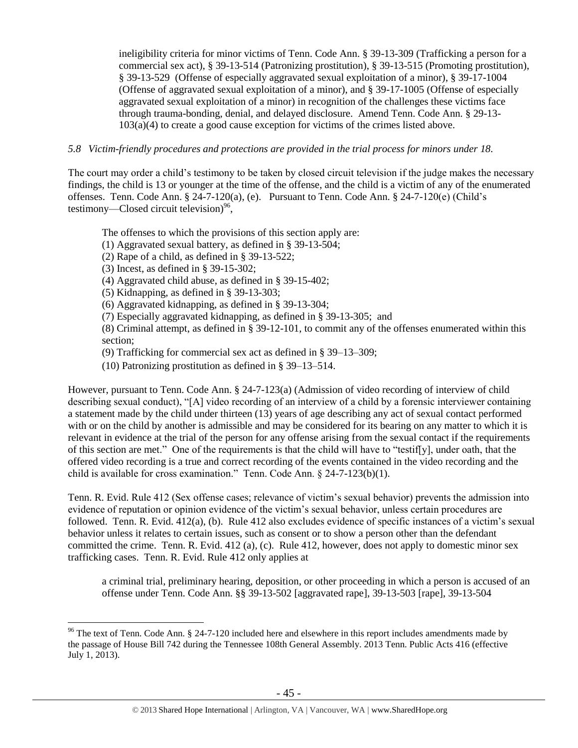ineligibility criteria for minor victims of Tenn. Code Ann. § 39-13-309 (Trafficking a person for a commercial sex act), § 39-13-514 (Patronizing prostitution), § 39-13-515 (Promoting prostitution), § 39-13-529 (Offense of especially aggravated sexual exploitation of a minor), § 39-17-1004 (Offense of aggravated sexual exploitation of a minor), and § 39-17-1005 (Offense of especially aggravated sexual exploitation of a minor) in recognition of the challenges these victims face through trauma-bonding, denial, and delayed disclosure. Amend Tenn. Code Ann. § 29-13- 103(a)(4) to create a good cause exception for victims of the crimes listed above.

#### *5.8 Victim-friendly procedures and protections are provided in the trial process for minors under 18.*

The court may order a child's testimony to be taken by closed circuit television if the judge makes the necessary findings, the child is 13 or younger at the time of the offense, and the child is a victim of any of the enumerated offenses. Tenn. Code Ann. § 24-7-120(a), (e). Pursuant to Tenn. Code Ann. § 24-7-120(e) (Child's testimony—Closed circuit television) $96$ ,

The offenses to which the provisions of this section apply are:

- (1) Aggravated sexual battery, as defined in § 39-13-504;
- $(2)$  Rape of a child, as defined in  $\S$  39-13-522;
- (3) Incest, as defined in § 39-15-302;

 $\overline{a}$ 

- (4) Aggravated child abuse, as defined in § 39-15-402;
- (5) Kidnapping, as defined in § 39-13-303;
- (6) Aggravated kidnapping, as defined in § 39-13-304;
- (7) Especially aggravated kidnapping, as defined in § 39-13-305; and

(8) Criminal attempt, as defined in § 39-12-101, to commit any of the offenses enumerated within this section;

(9) Trafficking for commercial sex act as defined in § 39–13–309;

(10) Patronizing prostitution as defined in § 39–13–514.

However, pursuant to Tenn. Code Ann. § 24-7-123(a) (Admission of video recording of interview of child describing sexual conduct), "[A] video recording of an interview of a child by a forensic interviewer containing a statement made by the child under thirteen (13) years of age describing any act of sexual contact performed with or on the child by another is admissible and may be considered for its bearing on any matter to which it is relevant in evidence at the trial of the person for any offense arising from the sexual contact if the requirements of this section are met." One of the requirements is that the child will have to "testif[y], under oath, that the offered video recording is a true and correct recording of the events contained in the video recording and the child is available for cross examination." Tenn. Code Ann. § 24-7-123(b)(1).

Tenn. R. Evid. Rule 412 (Sex offense cases; relevance of victim's sexual behavior) prevents the admission into evidence of reputation or opinion evidence of the victim's sexual behavior, unless certain procedures are followed. Tenn. R. Evid. 412(a), (b). Rule 412 also excludes evidence of specific instances of a victim's sexual behavior unless it relates to certain issues, such as consent or to show a person other than the defendant committed the crime. Tenn. R. Evid. 412 (a), (c). Rule 412, however, does not apply to domestic minor sex trafficking cases. Tenn. R. Evid. Rule 412 only applies at

a criminal trial, preliminary hearing, deposition, or other proceeding in which a person is accused of an offense under Tenn. Code Ann. §§ 39-13-502 [aggravated rape], 39-13-503 [rape], 39-13-504

 $96$  The text of Tenn. Code Ann. § 24-7-120 included here and elsewhere in this report includes amendments made by the passage of House Bill 742 during the Tennessee 108th General Assembly. 2013 Tenn. Public Acts 416 (effective July 1, 2013).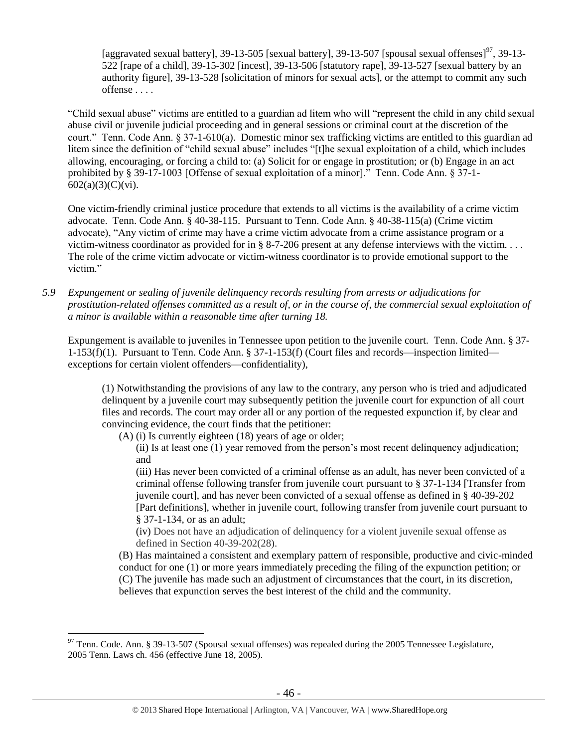[aggravated sexual battery], 39-13-505 [sexual battery], 39-13-507 [spousal sexual offenses]<sup>97</sup>, 39-13-522 [rape of a child], 39-15-302 [incest], 39-13-506 [statutory rape], 39-13-527 [sexual battery by an authority figure], 39-13-528 [solicitation of minors for sexual acts], or the attempt to commit any such offense . . . .

"Child sexual abuse" victims are entitled to a guardian ad litem who will "represent the child in any child sexual abuse civil or juvenile judicial proceeding and in general sessions or criminal court at the discretion of the court." Tenn. Code Ann. § 37-1-610(a). Domestic minor sex trafficking victims are entitled to this guardian ad litem since the definition of "child sexual abuse" includes "[t]he sexual exploitation of a child, which includes allowing, encouraging, or forcing a child to: (a) Solicit for or engage in prostitution; or (b) Engage in an act prohibited by § 39-17-1003 [Offense of sexual exploitation of a minor]." Tenn. Code Ann. § 37-1- 602(a)(3)(C)(vi).

One victim-friendly criminal justice procedure that extends to all victims is the availability of a crime victim advocate. Tenn. Code Ann. § 40-38-115. Pursuant to Tenn. Code Ann. § 40-38-115(a) (Crime victim advocate), "Any victim of crime may have a crime victim advocate from a crime assistance program or a victim-witness coordinator as provided for in § 8-7-206 present at any defense interviews with the victim. . . . The role of the crime victim advocate or victim-witness coordinator is to provide emotional support to the victim."

*5.9 Expungement or sealing of juvenile delinquency records resulting from arrests or adjudications for prostitution-related offenses committed as a result of, or in the course of, the commercial sexual exploitation of a minor is available within a reasonable time after turning 18.*

Expungement is available to juveniles in Tennessee upon petition to the juvenile court. Tenn. Code Ann. § 37- 1-153(f)(1). Pursuant to Tenn. Code Ann. § 37-1-153(f) (Court files and records—inspection limited exceptions for certain violent offenders—confidentiality),

(1) Notwithstanding the provisions of any law to the contrary, any person who is tried and adjudicated delinquent by a juvenile court may subsequently petition the juvenile court for expunction of all court files and records. The court may order all or any portion of the requested expunction if, by clear and convincing evidence, the court finds that the petitioner:

(A) (i) Is currently eighteen (18) years of age or older;

 $\overline{a}$ 

(ii) Is at least one (1) year removed from the person's most recent delinquency adjudication; and

(iii) Has never been convicted of a criminal offense as an adult, has never been convicted of a criminal offense following transfer from juvenile court pursuant to § 37-1-134 [Transfer from juvenile court], and has never been convicted of a sexual offense as defined in § 40-39-202 [Part definitions], whether in juvenile court, following transfer from juvenile court pursuant to § 37-1-134, or as an adult;

(iv) Does not have an adjudication of delinquency for a violent juvenile sexual offense as defined in Section 40-39-202(28).

(B) Has maintained a consistent and exemplary pattern of responsible, productive and civic-minded conduct for one (1) or more years immediately preceding the filing of the expunction petition; or (C) The juvenile has made such an adjustment of circumstances that the court, in its discretion, believes that expunction serves the best interest of the child and the community.

 $^{97}$  Tenn. Code. Ann. § 39-13-507 (Spousal sexual offenses) was repealed during the 2005 Tennessee Legislature, 2005 Tenn. Laws ch. 456 (effective June 18, 2005).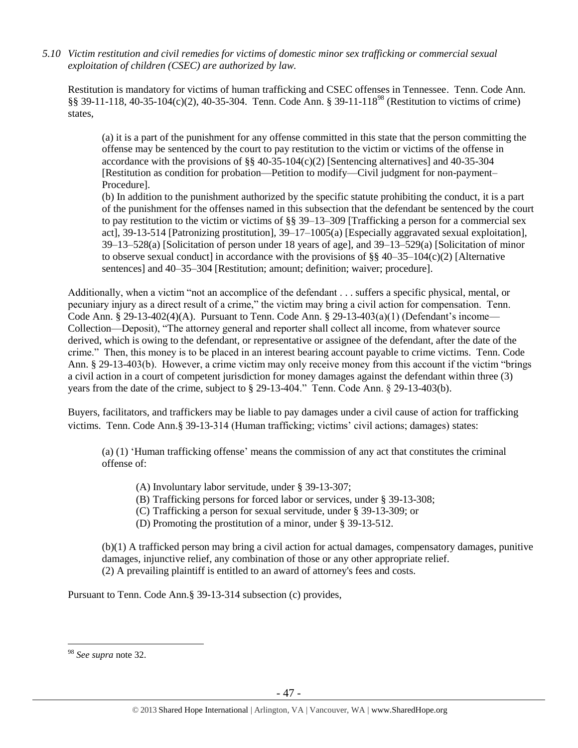*5.10 Victim restitution and civil remedies for victims of domestic minor sex trafficking or commercial sexual exploitation of children (CSEC) are authorized by law.* 

Restitution is mandatory for victims of human trafficking and CSEC offenses in Tennessee. Tenn. Code Ann. §§ 39-11-118, 40-35-104(c)(2), 40-35-304. Tenn. Code Ann. § 39-11-118<sup>98</sup> (Restitution to victims of crime) states,

(a) it is a part of the punishment for any offense committed in this state that the person committing the offense may be sentenced by the court to pay restitution to the victim or victims of the offense in accordance with the provisions of §§ 40-35-104(c)(2) [Sentencing alternatives] and 40-35-304 [Restitution as condition for probation—Petition to modify—Civil judgment for non-payment– Procedure].

(b) In addition to the punishment authorized by the specific statute prohibiting the conduct, it is a part of the punishment for the offenses named in this subsection that the defendant be sentenced by the court to pay restitution to the victim or victims of §§ 39–13–309 [Trafficking a person for a commercial sex act], 39-13-514 [Patronizing prostitution], 39–17–1005(a) [Especially aggravated sexual exploitation], 39–13–528(a) [Solicitation of person under 18 years of age], and 39–13–529(a) [Solicitation of minor to observe sexual conduct] in accordance with the provisions of  $\S$ § 40–35–104(c)(2) [Alternative sentences] and 40–35–304 [Restitution; amount; definition; waiver; procedure].

Additionally, when a victim "not an accomplice of the defendant . . . suffers a specific physical, mental, or pecuniary injury as a direct result of a crime," the victim may bring a civil action for compensation. Tenn. Code Ann. § 29-13-402(4)(A). Pursuant to Tenn. Code Ann. § 29-13-403(a)(1) (Defendant's income— Collection—Deposit), "The attorney general and reporter shall collect all income, from whatever source derived, which is owing to the defendant, or representative or assignee of the defendant, after the date of the crime." Then, this money is to be placed in an interest bearing account payable to crime victims. Tenn. Code Ann. § 29-13-403(b). However, a crime victim may only receive money from this account if the victim "brings a civil action in a court of competent jurisdiction for money damages against the defendant within three (3) years from the date of the crime, subject to § 29-13-404." Tenn. Code Ann. § 29-13-403(b).

Buyers, facilitators, and traffickers may be liable to pay damages under a civil cause of action for trafficking victims. Tenn. Code Ann.§ 39-13-314 (Human trafficking; victims' civil actions; damages) states:

(a) (1) 'Human trafficking offense' means the commission of any act that constitutes the criminal offense of:

- (A) Involuntary labor servitude, under § 39-13-307;
- (B) Trafficking persons for forced labor or services, under § 39-13-308;
- (C) Trafficking a person for sexual servitude, under § 39-13-309; or
- (D) Promoting the prostitution of a minor, under § 39-13-512.

(b)(1) A trafficked person may bring a civil action for actual damages, compensatory damages, punitive damages, injunctive relief, any combination of those or any other appropriate relief. (2) A prevailing plaintiff is entitled to an award of attorney's fees and costs.

Pursuant to Tenn. Code Ann.§ 39-13-314 subsection (c) provides,

<sup>98</sup> *See supra* note [32.](#page-13-1)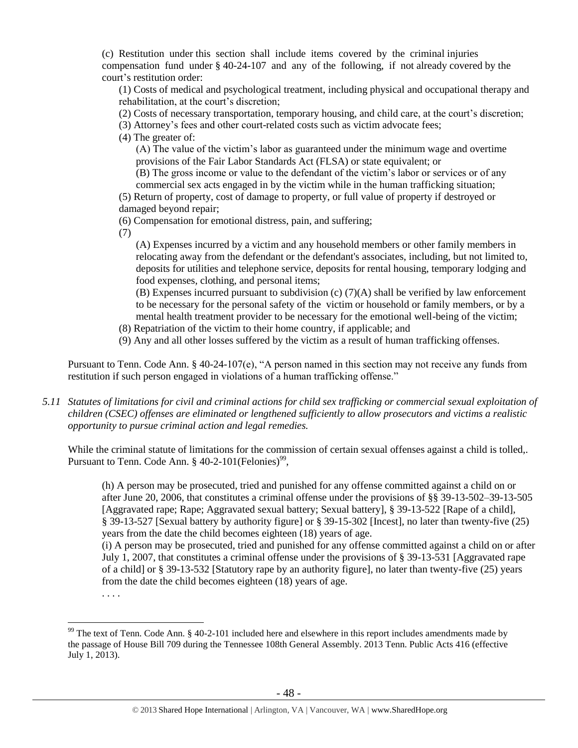(c) Restitution under this section shall include items covered by the criminal injuries compensation fund under § 40-24-107 and any of the following, if not already covered by the court's restitution order:

(1) Costs of medical and psychological treatment, including physical and occupational therapy and rehabilitation, at the court's discretion;

(2) Costs of necessary transportation, temporary housing, and child care, at the court's discretion;

(3) Attorney's fees and other court-related costs such as victim advocate fees;

(4) The greater of:

(A) The value of the victim's labor as guaranteed under the minimum wage and overtime provisions of the Fair Labor Standards Act (FLSA) or state equivalent; or

(B) The gross income or value to the defendant of the victim's labor or services or of any commercial sex acts engaged in by the victim while in the human trafficking situation;

(5) Return of property, cost of damage to property, or full value of property if destroyed or damaged beyond repair;

(6) Compensation for emotional distress, pain, and suffering;

(7)

(A) Expenses incurred by a victim and any household members or other family members in relocating away from the defendant or the defendant's associates, including, but not limited to, deposits for utilities and telephone service, deposits for rental housing, temporary lodging and food expenses, clothing, and personal items;

(B) Expenses incurred pursuant to subdivision (c) (7)(A) shall be verified by law enforcement to be necessary for the personal safety of the victim or household or family members, or by a mental health treatment provider to be necessary for the emotional well-being of the victim;

- (8) Repatriation of the victim to their home country, if applicable; and
- (9) Any and all other losses suffered by the victim as a result of human trafficking offenses.

Pursuant to Tenn. Code Ann. § 40-24-107(e), "A person named in this section may not receive any funds from restitution if such person engaged in violations of a human trafficking offense."

*5.11 Statutes of limitations for civil and criminal actions for child sex trafficking or commercial sexual exploitation of children (CSEC) offenses are eliminated or lengthened sufficiently to allow prosecutors and victims a realistic opportunity to pursue criminal action and legal remedies.*

While the criminal statute of limitations for the commission of certain sexual offenses against a child is tolled,. Pursuant to Tenn. Code Ann.  $\S$  40-2-101(Felonies)<sup>99</sup>,

(h) A person may be prosecuted, tried and punished for any offense committed against a child on or after June 20, 2006, that constitutes a criminal offense under the provisions of §§ 39-13-502–39-13-505 [Aggravated rape; Rape; Aggravated sexual battery; Sexual battery], § 39-13-522 [Rape of a child], § 39-13-527 [Sexual battery by authority figure] or § 39-15-302 [Incest], no later than twenty-five (25) years from the date the child becomes eighteen (18) years of age.

(i) A person may be prosecuted, tried and punished for any offense committed against a child on or after July 1, 2007, that constitutes a criminal offense under the provisions of § 39-13-531 [Aggravated rape of a child] or § 39-13-532 [Statutory rape by an authority figure], no later than twenty-five (25) years from the date the child becomes eighteen (18) years of age.

. . . .

 $99$  The text of Tenn. Code Ann. § 40-2-101 included here and elsewhere in this report includes amendments made by the passage of House Bill 709 during the Tennessee 108th General Assembly. 2013 Tenn. Public Acts 416 (effective July 1, 2013).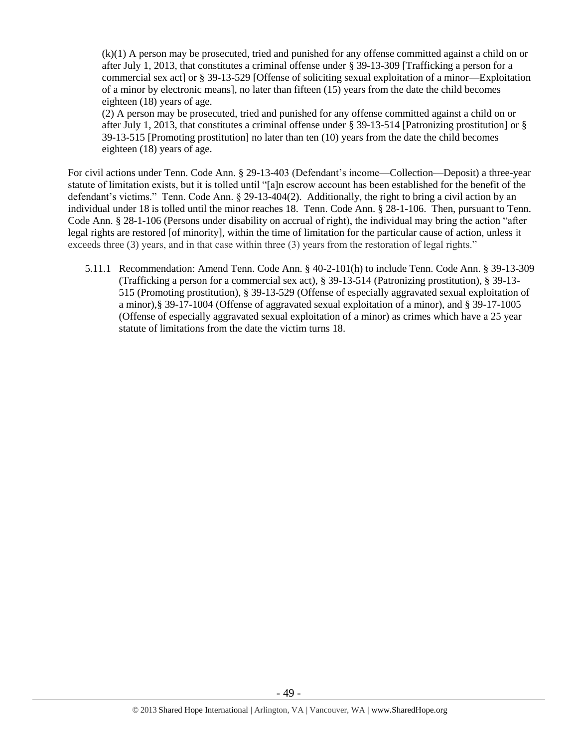(k)(1) A person may be prosecuted, tried and punished for any offense committed against a child on or after July 1, 2013, that constitutes a criminal offense under [§ 39-13-309](https://a.next.westlaw.com/Link/Document/FullText?findType=L&pubNum=1000039&cite=TNSTS39-13-309&originatingDoc=NB303EA80FD9C11E2B5E0FF4CCFAB5723&refType=LQ&originationContext=document&transitionType=DocumentItem&contextData=(sc.UserEnteredCitation)) [Trafficking a person for a commercial sex act] or [§ 39-13-529](https://a.next.westlaw.com/Link/Document/FullText?findType=L&pubNum=1000039&cite=TNSTS39-13-529&originatingDoc=NB303EA80FD9C11E2B5E0FF4CCFAB5723&refType=LQ&originationContext=document&transitionType=DocumentItem&contextData=(sc.UserEnteredCitation)) [Offense of soliciting sexual exploitation of a minor—Exploitation of a minor by electronic means], no later than fifteen (15) years from the date the child becomes eighteen (18) years of age.

(2) A person may be prosecuted, tried and punished for any offense committed against a child on or after July 1, 2013, that constitutes a criminal offense under [§ 39-13-514](https://a.next.westlaw.com/Link/Document/FullText?findType=L&pubNum=1000039&cite=TNSTS39-13-514&originatingDoc=NB303EA80FD9C11E2B5E0FF4CCFAB5723&refType=LQ&originationContext=document&transitionType=DocumentItem&contextData=(sc.History*oc.UserEnteredCitation)) [Patronizing prostitution] or [§](https://a.next.westlaw.com/Link/Document/FullText?findType=L&pubNum=1000039&cite=TNSTS39-13-515&originatingDoc=NB303EA80FD9C11E2B5E0FF4CCFAB5723&refType=LQ&originationContext=document&transitionType=DocumentItem&contextData=(sc.History*oc.UserEnteredCitation))  [39-13-515](https://a.next.westlaw.com/Link/Document/FullText?findType=L&pubNum=1000039&cite=TNSTS39-13-515&originatingDoc=NB303EA80FD9C11E2B5E0FF4CCFAB5723&refType=LQ&originationContext=document&transitionType=DocumentItem&contextData=(sc.History*oc.UserEnteredCitation)) [Promoting prostitution] no later than ten (10) years from the date the child becomes eighteen (18) years of age.

For civil actions under Tenn. Code Ann. § 29-13-403 (Defendant's income—Collection—Deposit) a three-year statute of limitation exists, but it is tolled until "[a]n escrow account has been established for the benefit of the defendant's victims." Tenn. Code Ann. § 29-13-404(2). Additionally, the right to bring a civil action by an individual under 18 is tolled until the minor reaches 18. Tenn. Code Ann. § 28-1-106. Then, pursuant to Tenn. Code Ann. § 28-1-106 (Persons under disability on accrual of right), the individual may bring the action "after legal rights are restored [of minority], within the time of limitation for the particular cause of action, unless it exceeds three (3) years, and in that case within three (3) years from the restoration of legal rights."

5.11.1 Recommendation: Amend Tenn. Code Ann. § 40-2-101(h) to include Tenn. Code Ann. § 39-13-309 (Trafficking a person for a commercial sex act), § 39-13-514 (Patronizing prostitution), § 39-13- 515 (Promoting prostitution), § 39-13-529 (Offense of especially aggravated sexual exploitation of a minor),§ 39-17-1004 (Offense of aggravated sexual exploitation of a minor), and § 39-17-1005 (Offense of especially aggravated sexual exploitation of a minor) as crimes which have a 25 year statute of limitations from the date the victim turns 18.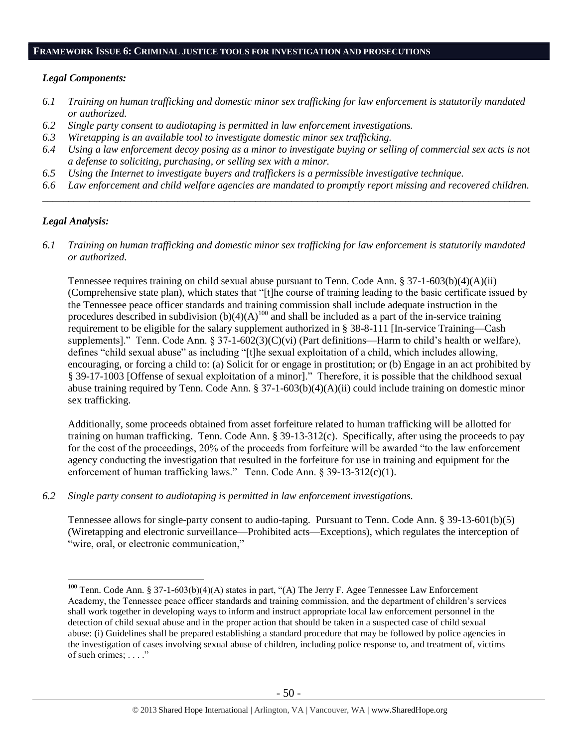## **FRAMEWORK ISSUE 6: CRIMINAL JUSTICE TOOLS FOR INVESTIGATION AND PROSECUTIONS**

#### *Legal Components:*

- *6.1 Training on human trafficking and domestic minor sex trafficking for law enforcement is statutorily mandated or authorized.*
- *6.2 Single party consent to audiotaping is permitted in law enforcement investigations.*
- *6.3 Wiretapping is an available tool to investigate domestic minor sex trafficking.*
- *6.4 Using a law enforcement decoy posing as a minor to investigate buying or selling of commercial sex acts is not a defense to soliciting, purchasing, or selling sex with a minor.*
- *6.5 Using the Internet to investigate buyers and traffickers is a permissible investigative technique.*
- *6.6 Law enforcement and child welfare agencies are mandated to promptly report missing and recovered children. \_\_\_\_\_\_\_\_\_\_\_\_\_\_\_\_\_\_\_\_\_\_\_\_\_\_\_\_\_\_\_\_\_\_\_\_\_\_\_\_\_\_\_\_\_\_\_\_\_\_\_\_\_\_\_\_\_\_\_\_\_\_\_\_\_\_\_\_\_\_\_\_\_\_\_\_\_\_\_\_\_\_\_\_\_\_\_\_\_\_\_\_\_\_*

## *Legal Analysis:*

 $\overline{a}$ 

*6.1 Training on human trafficking and domestic minor sex trafficking for law enforcement is statutorily mandated or authorized.*

Tennessee requires training on child sexual abuse pursuant to Tenn. Code Ann. § 37-1-603(b)(4)(A)(ii) (Comprehensive state plan), which states that "[t]he course of training leading to the basic certificate issued by the Tennessee peace officer standards and training commission shall include adequate instruction in the procedures described in subdivision  $(b)(4)(A)^{100}$  and shall be included as a part of the in-service training requirement to be eligible for the salary supplement authorized in § 38-8-111 [In-service Training—Cash supplements]." Tenn. Code Ann.  $\S 37$ -1-602(3)(C)(vi) (Part definitions—Harm to child's health or welfare), defines "child sexual abuse" as including "[t]he sexual exploitation of a child, which includes allowing, encouraging, or forcing a child to: (a) Solicit for or engage in prostitution; or (b) Engage in an act prohibited by § 39-17-1003 [Offense of sexual exploitation of a minor]." Therefore, it is possible that the childhood sexual abuse training required by Tenn. Code Ann. § 37-1-603(b)(4)(A)(ii) could include training on domestic minor sex trafficking.

Additionally, some proceeds obtained from asset forfeiture related to human trafficking will be allotted for training on human trafficking. Tenn. Code Ann. § 39-13-312(c). Specifically, after using the proceeds to pay for the cost of the proceedings, 20% of the proceeds from forfeiture will be awarded "to the law enforcement agency conducting the investigation that resulted in the forfeiture for use in training and equipment for the enforcement of human trafficking laws." Tenn. Code Ann. § 39-13-312(c)(1).

*6.2 Single party consent to audiotaping is permitted in law enforcement investigations.*

Tennessee allows for single-party consent to audio-taping. Pursuant to Tenn. Code Ann. § 39-13-601(b)(5) (Wiretapping and electronic surveillance—Prohibited acts—Exceptions), which regulates the interception of "wire, oral, or electronic communication,"

<sup>&</sup>lt;sup>100</sup> Tenn. Code Ann. § 37-1-603(b)(4)(A) states in part, "(A) The Jerry F. Agee Tennessee Law Enforcement Academy, the Tennessee peace officer standards and training commission, and the department of children's services shall work together in developing ways to inform and instruct appropriate local law enforcement personnel in the detection of child sexual abuse and in the proper action that should be taken in a suspected case of child sexual abuse: (i) Guidelines shall be prepared establishing a standard procedure that may be followed by police agencies in the investigation of cases involving sexual abuse of children, including police response to, and treatment of, victims of such crimes; . . . ."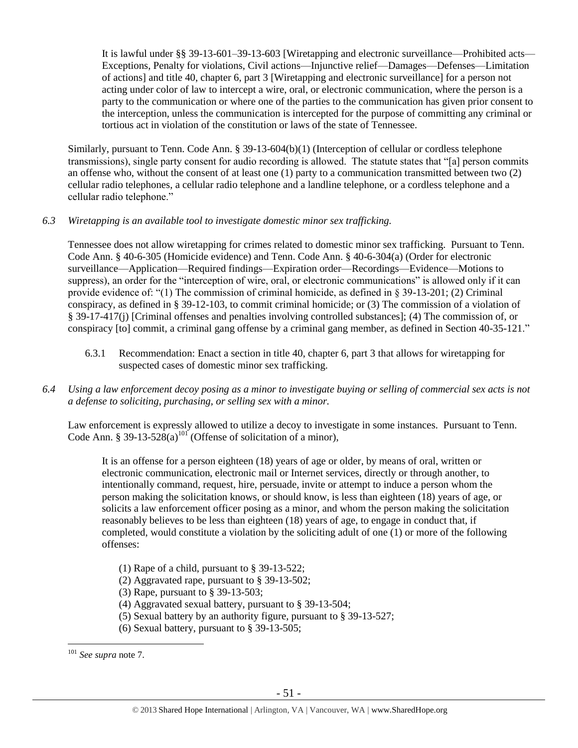It is lawful under §§ 39-13-601–39-13-603 [Wiretapping and electronic surveillance—Prohibited acts— Exceptions, Penalty for violations, Civil actions—Injunctive relief—Damages—Defenses—Limitation of actions] and title 40, chapter 6, part 3 [Wiretapping and electronic surveillance] for a person not acting under color of law to intercept a wire, oral, or electronic communication, where the person is a party to the communication or where one of the parties to the communication has given prior consent to the interception, unless the communication is intercepted for the purpose of committing any criminal or tortious act in violation of the constitution or laws of the state of Tennessee.

Similarly, pursuant to Tenn. Code Ann. § 39-13-604(b)(1) (Interception of cellular or cordless telephone transmissions), single party consent for audio recording is allowed. The statute states that "[a] person commits an offense who, without the consent of at least one (1) party to a communication transmitted between two (2) cellular radio telephones, a cellular radio telephone and a landline telephone, or a cordless telephone and a cellular radio telephone."

## *6.3 Wiretapping is an available tool to investigate domestic minor sex trafficking.*

Tennessee does not allow wiretapping for crimes related to domestic minor sex trafficking. Pursuant to Tenn. Code Ann. § 40-6-305 (Homicide evidence) and Tenn. Code Ann. § 40-6-304(a) (Order for electronic surveillance—Application—Required findings—Expiration order—Recordings—Evidence—Motions to suppress), an order for the "interception of wire, oral, or electronic communications" is allowed only if it can provide evidence of: "(1) The commission of criminal homicide, as defined in § 39-13-201; (2) Criminal conspiracy, as defined in § 39-12-103, to commit criminal homicide; or (3) The commission of a violation of § 39-17-417(j) [Criminal offenses and penalties involving controlled substances]; (4) The commission of, or conspiracy [to] commit, a criminal gang offense by a criminal gang member, as defined in Section 40-35-121."

6.3.1 Recommendation: Enact a section in title 40, chapter 6, part 3 that allows for wiretapping for suspected cases of domestic minor sex trafficking.

## *6.4 Using a law enforcement decoy posing as a minor to investigate buying or selling of commercial sex acts is not a defense to soliciting, purchasing, or selling sex with a minor.*

Law enforcement is expressly allowed to utilize a decoy to investigate in some instances. Pursuant to Tenn. Code Ann. § 39-13-52 $\frac{8(a)^{101}}{101}$  (Offense of solicitation of a minor),

It is an offense for a person eighteen (18) years of age or older, by means of oral, written or electronic communication, electronic mail or Internet services, directly or through another, to intentionally command, request, hire, persuade, invite or attempt to induce a person whom the person making the solicitation knows, or should know, is less than eighteen (18) years of age, or solicits a law enforcement officer posing as a minor, and whom the person making the solicitation reasonably believes to be less than eighteen (18) years of age, to engage in conduct that, if completed, would constitute a violation by the soliciting adult of one (1) or more of the following offenses:

- (1) Rape of a child, pursuant to § 39-13-522;
- (2) Aggravated rape, pursuant to § 39-13-502;
- (3) Rape, pursuant to § 39-13-503;
- (4) Aggravated sexual battery, pursuant to § 39-13-504;
- (5) Sexual battery by an authority figure, pursuant to § 39-13-527;
- (6) Sexual battery, pursuant to § 39-13-505;

<sup>101</sup> *See supra* not[e 7.](#page-2-0)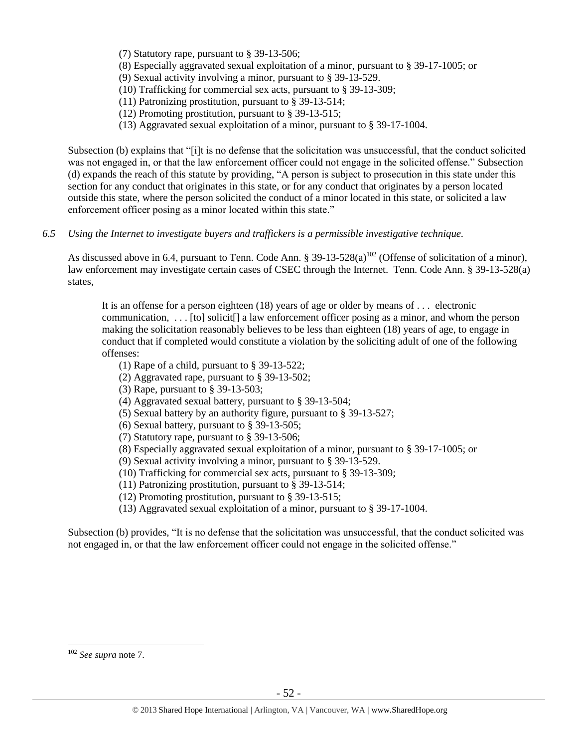- (7) Statutory rape, pursuant to § 39-13-506;
- (8) Especially aggravated sexual exploitation of a minor, pursuant to § 39-17-1005; or
- (9) Sexual activity involving a minor, pursuant to § 39-13-529.
- (10) Trafficking for commercial sex acts, pursuant to § 39-13-309;
- (11) Patronizing prostitution, pursuant to § 39-13-514;
- (12) Promoting prostitution, pursuant to § 39-13-515;
- (13) Aggravated sexual exploitation of a minor, pursuant to § 39-17-1004.

Subsection (b) explains that "[i]t is no defense that the solicitation was unsuccessful, that the conduct solicited was not engaged in, or that the law enforcement officer could not engage in the solicited offense." Subsection (d) expands the reach of this statute by providing, "A person is subject to prosecution in this state under this section for any conduct that originates in this state, or for any conduct that originates by a person located outside this state, where the person solicited the conduct of a minor located in this state, or solicited a law enforcement officer posing as a minor located within this state."

*6.5 Using the Internet to investigate buyers and traffickers is a permissible investigative technique.*

As discussed above in 6.4, pursuant to Tenn. Code Ann. §  $39-13-528(a)^{102}$  (Offense of solicitation of a minor), law enforcement may investigate certain cases of CSEC through the Internet. Tenn. Code Ann. § 39-13-528(a) states,

It is an offense for a person eighteen (18) years of age or older by means of . . . electronic communication,  $\dots$  [to] solicit] a law enforcement officer posing as a minor, and whom the person making the solicitation reasonably believes to be less than eighteen (18) years of age, to engage in conduct that if completed would constitute a violation by the soliciting adult of one of the following offenses:

- (1) Rape of a child, pursuant to § 39-13-522;
- (2) Aggravated rape, pursuant to § 39-13-502;
- (3) Rape, pursuant to § 39-13-503;
- (4) Aggravated sexual battery, pursuant to § 39-13-504;
- (5) Sexual battery by an authority figure, pursuant to § 39-13-527;
- (6) Sexual battery, pursuant to § 39-13-505;
- (7) Statutory rape, pursuant to § 39-13-506;
- (8) Especially aggravated sexual exploitation of a minor, pursuant to § 39-17-1005; or
- (9) Sexual activity involving a minor, pursuant to § 39-13-529.
- (10) Trafficking for commercial sex acts, pursuant to § 39-13-309;
- (11) Patronizing prostitution, pursuant to § 39-13-514;
- (12) Promoting prostitution, pursuant to § 39-13-515;
- (13) Aggravated sexual exploitation of a minor, pursuant to § 39-17-1004.

Subsection (b) provides, "It is no defense that the solicitation was unsuccessful, that the conduct solicited was not engaged in, or that the law enforcement officer could not engage in the solicited offense."

<sup>102</sup> *See supra* not[e 7.](#page-2-0)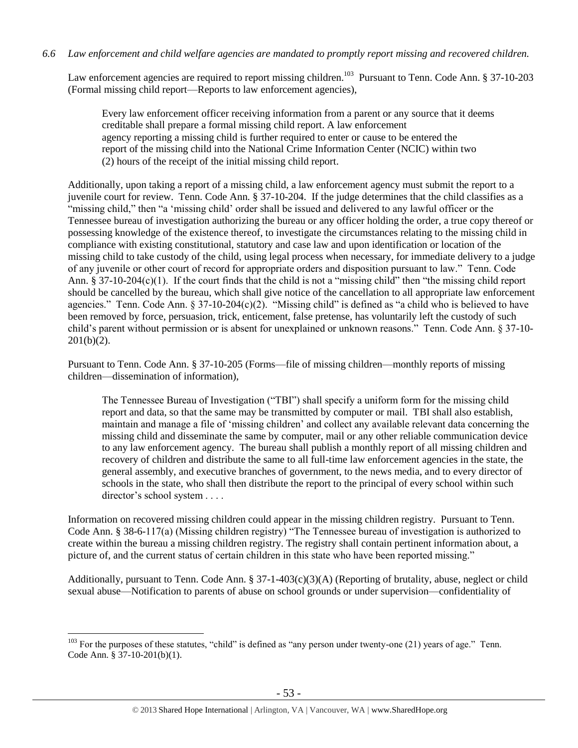Law enforcement agencies are required to report missing children.<sup>103</sup> Pursuant to Tenn. Code Ann. § 37-10-203 (Formal missing child report—Reports to law enforcement agencies),

Every law enforcement officer receiving information from a parent or any source that it deems creditable shall prepare a formal missing child report. A law enforcement agency reporting a missing child is further required to enter or cause to be entered the report of the missing child into the National Crime Information Center (NCIC) within two (2) hours of the receipt of the initial missing child report.

Additionally, upon taking a report of a missing child, a law enforcement agency must submit the report to a juvenile court for review. Tenn. Code Ann. § 37-10-204. If the judge determines that the child classifies as a "missing child," then "a 'missing child' order shall be issued and delivered to any lawful officer or the Tennessee bureau of investigation authorizing the bureau or any officer holding the order, a true copy thereof or possessing knowledge of the existence thereof, to investigate the circumstances relating to the missing child in compliance with existing constitutional, statutory and case law and upon identification or location of the missing child to take custody of the child, using legal process when necessary, for immediate delivery to a judge of any juvenile or other court of record for appropriate orders and disposition pursuant to law." Tenn. Code Ann. § 37-10-204(c)(1). If the court finds that the child is not a "missing child" then "the missing child report should be cancelled by the bureau, which shall give notice of the cancellation to all appropriate law enforcement agencies." Tenn. Code Ann. § 37-10-204(c)(2). "Missing child" is defined as "a child who is believed to have been removed by force, persuasion, trick, enticement, false pretense, has voluntarily left the custody of such child's parent without permission or is absent for unexplained or unknown reasons." Tenn. Code Ann. § 37-10-  $201(b)(2)$ .

Pursuant to Tenn. Code Ann. § 37-10-205 (Forms—file of missing children—monthly reports of missing children—dissemination of information),

The Tennessee Bureau of Investigation ("TBI") shall specify a uniform form for the missing child report and data, so that the same may be transmitted by computer or mail. TBI shall also establish, maintain and manage a file of 'missing children' and collect any available relevant data concerning the missing child and disseminate the same by computer, mail or any other reliable communication device to any law enforcement agency. The bureau shall publish a monthly report of all missing children and recovery of children and distribute the same to all full-time law enforcement agencies in the state, the general assembly, and executive branches of government, to the news media, and to every director of schools in the state, who shall then distribute the report to the principal of every school within such director's school system . . . .

Information on recovered missing children could appear in the missing children registry. Pursuant to Tenn. Code Ann. § 38-6-117(a) (Missing children registry) "The Tennessee bureau of investigation is authorized to create within the bureau a missing children registry. The registry shall contain pertinent information about, a picture of, and the current status of certain children in this state who have been reported missing."

Additionally, pursuant to Tenn. Code Ann. § 37-1-403(c)(3)(A) (Reporting of brutality, abuse, neglect or child sexual abuse—Notification to parents of abuse on school grounds or under supervision—confidentiality of

<sup>&</sup>lt;sup>103</sup> For the purposes of these statutes, "child" is defined as "any person under twenty-one (21) years of age." Tenn. Code Ann. § 37-10-201(b)(1).